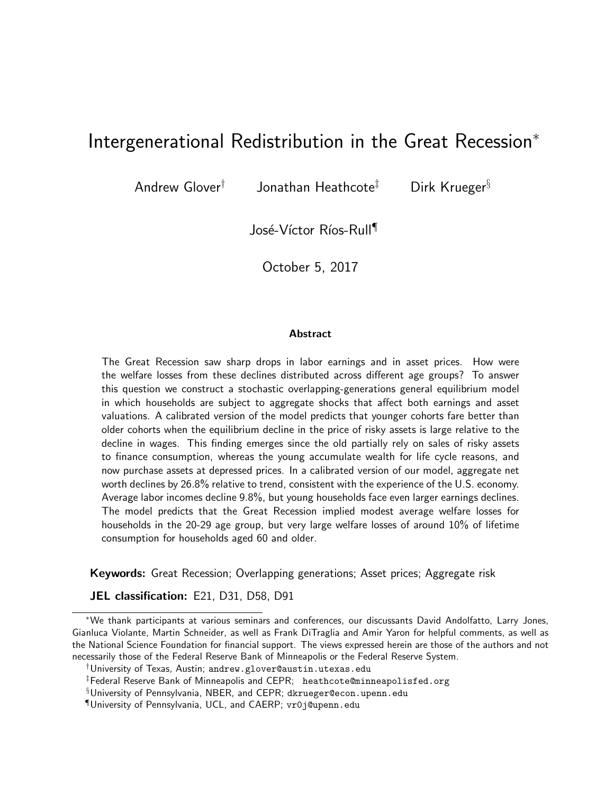# <span id="page-0-0"></span>Intergenerational Redistribution in the Great Recession<sup>∗</sup>

Andrew Glover†

Jonathan Heathcote<sup> $\ddagger$ </sup> Dirk Krueger<sup>§</sup>

José-Víctor Ríos-Rull¶

October 5, 2017

#### **Abstract**

The Great Recession saw sharp drops in labor earnings and in asset prices. How were the welfare losses from these declines distributed across different age groups? To answer this question we construct a stochastic overlapping-generations general equilibrium model in which households are subject to aggregate shocks that affect both earnings and asset valuations. A calibrated version of the model predicts that younger cohorts fare better than older cohorts when the equilibrium decline in the price of risky assets is large relative to the decline in wages. This finding emerges since the old partially rely on sales of risky assets to finance consumption, whereas the young accumulate wealth for life cycle reasons, and now purchase assets at depressed prices. In a calibrated version of our model, aggregate net worth declines by 26.8% relative to trend, consistent with the experience of the U.S. economy. Average labor incomes decline 9.8%, but young households face even larger earnings declines. The model predicts that the Great Recession implied modest average welfare losses for households in the 20-29 age group, but very large welfare losses of around 10% of lifetime consumption for households aged 60 and older.

Keywords: Great Recession; Overlapping generations; Asset prices; Aggregate risk

JEL classification: E21, D31, D58, D91

<sup>∗</sup>We thank participants at various seminars and conferences, our discussants David Andolfatto, Larry Jones, Gianluca Violante, Martin Schneider, as well as Frank DiTraglia and Amir Yaron for helpful comments, as well as the National Science Foundation for financial support. The views expressed herein are those of the authors and not necessarily those of the Federal Reserve Bank of Minneapolis or the Federal Reserve System.

<sup>†</sup>University of Texas, Austin; andrew.glover@austin.utexas.edu

<sup>‡</sup>Federal Reserve Bank of Minneapolis and CEPR; heathcote@minneapolisfed.org

<sup>§</sup>University of Pennsylvania, NBER, and CEPR; dkrueger@econ.upenn.edu

<sup>¶</sup>University of Pennsylvania, UCL, and CAERP; vr0j@upenn.edu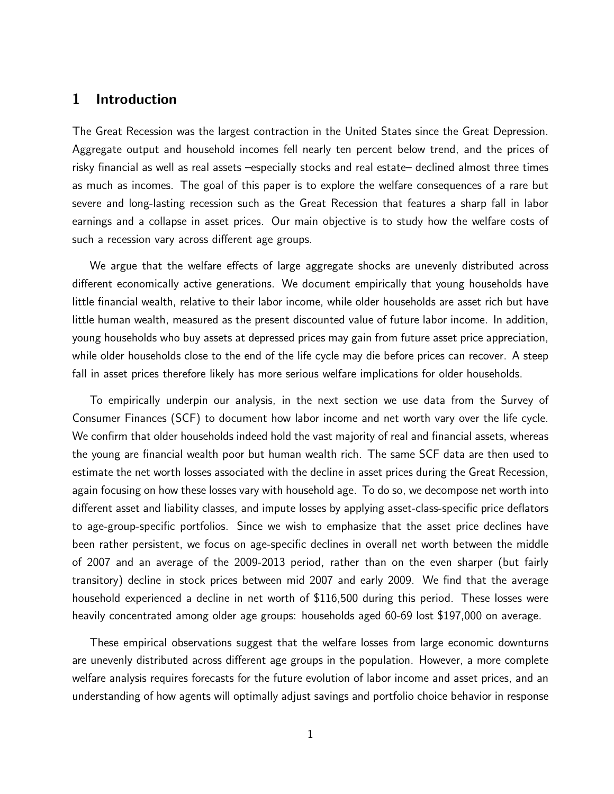## 1 Introduction

The Great Recession was the largest contraction in the United States since the Great Depression. Aggregate output and household incomes fell nearly ten percent below trend, and the prices of risky financial as well as real assets –especially stocks and real estate– declined almost three times as much as incomes. The goal of this paper is to explore the welfare consequences of a rare but severe and long-lasting recession such as the Great Recession that features a sharp fall in labor earnings and a collapse in asset prices. Our main objective is to study how the welfare costs of such a recession vary across different age groups.

We argue that the welfare effects of large aggregate shocks are unevenly distributed across different economically active generations. We document empirically that young households have little financial wealth, relative to their labor income, while older households are asset rich but have little human wealth, measured as the present discounted value of future labor income. In addition, young households who buy assets at depressed prices may gain from future asset price appreciation, while older households close to the end of the life cycle may die before prices can recover. A steep fall in asset prices therefore likely has more serious welfare implications for older households.

To empirically underpin our analysis, in the next section we use data from the Survey of Consumer Finances (SCF) to document how labor income and net worth vary over the life cycle. We confirm that older households indeed hold the vast majority of real and financial assets, whereas the young are financial wealth poor but human wealth rich. The same SCF data are then used to estimate the net worth losses associated with the decline in asset prices during the Great Recession, again focusing on how these losses vary with household age. To do so, we decompose net worth into different asset and liability classes, and impute losses by applying asset-class-specific price deflators to age-group-specific portfolios. Since we wish to emphasize that the asset price declines have been rather persistent, we focus on age-specific declines in overall net worth between the middle of 2007 and an average of the 2009-2013 period, rather than on the even sharper (but fairly transitory) decline in stock prices between mid 2007 and early 2009. We find that the average household experienced a decline in net worth of \$116,500 during this period. These losses were heavily concentrated among older age groups: households aged 60-69 lost \$197,000 on average.

These empirical observations suggest that the welfare losses from large economic downturns are unevenly distributed across different age groups in the population. However, a more complete welfare analysis requires forecasts for the future evolution of labor income and asset prices, and an understanding of how agents will optimally adjust savings and portfolio choice behavior in response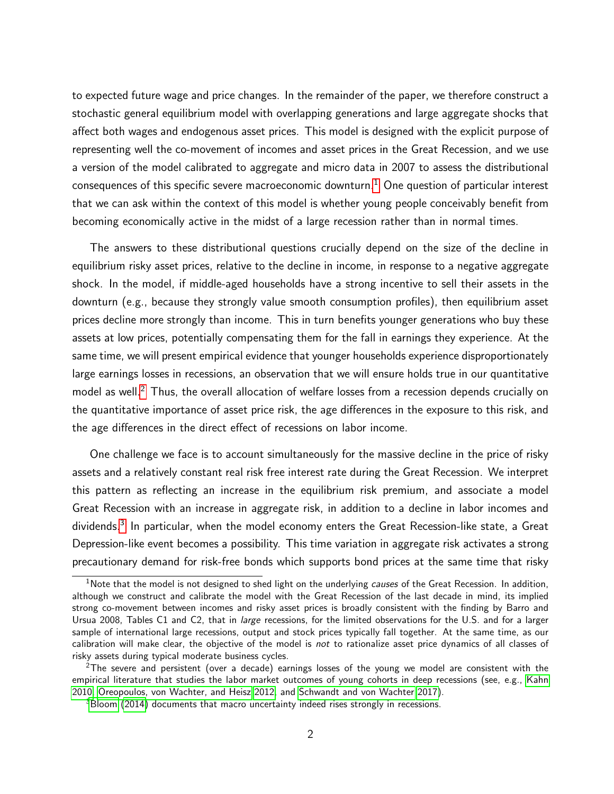to expected future wage and price changes. In the remainder of the paper, we therefore construct a stochastic general equilibrium model with overlapping generations and large aggregate shocks that affect both wages and endogenous asset prices. This model is designed with the explicit purpose of representing well the co-movement of incomes and asset prices in the Great Recession, and we use a version of the model calibrated to aggregate and micro data in 2007 to assess the distributional consequences of this specific severe macroeconomic downturn.<sup>[1](#page-0-0)</sup> One question of particular interest that we can ask within the context of this model is whether young people conceivably benefit from becoming economically active in the midst of a large recession rather than in normal times.

The answers to these distributional questions crucially depend on the size of the decline in equilibrium risky asset prices, relative to the decline in income, in response to a negative aggregate shock. In the model, if middle-aged households have a strong incentive to sell their assets in the downturn (e.g., because they strongly value smooth consumption profiles), then equilibrium asset prices decline more strongly than income. This in turn benefits younger generations who buy these assets at low prices, potentially compensating them for the fall in earnings they experience. At the same time, we will present empirical evidence that younger households experience disproportionately large earnings losses in recessions, an observation that we will ensure holds true in our quantitative model as well.<sup>[2](#page-0-0)</sup> Thus, the overall allocation of welfare losses from a recession depends crucially on the quantitative importance of asset price risk, the age differences in the exposure to this risk, and the age differences in the direct effect of recessions on labor income.

One challenge we face is to account simultaneously for the massive decline in the price of risky assets and a relatively constant real risk free interest rate during the Great Recession. We interpret this pattern as reflecting an increase in the equilibrium risk premium, and associate a model Great Recession with an increase in aggregate risk, in addition to a decline in labor incomes and dividends.[3](#page-0-0) In particular, when the model economy enters the Great Recession-like state, a Great Depression-like event becomes a possibility. This time variation in aggregate risk activates a strong precautionary demand for risk-free bonds which supports bond prices at the same time that risky

 $1$ Note that the model is not designed to shed light on the underlying *causes* of the Great Recession. In addition, although we construct and calibrate the model with the Great Recession of the last decade in mind, its implied strong co-movement between incomes and risky asset prices is broadly consistent with the finding by Barro and Ursua 2008, Tables C1 and C2, that in large recessions, for the limited observations for the U.S. and for a larger sample of international large recessions, output and stock prices typically fall together. At the same time, as our calibration will make clear, the objective of the model is not to rationalize asset price dynamics of all classes of risky assets during typical moderate business cycles.

 $2$ The severe and persistent (over a decade) earnings losses of the young we model are consistent with the empirical literature that studies the labor market outcomes of young cohorts in deep recessions (see, e.g., [Kahn](#page-49-0) [2010,](#page-49-0) [Oreopoulos, von Wachter, and Heisz 2012,](#page-49-1) and [Schwandt and von Wachter 2017\)](#page-50-0).

 $3B$ loom [\(2014\)](#page-48-0) documents that macro uncertainty indeed rises strongly in recessions.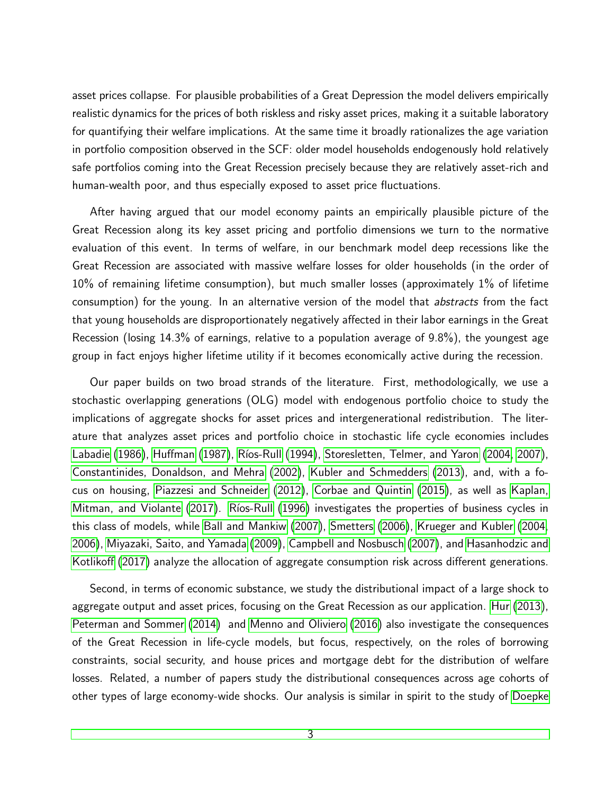asset prices collapse. For plausible probabilities of a Great Depression the model delivers empirically realistic dynamics for the prices of both riskless and risky asset prices, making it a suitable laboratory for quantifying their welfare implications. At the same time it broadly rationalizes the age variation in portfolio composition observed in the SCF: older model households endogenously hold relatively safe portfolios coming into the Great Recession precisely because they are relatively asset-rich and human-wealth poor, and thus especially exposed to asset price fluctuations.

After having argued that our model economy paints an empirically plausible picture of the Great Recession along its key asset pricing and portfolio dimensions we turn to the normative evaluation of this event. In terms of welfare, in our benchmark model deep recessions like the Great Recession are associated with massive welfare losses for older households (in the order of 10% of remaining lifetime consumption), but much smaller losses (approximately 1% of lifetime consumption) for the young. In an alternative version of the model that *abstracts* from the fact that young households are disproportionately negatively affected in their labor earnings in the Great Recession (losing 14.3% of earnings, relative to a population average of 9.8%), the youngest age group in fact enjoys higher lifetime utility if it becomes economically active during the recession.

Our paper builds on two broad strands of the literature. First, methodologically, we use a stochastic overlapping generations (OLG) model with endogenous portfolio choice to study the implications of aggregate shocks for asset prices and intergenerational redistribution. The literature that analyzes asset prices and portfolio choice in stochastic life cycle economies includes [Labadie \(1986\)](#page-49-2), [Huffman \(1987\)](#page-49-3), Ríos-Rull (1994), [Storesletten, Telmer, and Yaron \(2004,](#page-50-2) [2007\)](#page-50-3), [Constantinides, Donaldson, and Mehra \(2002\)](#page-48-1), [Kubler and Schmedders \(2013\)](#page-49-4), and, with a focus on housing, [Piazzesi and Schneider \(2012\)](#page-50-4), [Corbae and Quintin \(2015\)](#page-48-2), as well as [Kaplan,](#page-49-5) [Mitman, and Violante \(2017\)](#page-49-5). Ríos-Rull (1996) investigates the properties of business cycles in this class of models, while [Ball and Mankiw \(2007\)](#page-48-3), [Smetters \(2006\)](#page-50-6), [Krueger and Kubler \(2004,](#page-49-6) [2006\)](#page-49-7), [Miyazaki, Saito, and Yamada \(2009\)](#page-49-8), [Campbell and Nosbusch \(2007\)](#page-48-4), and [Hasanhodzic and](#page-48-5) [Kotlikoff \(2017\)](#page-48-5) analyze the allocation of aggregate consumption risk across different generations.

Second, in terms of economic substance, we study the distributional impact of a large shock to aggregate output and asset prices, focusing on the Great Recession as our application. [Hur \(2013\)](#page-49-9), [Peterman and Sommer \(2014\)](#page-50-7) and [Menno and Oliviero \(2016\)](#page-49-10) also investigate the consequences of the Great Recession in life-cycle models, but focus, respectively, on the roles of borrowing constraints, social security, and house prices and mortgage debt for the distribution of welfare losses. Related, a number of papers study the distributional consequences across age cohorts of other types of large economy-wide shocks. Our analysis is similar in spirit to the study of [Doepke](#page-48-6)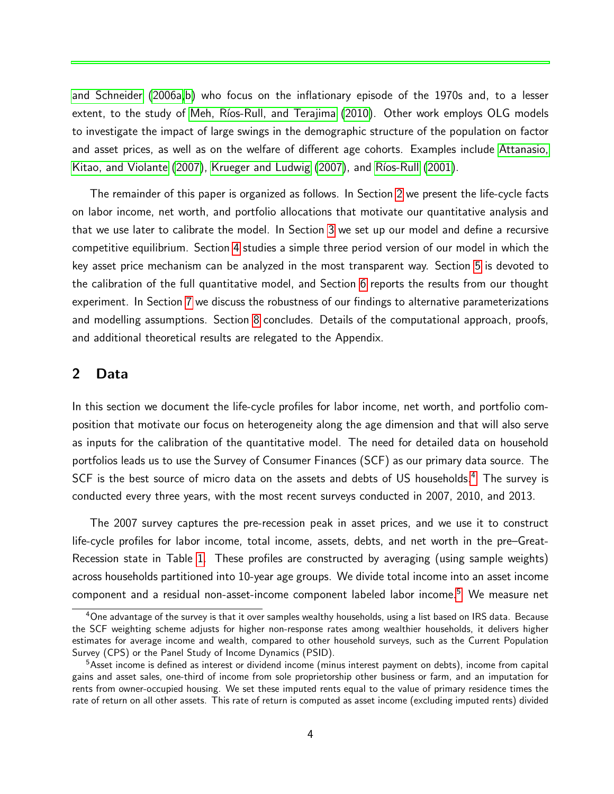[and Schneider \(2006a,](#page-48-6)[b\)](#page-48-7) who focus on the inflationary episode of the 1970s and, to a lesser extent, to the study of Meh, Ríos-Rull, and Terajima (2010). Other work employs OLG models to investigate the impact of large swings in the demographic structure of the population on factor and asset prices, as well as on the welfare of different age cohorts. Examples include [Attanasio,](#page-48-8) Kitao, and Violante  $(2007)$ , Krueger and Ludwig  $(2007)$ , and Ríos-Rull  $(2001)$ .

The remainder of this paper is organized as follows. In Section [2](#page-4-0) we present the life-cycle facts on labor income, net worth, and portfolio allocations that motivate our quantitative analysis and that we use later to calibrate the model. In Section [3](#page-9-0) we set up our model and define a recursive competitive equilibrium. Section [4](#page-14-0) studies a simple three period version of our model in which the key asset price mechanism can be analyzed in the most transparent way. Section [5](#page-18-0) is devoted to the calibration of the full quantitative model, and Section [6](#page-26-0) reports the results from our thought experiment. In Section [7](#page-42-0) we discuss the robustness of our findings to alternative parameterizations and modelling assumptions. Section [8](#page-47-0) concludes. Details of the computational approach, proofs, and additional theoretical results are relegated to the Appendix.

## <span id="page-4-0"></span>2 Data

In this section we document the life-cycle profiles for labor income, net worth, and portfolio composition that motivate our focus on heterogeneity along the age dimension and that will also serve as inputs for the calibration of the quantitative model. The need for detailed data on household portfolios leads us to use the Survey of Consumer Finances (SCF) as our primary data source. The SCF is the best source of micro data on the assets and debts of US households.<sup>[4](#page-0-0)</sup> The survey is conducted every three years, with the most recent surveys conducted in 2007, 2010, and 2013.

The 2007 survey captures the pre-recession peak in asset prices, and we use it to construct life-cycle profiles for labor income, total income, assets, debts, and net worth in the pre–Great-Recession state in Table [1.](#page-5-0) These profiles are constructed by averaging (using sample weights) across households partitioned into 10-year age groups. We divide total income into an asset income component and a residual non-asset-income component labeled labor income.<sup>[5](#page-0-0)</sup> We measure net

<sup>&</sup>lt;sup>4</sup>One advantage of the survey is that it over samples wealthy households, using a list based on IRS data. Because the SCF weighting scheme adjusts for higher non-response rates among wealthier households, it delivers higher estimates for average income and wealth, compared to other household surveys, such as the Current Population Survey (CPS) or the Panel Study of Income Dynamics (PSID).

<sup>&</sup>lt;sup>5</sup>Asset income is defined as interest or dividend income (minus interest payment on debts), income from capital gains and asset sales, one-third of income from sole proprietorship other business or farm, and an imputation for rents from owner-occupied housing. We set these imputed rents equal to the value of primary residence times the rate of return on all other assets. This rate of return is computed as asset income (excluding imputed rents) divided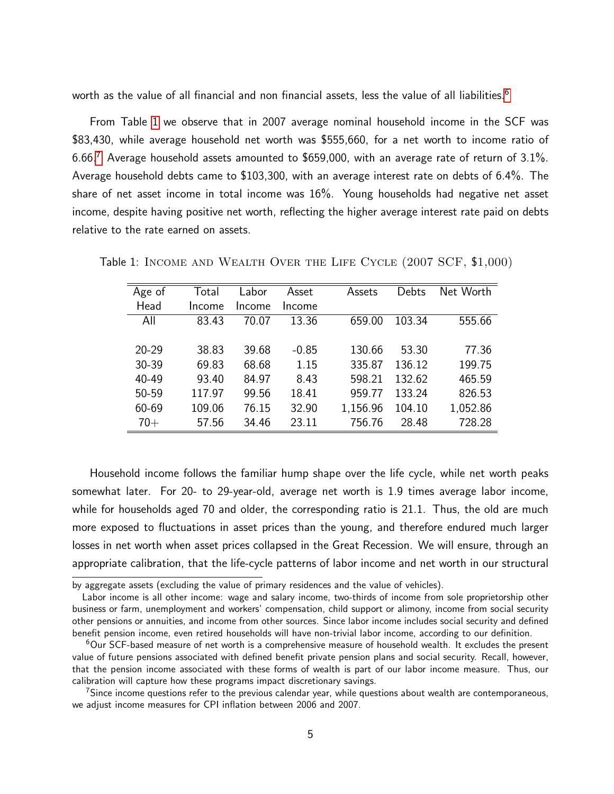worth as the value of all financial and non financial assets, less the value of all liabilities.<sup>[6](#page-0-0)</sup>

From Table [1](#page-5-0) we observe that in 2007 average nominal household income in the SCF was \$83,430, while average household net worth was \$555,660, for a net worth to income ratio of 6.66.[7](#page-0-0) Average household assets amounted to \$659,000, with an average rate of return of 3.1%. Average household debts came to \$103,300, with an average interest rate on debts of 6.4%. The share of net asset income in total income was 16%. Young households had negative net asset income, despite having positive net worth, reflecting the higher average interest rate paid on debts relative to the rate earned on assets.

<span id="page-5-0"></span>

| Age of    | Total  | Labor  | Asset   | Assets   | Debts  | Net Worth |
|-----------|--------|--------|---------|----------|--------|-----------|
| Head      | Income | Income | Income  |          |        |           |
| All       | 83.43  | 70.07  | 13.36   | 659.00   | 103.34 | 555.66    |
|           |        |        |         |          |        |           |
| $20 - 29$ | 38.83  | 39.68  | $-0.85$ | 130.66   | 53.30  | 77.36     |
| 30-39     | 69.83  | 68.68  | 1.15    | 335.87   | 136.12 | 199.75    |
| 40-49     | 93.40  | 84.97  | 8.43    | 598.21   | 132.62 | 465.59    |
| 50-59     | 117.97 | 99.56  | 18.41   | 959.77   | 133.24 | 826.53    |
| 60-69     | 109.06 | 76.15  | 32.90   | 1,156.96 | 104.10 | 1,052.86  |
| $70+$     | 57.56  | 34.46  | 23.11   | 756.76   | 28.48  | 728.28    |

Table 1: Income and Wealth Over the Life Cycle (2007 SCF, \$1,000)

Household income follows the familiar hump shape over the life cycle, while net worth peaks somewhat later. For 20- to 29-year-old, average net worth is 1.9 times average labor income, while for households aged 70 and older, the corresponding ratio is 21.1. Thus, the old are much more exposed to fluctuations in asset prices than the young, and therefore endured much larger losses in net worth when asset prices collapsed in the Great Recession. We will ensure, through an appropriate calibration, that the life-cycle patterns of labor income and net worth in our structural

by aggregate assets (excluding the value of primary residences and the value of vehicles).

Labor income is all other income: wage and salary income, two-thirds of income from sole proprietorship other business or farm, unemployment and workers' compensation, child support or alimony, income from social security other pensions or annuities, and income from other sources. Since labor income includes social security and defined benefit pension income, even retired households will have non-trivial labor income, according to our definition.

<sup>&</sup>lt;sup>6</sup>Our SCF-based measure of net worth is a comprehensive measure of household wealth. It excludes the present value of future pensions associated with defined benefit private pension plans and social security. Recall, however, that the pension income associated with these forms of wealth is part of our labor income measure. Thus, our calibration will capture how these programs impact discretionary savings.

 $<sup>7</sup>$ Since income questions refer to the previous calendar year, while questions about wealth are contemporaneous,</sup> we adjust income measures for CPI inflation between 2006 and 2007.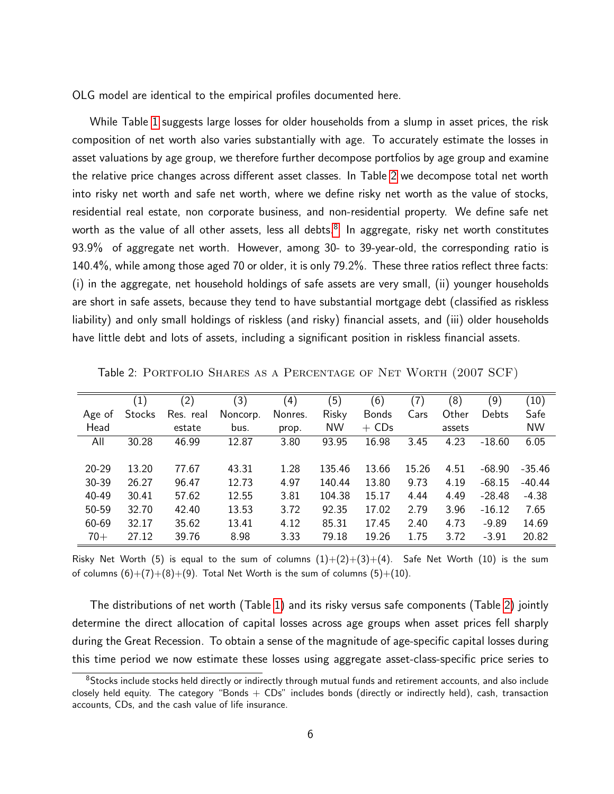OLG model are identical to the empirical profiles documented here.

While Table [1](#page-5-0) suggests large losses for older households from a slump in asset prices, the risk composition of net worth also varies substantially with age. To accurately estimate the losses in asset valuations by age group, we therefore further decompose portfolios by age group and examine the relative price changes across different asset classes. In Table [2](#page-6-0) we decompose total net worth into risky net worth and safe net worth, where we define risky net worth as the value of stocks, residential real estate, non corporate business, and non-residential property. We define safe net worth as the value of all other assets, less all debts. $^8$  $^8$  In aggregate, risky net worth constitutes 93.9% of aggregate net worth. However, among 30- to 39-year-old, the corresponding ratio is 140.4%, while among those aged 70 or older, it is only 79.2%. These three ratios reflect three facts: (i) in the aggregate, net household holdings of safe assets are very small, (ii) younger households are short in safe assets, because they tend to have substantial mortgage debt (classified as riskless liability) and only small holdings of riskless (and risky) financial assets, and (iii) older households have little debt and lots of assets, including a significant position in riskless financial assets.

|           | (1)           | (2)       | (3)      | $\left( 4\right)$ | (5)       | (6)     | (7)   | (8)    | (9           | (10)      |
|-----------|---------------|-----------|----------|-------------------|-----------|---------|-------|--------|--------------|-----------|
| Age of    | <b>Stocks</b> | Res. real | Noncorp. | Nonres.           | Risky     | Bonds   | Cars  | Other  | <b>Debts</b> | Safe      |
| Head      |               | estate    | bus.     | prop.             | <b>NW</b> | $+$ CDs |       | assets |              | <b>NW</b> |
| All       | 30.28         | 46.99     | 12.87    | 3.80              | 93.95     | 16.98   | 3.45  | 4.23   | $-18.60$     | 6.05      |
|           |               |           |          |                   |           |         |       |        |              |           |
| $20 - 29$ | 13.20         | 77.67     | 43.31    | 1.28              | 135.46    | 13.66   | 15.26 | 4.51   | $-68.90$     | $-35.46$  |
| 30-39     | 26.27         | 96.47     | 12.73    | 4.97              | 140.44    | 13.80   | 9.73  | 4.19   | $-68.15$     | $-40.44$  |
| $40 - 49$ | 30.41         | 57.62     | 12.55    | 3.81              | 104.38    | 15.17   | 4.44  | 4.49   | $-28.48$     | $-4.38$   |
| 50-59     | 32.70         | 42.40     | 13.53    | 3.72              | 92.35     | 17.02   | 2.79  | 3.96   | $-16.12$     | 7.65      |
| 60-69     | 32.17         | 35.62     | 13.41    | 4.12              | 85.31     | 17.45   | 2.40  | 4.73   | $-9.89$      | 14.69     |
| $70+$     | 27.12         | 39.76     | 8.98     | 3.33              | 79.18     | 19.26   | 1.75  | 3.72   | $-3.91$      | 20.82     |

<span id="page-6-0"></span>Table 2: Portfolio Shares as a Percentage of Net Worth (2007 SCF)

Risky Net Worth (5) is equal to the sum of columns  $(1)+(2)+(3)+(4)$ . Safe Net Worth (10) is the sum of columns  $(6)+(7)+(8)+(9)$ . Total Net Worth is the sum of columns  $(5)+(10)$ .

The distributions of net worth (Table [1\)](#page-5-0) and its risky versus safe components (Table [2\)](#page-6-0) jointly determine the direct allocation of capital losses across age groups when asset prices fell sharply during the Great Recession. To obtain a sense of the magnitude of age-specific capital losses during this time period we now estimate these losses using aggregate asset-class-specific price series to

<sup>&</sup>lt;sup>8</sup>Stocks include stocks held directly or indirectly through mutual funds and retirement accounts, and also include closely held equity. The category "Bonds  $+$  CDs" includes bonds (directly or indirectly held), cash, transaction accounts, CDs, and the cash value of life insurance.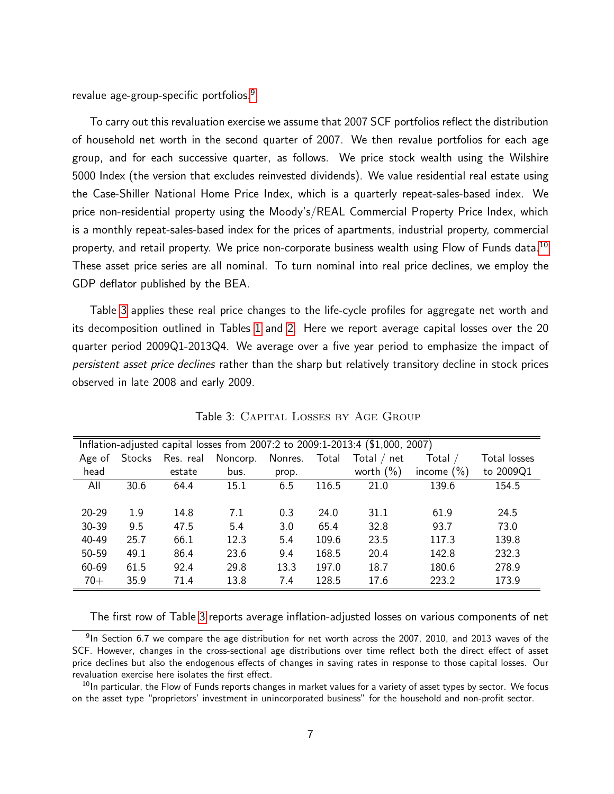revalue age-group-specific portfolios.[9](#page-0-0)

To carry out this revaluation exercise we assume that 2007 SCF portfolios reflect the distribution of household net worth in the second quarter of 2007. We then revalue portfolios for each age group, and for each successive quarter, as follows. We price stock wealth using the Wilshire 5000 Index (the version that excludes reinvested dividends). We value residential real estate using the Case-Shiller National Home Price Index, which is a quarterly repeat-sales-based index. We price non-residential property using the Moody's/REAL Commercial Property Price Index, which is a monthly repeat-sales-based index for the prices of apartments, industrial property, commercial property, and retail property. We price non-corporate business wealth using Flow of Funds data.<sup>[10](#page-0-0)</sup> These asset price series are all nominal. To turn nominal into real price declines, we employ the GDP deflator published by the BEA.

Table [3](#page-7-0) applies these real price changes to the life-cycle profiles for aggregate net worth and its decomposition outlined in Tables [1](#page-5-0) and [2.](#page-6-0) Here we report average capital losses over the 20 quarter period 2009Q1-2013Q4. We average over a five year period to emphasize the impact of persistent asset price declines rather than the sharp but relatively transitory decline in stock prices observed in late 2008 and early 2009.

| Inflation-adjusted capital losses from 2007:2 to 2009:1-2013:4 (\$1,000, 2007) |        |           |          |         |       |                  |               |              |
|--------------------------------------------------------------------------------|--------|-----------|----------|---------|-------|------------------|---------------|--------------|
| Age of                                                                         | Stocks | Res. real | Noncorp. | Nonres. | Total | Total $/$<br>net | Total $/$     | Total losses |
| head                                                                           |        | estate    | bus.     | prop.   |       | worth $(\% )$    | income $(\%)$ | to 2009Q1    |
| All                                                                            | 30.6   | 64.4      | 15.1     | 6.5     | 116.5 | 21.0             | 139.6         | 154.5        |
|                                                                                |        |           |          |         |       |                  |               |              |
| 20-29                                                                          | 1.9    | 14.8      | 7.1      | 0.3     | 24.0  | 31.1             | 61.9          | 24.5         |
| $30 - 39$                                                                      | 9.5    | 47.5      | 5.4      | 3.0     | 65.4  | 32.8             | 93.7          | 73.0         |
| 40-49                                                                          | 25.7   | 66.1      | 12.3     | 5.4     | 109.6 | 23.5             | 117.3         | 139.8        |
| 50-59                                                                          | 49.1   | 86.4      | 23.6     | 9.4     | 168.5 | 20.4             | 142.8         | 232.3        |
| 60-69                                                                          | 61.5   | 92.4      | 29.8     | 13.3    | 197.0 | 18.7             | 180.6         | 278.9        |
| $70+$                                                                          | 35.9   | 71.4      | 13.8     | 7.4     | 128.5 | 17.6             | 223.2         | 173.9        |

<span id="page-7-0"></span>Table 3: CAPITAL LOSSES BY AGE GROUP

The first row of Table [3](#page-7-0) reports average inflation-adjusted losses on various components of net

 $^9$ In Section 6.7 we compare the age distribution for net worth across the 2007, 2010, and 2013 waves of the SCF. However, changes in the cross-sectional age distributions over time reflect both the direct effect of asset price declines but also the endogenous effects of changes in saving rates in response to those capital losses. Our revaluation exercise here isolates the first effect.

 $10$ In particular, the Flow of Funds reports changes in market values for a variety of asset types by sector. We focus on the asset type "proprietors' investment in unincorporated business" for the household and non-profit sector.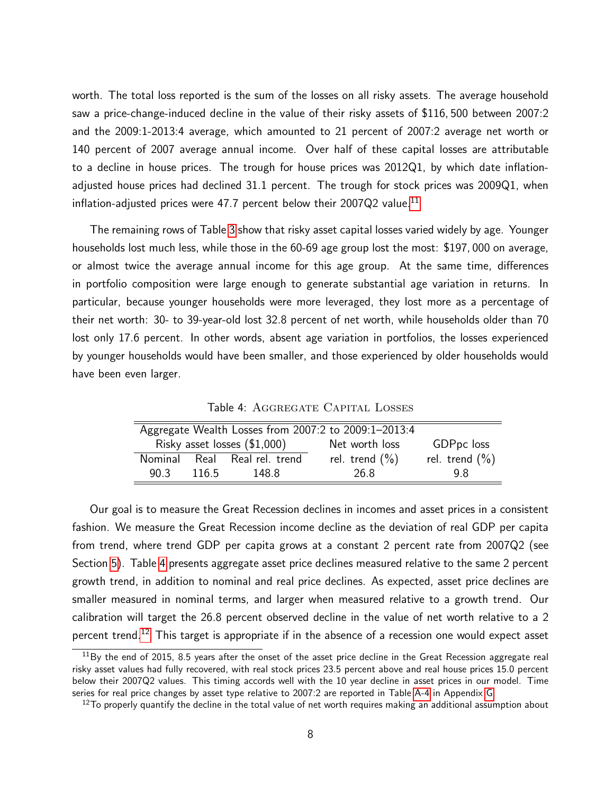worth. The total loss reported is the sum of the losses on all risky assets. The average household saw a price-change-induced decline in the value of their risky assets of \$116, 500 between 2007:2 and the 2009:1-2013:4 average, which amounted to 21 percent of 2007:2 average net worth or 140 percent of 2007 average annual income. Over half of these capital losses are attributable to a decline in house prices. The trough for house prices was 2012Q1, by which date inflationadjusted house prices had declined 31.1 percent. The trough for stock prices was 2009Q1, when inflation-adjusted prices were 47.7 percent below their 2007Q2 value.<sup>[11](#page-0-0)</sup>

The remaining rows of Table [3](#page-7-0) show that risky asset capital losses varied widely by age. Younger households lost much less, while those in the 60-69 age group lost the most: \$197, 000 on average, or almost twice the average annual income for this age group. At the same time, differences in portfolio composition were large enough to generate substantial age variation in returns. In particular, because younger households were more leveraged, they lost more as a percentage of their net worth: 30- to 39-year-old lost 32.8 percent of net worth, while households older than 70 lost only 17.6 percent. In other words, absent age variation in portfolios, the losses experienced by younger households would have been smaller, and those experienced by older households would have been even larger.

<span id="page-8-0"></span>Table 4: Aggregate Capital Losses

|                              | Aggregate Wealth Losses from 2007:2 to 2009:1-2013:4 |                              |                   |                    |  |  |
|------------------------------|------------------------------------------------------|------------------------------|-------------------|--------------------|--|--|
| Risky asset losses (\$1,000) |                                                      |                              | Net worth loss    | GDPpc loss         |  |  |
|                              |                                                      | Nominal Real Real rel. trend | rel. trend $(\%)$ | rel. trend $(\% )$ |  |  |
| 90.3                         | 116.5                                                | 148.8                        | 26.8              | 98                 |  |  |

Our goal is to measure the Great Recession declines in incomes and asset prices in a consistent fashion. We measure the Great Recession income decline as the deviation of real GDP per capita from trend, where trend GDP per capita grows at a constant 2 percent rate from 2007Q2 (see Section [5\)](#page-18-0). Table [4](#page-8-0) presents aggregate asset price declines measured relative to the same 2 percent growth trend, in addition to nominal and real price declines. As expected, asset price declines are smaller measured in nominal terms, and larger when measured relative to a growth trend. Our calibration will target the 26.8 percent observed decline in the value of net worth relative to a 2 percent trend.<sup>[12](#page-0-0)</sup> This target is appropriate if in the absence of a recession one would expect asset

 $11$ By the end of 2015, 8.5 years after the onset of the asset price decline in the Great Recession aggregate real risky asset values had fully recovered, with real stock prices 23.5 percent above and real house prices 15.0 percent below their 2007Q2 values. This timing accords well with the 10 year decline in asset prices in our model. Time series for real price changes by asset type relative to 2007:2 are reported in Table [A-4](#page-8-0) in Appendix [G.](#page-74-0)

 $12$ To properly quantify the decline in the total value of net worth requires making an additional assumption about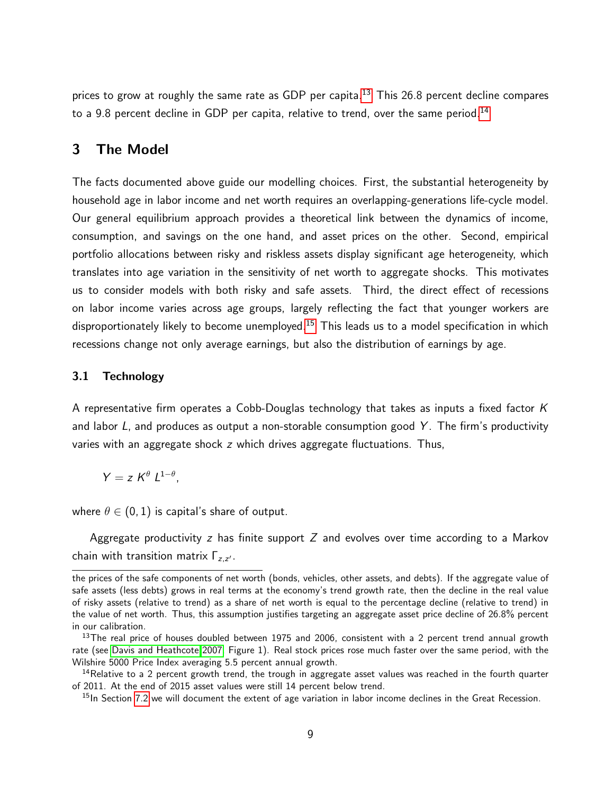prices to grow at roughly the same rate as GDP per capita.<sup>[13](#page-0-0)</sup> This 26.8 percent decline compares to a  $9.8$  percent decline in GDP per capita, relative to trend, over the same period.<sup>[14](#page-0-0)</sup>

## <span id="page-9-0"></span>3 The Model

The facts documented above guide our modelling choices. First, the substantial heterogeneity by household age in labor income and net worth requires an overlapping-generations life-cycle model. Our general equilibrium approach provides a theoretical link between the dynamics of income, consumption, and savings on the one hand, and asset prices on the other. Second, empirical portfolio allocations between risky and riskless assets display significant age heterogeneity, which translates into age variation in the sensitivity of net worth to aggregate shocks. This motivates us to consider models with both risky and safe assets. Third, the direct effect of recessions on labor income varies across age groups, largely reflecting the fact that younger workers are disproportionately likely to become unemployed.<sup>[15](#page-0-0)</sup> This leads us to a model specification in which recessions change not only average earnings, but also the distribution of earnings by age.

#### 3.1 Technology

A representative firm operates a Cobb-Douglas technology that takes as inputs a fixed factor  $K$ and labor  $L$ , and produces as output a non-storable consumption good Y. The firm's productivity varies with an aggregate shock z which drives aggregate fluctuations. Thus,

$$
Y=z\;K^{\theta}\;L^{1-\theta},
$$

where  $\theta \in (0, 1)$  is capital's share of output.

Aggregate productivity z has finite support  $Z$  and evolves over time according to a Markov chain with transition matrix  $\Gamma_{z,z'}$ .

the prices of the safe components of net worth (bonds, vehicles, other assets, and debts). If the aggregate value of safe assets (less debts) grows in real terms at the economy's trend growth rate, then the decline in the real value of risky assets (relative to trend) as a share of net worth is equal to the percentage decline (relative to trend) in the value of net worth. Thus, this assumption justifies targeting an aggregate asset price decline of 26.8% percent in our calibration.

 $13$ The real price of houses doubled between 1975 and 2006, consistent with a 2 percent trend annual growth rate (see [Davis and Heathcote 2007,](#page-48-9) Figure 1). Real stock prices rose much faster over the same period, with the Wilshire 5000 Price Index averaging 5.5 percent annual growth.

<sup>&</sup>lt;sup>14</sup>Relative to a 2 percent growth trend, the trough in aggregate asset values was reached in the fourth quarter of 2011. At the end of 2015 asset values were still 14 percent below trend.

 $<sup>15</sup>$ In Section [7.2](#page-44-0) we will document the extent of age variation in labor income declines in the Great Recession.</sup>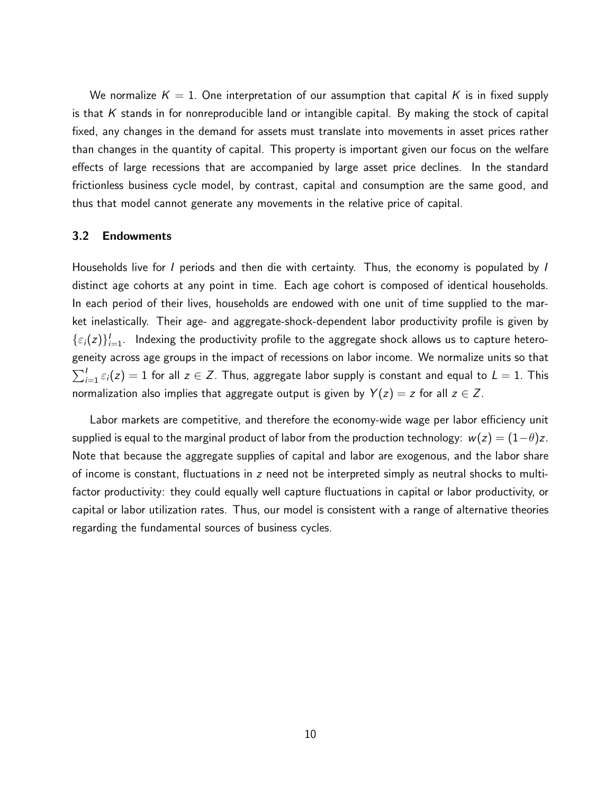We normalize  $K = 1$ . One interpretation of our assumption that capital K is in fixed supply is that  $K$  stands in for nonreproducible land or intangible capital. By making the stock of capital fixed, any changes in the demand for assets must translate into movements in asset prices rather than changes in the quantity of capital. This property is important given our focus on the welfare effects of large recessions that are accompanied by large asset price declines. In the standard frictionless business cycle model, by contrast, capital and consumption are the same good, and thus that model cannot generate any movements in the relative price of capital.

#### 3.2 Endowments

Households live for I periods and then die with certainty. Thus, the economy is populated by I distinct age cohorts at any point in time. Each age cohort is composed of identical households. In each period of their lives, households are endowed with one unit of time supplied to the market inelastically. Their age- and aggregate-shock-dependent labor productivity profile is given by  $\{\varepsilon_i(z)\}_{i=1}^I$ . Indexing the productivity profile to the aggregate shock allows us to capture heterogeneity across age groups in the impact of recessions on labor income. We normalize units so that  $\sum_{i=1}^I \varepsilon_i(z) = 1$  for all  $z \in Z$ . Thus, aggregate labor supply is constant and equal to  $L=1$ . This normalization also implies that aggregate output is given by  $Y(z) = z$  for all  $z \in Z$ .

Labor markets are competitive, and therefore the economy-wide wage per labor efficiency unit supplied is equal to the marginal product of labor from the production technology:  $w(z) = (1-\theta)z$ . Note that because the aggregate supplies of capital and labor are exogenous, and the labor share of income is constant, fluctuations in z need not be interpreted simply as neutral shocks to multifactor productivity: they could equally well capture fluctuations in capital or labor productivity, or capital or labor utilization rates. Thus, our model is consistent with a range of alternative theories regarding the fundamental sources of business cycles.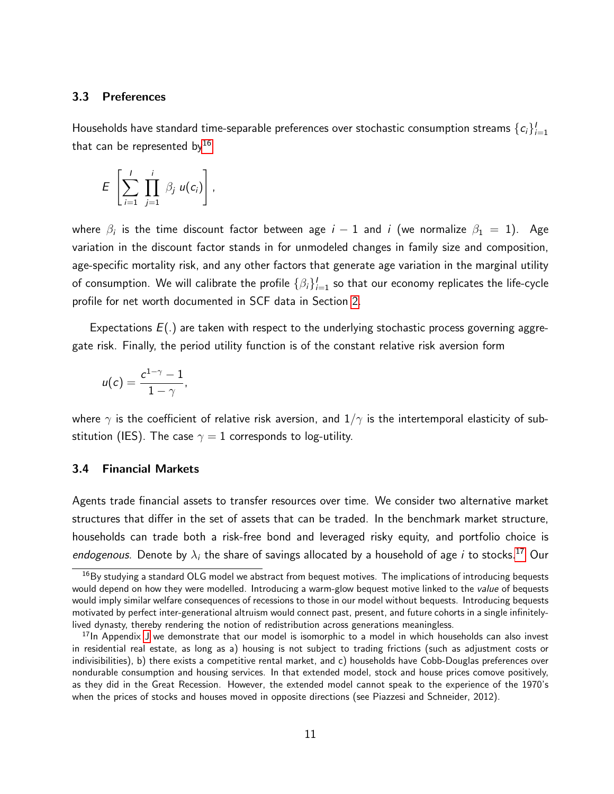#### 3.3 Preferences

Households have standard time-separable preferences over stochastic consumption streams  $\{c_i\}_{i=1}^l$ that can be represented by $^{16}$  $^{16}$  $^{16}$ 

$$
E\left[\sum_{i=1}^I\prod_{j=1}^i\beta_j u(c_i)\right],
$$

where  $\beta_i$  is the time discount factor between age  $i-1$  and  $i$  (we normalize  $\beta_1\,=\,1).$  Age variation in the discount factor stands in for unmodeled changes in family size and composition, age-specific mortality risk, and any other factors that generate age variation in the marginal utility of consumption. We will calibrate the profile  $\{\beta_i\}_{i=1}^I$  so that our economy replicates the life-cycle profile for net worth documented in SCF data in Section [2.](#page-4-0)

Expectations  $E(.)$  are taken with respect to the underlying stochastic process governing aggregate risk. Finally, the period utility function is of the constant relative risk aversion form

$$
u(c)=\frac{c^{1-\gamma}-1}{1-\gamma},
$$

where  $\gamma$  is the coefficient of relative risk aversion, and  $1/\gamma$  is the intertemporal elasticity of substitution (IES). The case  $\gamma = 1$  corresponds to log-utility.

#### 3.4 Financial Markets

Agents trade financial assets to transfer resources over time. We consider two alternative market structures that differ in the set of assets that can be traded. In the benchmark market structure, households can trade both a risk-free bond and leveraged risky equity, and portfolio choice is endogenous. Denote by  $\lambda_i$  the share of savings allocated by a household of age i to stocks.<sup>[17](#page-0-0)</sup> Our

 $16$ By studying a standard OLG model we abstract from bequest motives. The implications of introducing bequests would depend on how they were modelled. Introducing a warm-glow bequest motive linked to the value of bequests would imply similar welfare consequences of recessions to those in our model without bequests. Introducing bequests motivated by perfect inter-generational altruism would connect past, present, and future cohorts in a single infinitelylived dynasty, thereby rendering the notion of redistribution across generations meaningless.

 $17$ In Appendix [J](#page-82-0) we demonstrate that our model is isomorphic to a model in which households can also invest in residential real estate, as long as a) housing is not subject to trading frictions (such as adjustment costs or indivisibilities), b) there exists a competitive rental market, and c) households have Cobb-Douglas preferences over nondurable consumption and housing services. In that extended model, stock and house prices comove positively, as they did in the Great Recession. However, the extended model cannot speak to the experience of the 1970's when the prices of stocks and houses moved in opposite directions (see Piazzesi and Schneider, 2012).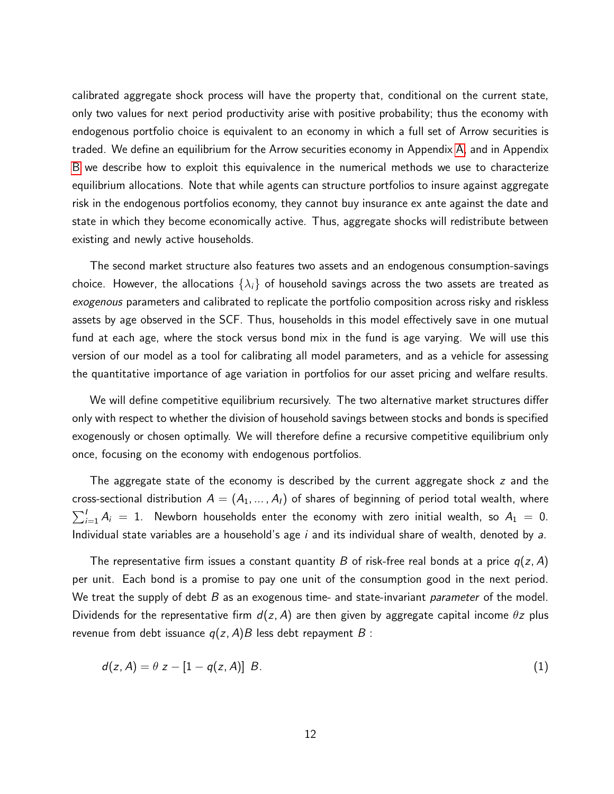calibrated aggregate shock process will have the property that, conditional on the current state, only two values for next period productivity arise with positive probability; thus the economy with endogenous portfolio choice is equivalent to an economy in which a full set of Arrow securities is traded. We define an equilibrium for the Arrow securities economy in Appendix [A,](#page-51-0) and in Appendix [B](#page-53-0) we describe how to exploit this equivalence in the numerical methods we use to characterize equilibrium allocations. Note that while agents can structure portfolios to insure against aggregate risk in the endogenous portfolios economy, they cannot buy insurance ex ante against the date and state in which they become economically active. Thus, aggregate shocks will redistribute between existing and newly active households.

The second market structure also features two assets and an endogenous consumption-savings choice. However, the allocations  $\{\lambda_i\}$  of household savings across the two assets are treated as exogenous parameters and calibrated to replicate the portfolio composition across risky and riskless assets by age observed in the SCF. Thus, households in this model effectively save in one mutual fund at each age, where the stock versus bond mix in the fund is age varying. We will use this version of our model as a tool for calibrating all model parameters, and as a vehicle for assessing the quantitative importance of age variation in portfolios for our asset pricing and welfare results.

We will define competitive equilibrium recursively. The two alternative market structures differ only with respect to whether the division of household savings between stocks and bonds is specified exogenously or chosen optimally. We will therefore define a recursive competitive equilibrium only once, focusing on the economy with endogenous portfolios.

The aggregate state of the economy is described by the current aggregate shock  $z$  and the cross-sectional distribution  $A = (A_1, ..., A_l)$  of shares of beginning of period total wealth, where  $\sum_{i=1}^{I} A_i = 1$ . Newborn households enter the economy with zero initial wealth, so  $A_1 = 0$ . Individual state variables are a household's age  $i$  and its individual share of wealth, denoted by a.

The representative firm issues a constant quantity B of risk-free real bonds at a price  $q(z, A)$ per unit. Each bond is a promise to pay one unit of the consumption good in the next period. We treat the supply of debt  $B$  as an exogenous time- and state-invariant *parameter* of the model. Dividends for the representative firm  $d(z, A)$  are then given by aggregate capital income  $\theta z$  plus revenue from debt issuance  $q(z, A)B$  less debt repayment B :

<span id="page-12-0"></span>
$$
d(z, A) = \theta z - [1 - q(z, A)] B. \tag{1}
$$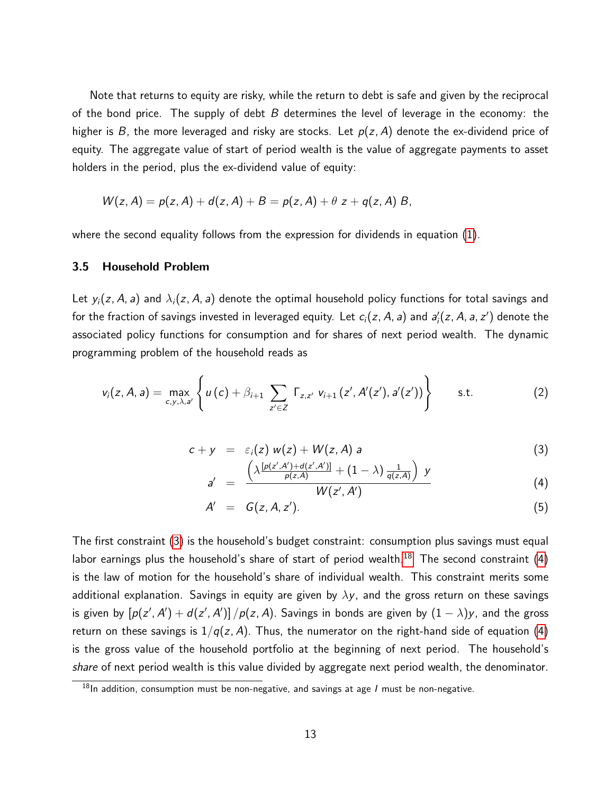Note that returns to equity are risky, while the return to debt is safe and given by the reciprocal of the bond price. The supply of debt  $B$  determines the level of leverage in the economy: the higher is B, the more leveraged and risky are stocks. Let  $p(z, A)$  denote the ex-dividend price of equity. The aggregate value of start of period wealth is the value of aggregate payments to asset holders in the period, plus the ex-dividend value of equity:

$$
W(z, A) = p(z, A) + d(z, A) + B = p(z, A) + \theta z + q(z, A) B,
$$

where the second equality follows from the expression for dividends in equation [\(1\)](#page-12-0).

#### 3.5 Household Problem

Let  $y_i(z, A, a)$  and  $\lambda_i(z, A, a)$  denote the optimal household policy functions for total savings and for the fraction of savings invested in leveraged equity. Let  $c_i(z, A, a)$  and  $a_i'(z, A, a, z')$  denote the associated policy functions for consumption and for shares of next period wealth. The dynamic programming problem of the household reads as

$$
v_i(z, A, a) = \max_{c, y, \lambda, a'} \left\{ u(c) + \beta_{i+1} \sum_{z' \in Z} \Gamma_{z, z'} \ v_{i+1}(z', A'(z'), a'(z')) \right\} \qquad \text{s.t.} \tag{2}
$$

<span id="page-13-0"></span>
$$
c + y = \varepsilon_i(z) w(z) + W(z, A) a \tag{3}
$$

$$
a' = \frac{\left(\lambda \frac{[\rho(z',A')] + d(z',A')] }{\rho(z,A)} + (1-\lambda) \frac{1}{q(z,A)}\right) y}{W(z',A')}
$$
(4)

$$
A' = G(z, A, z'). \tag{5}
$$

The first constraint [\(3\)](#page-13-0) is the household's budget constraint: consumption plus savings must equal labor earnings plus the household's share of start of period wealth.<sup>[18](#page-0-0)</sup> The second constraint [\(4\)](#page-13-0) is the law of motion for the household's share of individual wealth. This constraint merits some additional explanation. Savings in equity are given by  $\lambda y$ , and the gross return on these savings is given by  $[p(z', A') + d(z', A')] / p(z, A)$ . Savings in bonds are given by  $(1 - \lambda)y$ , and the gross return on these savings is  $1/q(z, A)$ . Thus, the numerator on the right-hand side of equation [\(4\)](#page-13-0) is the gross value of the household portfolio at the beginning of next period. The household's share of next period wealth is this value divided by aggregate next period wealth, the denominator.

 $18$ In addition, consumption must be non-negative, and savings at age *I* must be non-negative.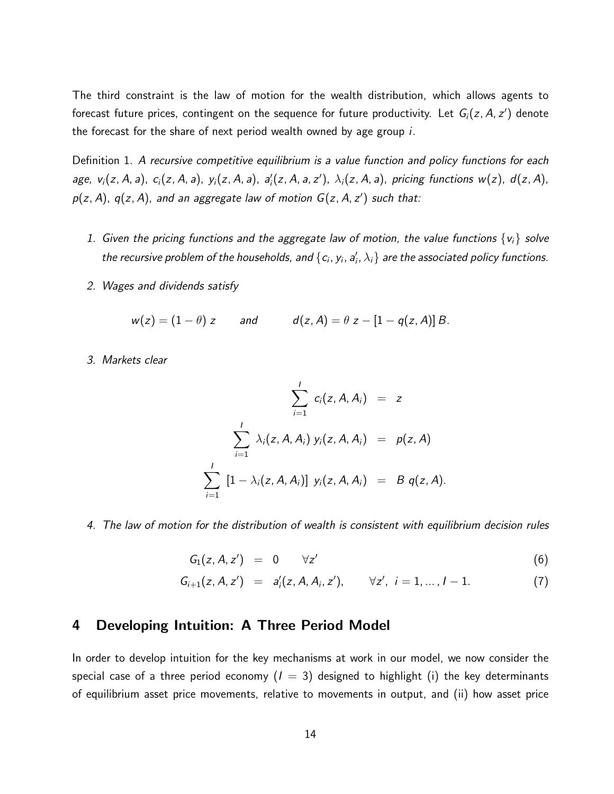The third constraint is the law of motion for the wealth distribution, which allows agents to forecast future prices, contingent on the sequence for future productivity. Let  $G_i(z, A, z^{\prime})$  denote the forecast for the share of next period wealth owned by age group *i*.

Definition 1. A recursive competitive equilibrium is a value function and policy functions for each age,  $v_i(z, A, a)$ ,  $c_i(z, A, a)$ ,  $y_i(z, A, a)$ ,  $a'_i(z, A, a, z')$ ,  $\lambda_i(z, A, a)$ , pricing functions  $w(z)$ ,  $d(z, A)$ ,  $p(z, A)$ ,  $q(z, A)$ , and an aggregate law of motion  $G(z, A, z')$  such that:

- 1. Given the pricing functions and the aggregate law of motion, the value functions  $\{v_i\}$  solve the recursive problem of the households, and  $\{c_i, y_i, a'_i, \lambda_i\}$  are the associated policy functions.
- 2. Wages and dividends satisfy

$$
w(z) = (1 - \theta) z
$$
 and  $d(z, A) = \theta z - [1 - q(z, A)] B$ .

3. Markets clear

$$
\sum_{i=1}^{I} c_i(z, A, A_i) = z
$$
  

$$
\sum_{i=1}^{I} \lambda_i(z, A, A_i) y_i(z, A, A_i) = p(z, A)
$$
  

$$
\sum_{i=1}^{I} [1 - \lambda_i(z, A, A_i)] y_i(z, A, A_i) = B q(z, A).
$$

4. The law of motion for the distribution of wealth is consistent with equilibrium decision rules

$$
G_1(z, A, z') = 0 \qquad \forall z' \tag{6}
$$

$$
G_{i+1}(z, A, z') = a'_{i}(z, A, A_{i}, z'), \qquad \forall z', i = 1, ..., l-1.
$$
 (7)

### <span id="page-14-0"></span>4 Developing Intuition: A Three Period Model

In order to develop intuition for the key mechanisms at work in our model, we now consider the special case of a three period economy ( $I = 3$ ) designed to highlight (i) the key determinants of equilibrium asset price movements, relative to movements in output, and (ii) how asset price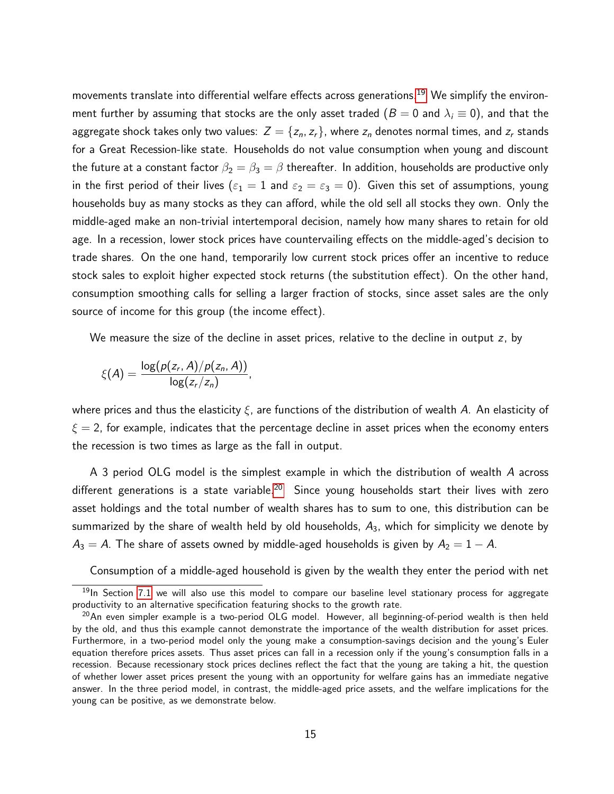movements translate into differential welfare effects across generations.<sup>[19](#page-0-0)</sup> We simplify the environment further by assuming that stocks are the only asset traded ( $B = 0$  and  $\lambda_i \equiv 0$ ), and that the aggregate shock takes only two values:  $Z = \{z_n, z_r\}$ , where  $z_n$  denotes normal times, and  $z_r$  stands for a Great Recession-like state. Households do not value consumption when young and discount the future at a constant factor  $\beta_2 = \beta_3 = \beta$  thereafter. In addition, households are productive only in the first period of their lives ( $\varepsilon_1 = 1$  and  $\varepsilon_2 = \varepsilon_3 = 0$ ). Given this set of assumptions, young households buy as many stocks as they can afford, while the old sell all stocks they own. Only the middle-aged make an non-trivial intertemporal decision, namely how many shares to retain for old age. In a recession, lower stock prices have countervailing effects on the middle-aged's decision to trade shares. On the one hand, temporarily low current stock prices offer an incentive to reduce stock sales to exploit higher expected stock returns (the substitution effect). On the other hand, consumption smoothing calls for selling a larger fraction of stocks, since asset sales are the only source of income for this group (the income effect).

We measure the size of the decline in asset prices, relative to the decline in output  $z$ , by

$$
\xi(A)=\frac{\log(p(z_r,A)/p(z_n,A))}{\log(z_r/z_n)},
$$

where prices and thus the elasticity  $\xi$ , are functions of the distribution of wealth A. An elasticity of  $\xi = 2$ , for example, indicates that the percentage decline in asset prices when the economy enters the recession is two times as large as the fall in output.

A 3 period OLG model is the simplest example in which the distribution of wealth A across different generations is a state variable.<sup>[20](#page-0-0)</sup> Since young households start their lives with zero asset holdings and the total number of wealth shares has to sum to one, this distribution can be summarized by the share of wealth held by old households,  $A_3$ , which for simplicity we denote by  $A_3 = A$ . The share of assets owned by middle-aged households is given by  $A_2 = 1 - A$ .

Consumption of a middle-aged household is given by the wealth they enter the period with net

 $19$ In Section [7.1](#page-42-1) we will also use this model to compare our baseline level stationary process for aggregate productivity to an alternative specification featuring shocks to the growth rate.

<sup>&</sup>lt;sup>20</sup>An even simpler example is a two-period OLG model. However, all beginning-of-period wealth is then held by the old, and thus this example cannot demonstrate the importance of the wealth distribution for asset prices. Furthermore, in a two-period model only the young make a consumption-savings decision and the young's Euler equation therefore prices assets. Thus asset prices can fall in a recession only if the young's consumption falls in a recession. Because recessionary stock prices declines reflect the fact that the young are taking a hit, the question of whether lower asset prices present the young with an opportunity for welfare gains has an immediate negative answer. In the three period model, in contrast, the middle-aged price assets, and the welfare implications for the young can be positive, as we demonstrate below.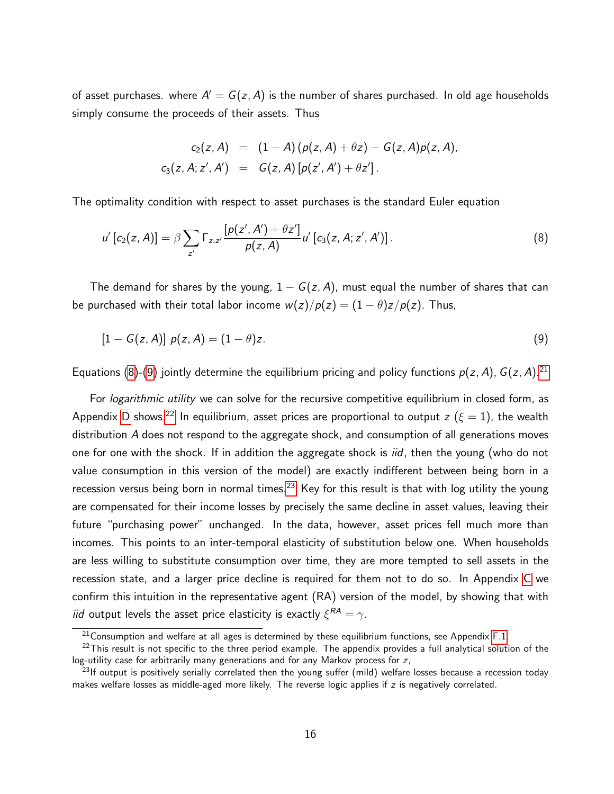of asset purchases. where  $A' = G(z, A)$  is the number of shares purchased. In old age households simply consume the proceeds of their assets. Thus

<span id="page-16-1"></span><span id="page-16-0"></span>
$$
c_2(z, A) = (1 - A) (p(z, A) + \theta z) - G(z, A) p(z, A),
$$
  

$$
c_3(z, A; z', A') = G(z, A) [p(z', A') + \theta z'].
$$

The optimality condition with respect to asset purchases is the standard Euler equation

$$
u'[c_2(z,A)] = \beta \sum_{z'} \Gamma_{z,z'} \frac{[\rho(z',A') + \theta z']}{\rho(z,A)} u'[c_3(z,A;z',A')]. \qquad (8)
$$

The demand for shares by the young,  $1 - G(z, A)$ , must equal the number of shares that can be purchased with their total labor income  $w(z)/p(z) = (1 - \theta)z/p(z)$ . Thus,

$$
[1 - G(z, A)] p(z, A) = (1 - \theta)z.
$$
\n(9)

Equations [\(8\)](#page-16-0)-[\(9\)](#page-16-1) jointly determine the equilibrium pricing and policy functions  $p(z, A)$ ,  $G(z, A)$ .<sup>[21](#page-0-0)</sup>

For *logarithmic utility* we can solve for the recursive competitive equilibrium in closed form, as Appendix [D](#page-62-0) shows.<sup>[22](#page-0-0)</sup> In equilibrium, asset prices are proportional to output  $z$  ( $\xi = 1$ ), the wealth distribution A does not respond to the aggregate shock, and consumption of all generations moves one for one with the shock. If in addition the aggregate shock is *iid*, then the young (who do not value consumption in this version of the model) are exactly indifferent between being born in a recession versus being born in normal times.<sup>[23](#page-0-0)</sup> Key for this result is that with log utility the young are compensated for their income losses by precisely the same decline in asset values, leaving their future "purchasing power" unchanged. In the data, however, asset prices fell much more than incomes. This points to an inter-temporal elasticity of substitution below one. When households are less willing to substitute consumption over time, they are more tempted to sell assets in the recession state, and a larger price decline is required for them not to do so. In Appendix [C](#page-60-0) we confirm this intuition in the representative agent (RA) version of the model, by showing that with *iid* output levels the asset price elasticity is exactly  $\xi^{RA} = \gamma$ .

 $21$ Consumption and welfare at all ages is determined by these equilibrium functions, see Appendix [F.1.](#page-72-0)

 $^{22}$ This result is not specific to the three period example. The appendix provides a full analytical solution of the log-utility case for arbitrarily many generations and for any Markov process for z,

 $^{23}$ If output is positively serially correlated then the young suffer (mild) welfare losses because a recession today makes welfare losses as middle-aged more likely. The reverse logic applies if z is negatively correlated.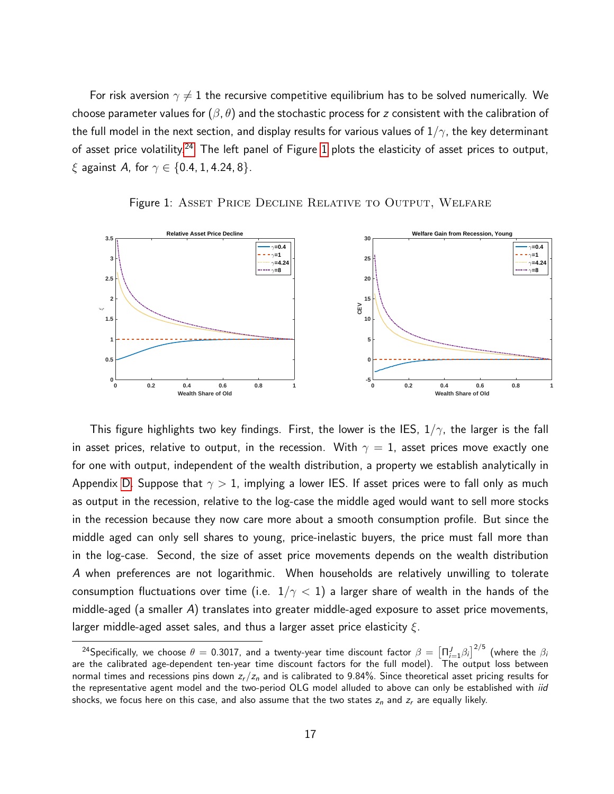For risk aversion  $\gamma\neq 1$  the recursive competitive equilibrium has to be solved numerically. We choose parameter values for  $(\beta, \theta)$  and the stochastic process for z consistent with the calibration of the full model in the next section, and display results for various values of  $1/\gamma$ , the key determinant of asset price volatility.<sup>[24](#page-0-0)</sup> The left panel of Figure [1](#page-17-0) plots the elasticity of asset prices to output,  $\xi$  against A, for  $\gamma \in \{0.4, 1, 4.24, 8\}.$ 



<span id="page-17-0"></span>

This figure highlights two key findings. First, the lower is the IES,  $1/\gamma$ , the larger is the fall in asset prices, relative to output, in the recession. With  $\gamma = 1$ , asset prices move exactly one for one with output, independent of the wealth distribution, a property we establish analytically in Appendix [D.](#page-62-0) Suppose that  $\gamma > 1$ , implying a lower IES. If asset prices were to fall only as much as output in the recession, relative to the log-case the middle aged would want to sell more stocks in the recession because they now care more about a smooth consumption profile. But since the middle aged can only sell shares to young, price-inelastic buyers, the price must fall more than in the log-case. Second, the size of asset price movements depends on the wealth distribution A when preferences are not logarithmic. When households are relatively unwilling to tolerate consumption fluctuations over time (i.e.  $1/\gamma < 1$ ) a larger share of wealth in the hands of the middle-aged (a smaller  $A$ ) translates into greater middle-aged exposure to asset price movements, larger middle-aged asset sales, and thus a larger asset price elasticity  $\xi$ .

 $^{24}$ Specifically, we choose  $\theta=0.3017$ , and a twenty-year time discount factor  $\beta=\left[\Pi_{i=1}^J\beta_i\right]^{2/5}$  (where the  $\beta_i$ are the calibrated age-dependent ten-year time discount factors for the full model). The output loss between normal times and recessions pins down  $z_r / z_n$  and is calibrated to 9.84%. Since theoretical asset pricing results for the representative agent model and the two-period OLG model alluded to above can only be established with *iid* shocks, we focus here on this case, and also assume that the two states  $z_n$  and  $z_r$  are equally likely.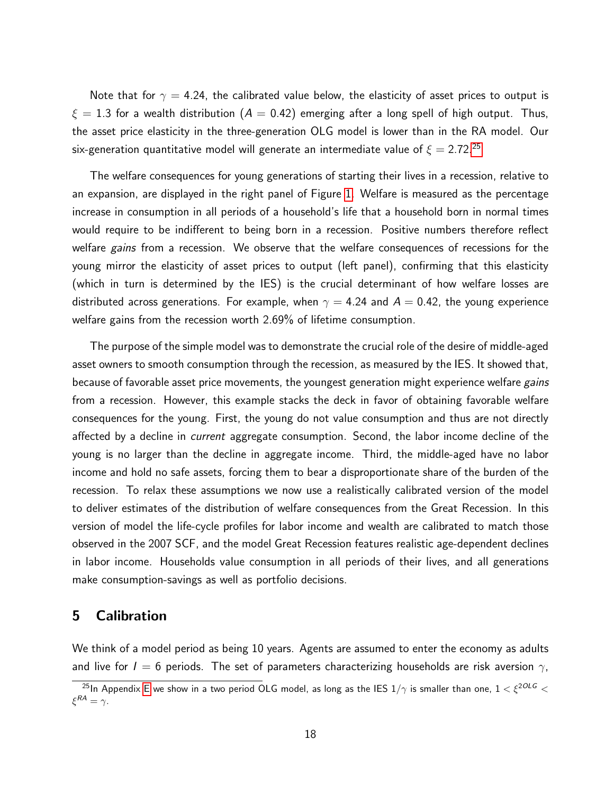Note that for  $\gamma = 4.24$ , the calibrated value below, the elasticity of asset prices to output is  $\xi = 1.3$  for a wealth distribution ( $A = 0.42$ ) emerging after a long spell of high output. Thus, the asset price elasticity in the three-generation OLG model is lower than in the RA model. Our six-generation quantitative model will generate an intermediate value of  $\xi = 2.72$ .<sup>[25](#page-0-0)</sup>

The welfare consequences for young generations of starting their lives in a recession, relative to an expansion, are displayed in the right panel of Figure [1.](#page-17-0) Welfare is measured as the percentage increase in consumption in all periods of a household's life that a household born in normal times would require to be indifferent to being born in a recession. Positive numbers therefore reflect welfare *gains* from a recession. We observe that the welfare consequences of recessions for the young mirror the elasticity of asset prices to output (left panel), confirming that this elasticity (which in turn is determined by the IES) is the crucial determinant of how welfare losses are distributed across generations. For example, when  $\gamma = 4.24$  and  $A = 0.42$ , the young experience welfare gains from the recession worth 2.69% of lifetime consumption.

The purpose of the simple model was to demonstrate the crucial role of the desire of middle-aged asset owners to smooth consumption through the recession, as measured by the IES. It showed that, because of favorable asset price movements, the youngest generation might experience welfare gains from a recession. However, this example stacks the deck in favor of obtaining favorable welfare consequences for the young. First, the young do not value consumption and thus are not directly affected by a decline in *current* aggregate consumption. Second, the labor income decline of the young is no larger than the decline in aggregate income. Third, the middle-aged have no labor income and hold no safe assets, forcing them to bear a disproportionate share of the burden of the recession. To relax these assumptions we now use a realistically calibrated version of the model to deliver estimates of the distribution of welfare consequences from the Great Recession. In this version of model the life-cycle profiles for labor income and wealth are calibrated to match those observed in the 2007 SCF, and the model Great Recession features realistic age-dependent declines in labor income. Households value consumption in all periods of their lives, and all generations make consumption-savings as well as portfolio decisions.

## <span id="page-18-0"></span>5 Calibration

We think of a model period as being 10 years. Agents are assumed to enter the economy as adults and live for  $I = 6$  periods. The set of parameters characterizing households are risk aversion  $\gamma$ ,

<sup>&</sup>lt;sup>25</sup>In Appendix [E](#page-67-0) we show in a two period OLG model, as long as the IES  $1/\gamma$  is smaller than one,  $1 < \xi^{2OLG} <$  $\xi^{RA} = \gamma$ .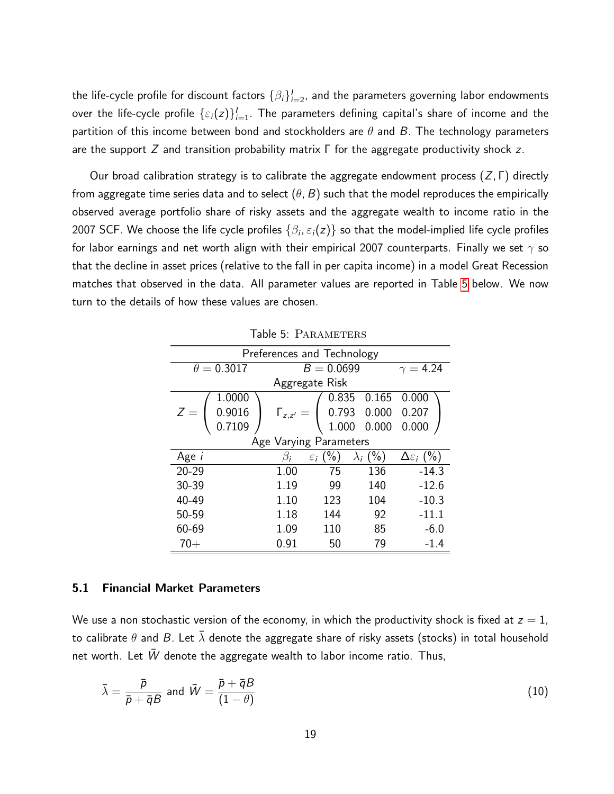the life-cycle profile for discount factors  $\{\beta_i\}_{i=2}^I$ , and the parameters governing labor endowments over the life-cycle profile  $\{\varepsilon_i(\pmb{z})\}_{i=1}^I.$  The parameters defining capital's share of income and the partition of this income between bond and stockholders are  $\theta$  and B. The technology parameters are the support  $Z$  and transition probability matrix  $\Gamma$  for the aggregate productivity shock z.

Our broad calibration strategy is to calibrate the aggregate endowment process  $(Z, Γ)$  directly from aggregate time series data and to select  $(\theta, B)$  such that the model reproduces the empirically observed average portfolio share of risky assets and the aggregate wealth to income ratio in the 2007 SCF. We choose the life cycle profiles  $\{\beta_i,\varepsilon_i(z)\}$  so that the model-implied life cycle profiles for labor earnings and net worth align with their empirical 2007 counterparts. Finally we set  $\gamma$  so that the decline in asset prices (relative to the fall in per capita income) in a model Great Recession matches that observed in the data. All parameter values are reported in Table [5](#page-19-0) below. We now turn to the details of how these values are chosen.

| Preferences and Technology |           |                        |                 |                           |  |  |
|----------------------------|-----------|------------------------|-----------------|---------------------------|--|--|
| $\theta = 0.3017$          |           | $B = 0.0699$           |                 |                           |  |  |
|                            |           | Aggregate Risk         |                 |                           |  |  |
| 1.0000                     |           | 0.835                  | 0.165           | 0.000                     |  |  |
| 0.9016                     |           | 0.793                  | 0.000           | 0.207                     |  |  |
| 0.7109                     |           | 1.000                  | 0.000           | 0.000                     |  |  |
|                            |           | Age Varying Parameters |                 |                           |  |  |
| Age i                      | $\beta_i$ | $\varepsilon_i$ (%)    | $\lambda_i$ (%) | $\Delta\varepsilon_i$ (%) |  |  |
| $20 - 29$                  | 1.00      | 75                     | 136             | $-14.3$                   |  |  |
| 30-39                      | 1.19      | 99                     | 140             | $-12.6$                   |  |  |
| 40-49                      | 1.10      | 123                    | 104             | $-10.3$                   |  |  |
| 50-59                      | 1.18      | 144                    | 92              | $-11.1$                   |  |  |
| 60-69                      | 1.09      | 110                    | 85              | $-6.0$                    |  |  |
| $70+$                      | 0.91      | 50                     | 79              | $-1.4$                    |  |  |

<span id="page-19-0"></span>Table 5: PARAMETERS

#### 5.1 Financial Market Parameters

We use a non stochastic version of the economy, in which the productivity shock is fixed at  $z = 1$ , to calibrate  $\theta$  and B. Let  $\bar{\lambda}$  denote the aggregate share of risky assets (stocks) in total household net worth. Let  $\bar{W}$  denote the aggregate wealth to labor income ratio. Thus,

<span id="page-19-1"></span>
$$
\bar{\lambda} = \frac{\bar{p}}{\bar{p} + \bar{q}B} \text{ and } \bar{W} = \frac{\bar{p} + \bar{q}B}{(1 - \theta)}\tag{10}
$$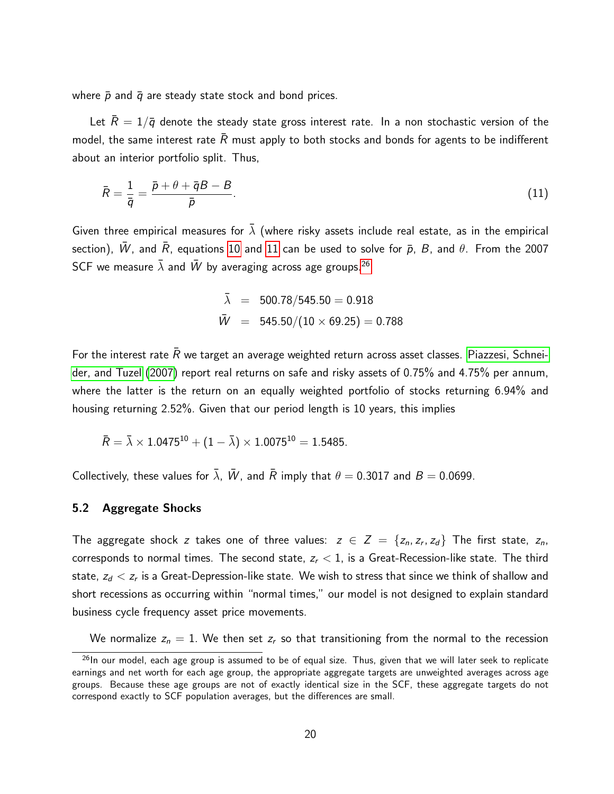where  $\bar{p}$  and  $\bar{q}$  are steady state stock and bond prices.

Let  $\bar{R} = 1/\bar{q}$  denote the steady state gross interest rate. In a non stochastic version of the model, the same interest rate  $\overline{R}$  must apply to both stocks and bonds for agents to be indifferent about an interior portfolio split. Thus,

$$
\bar{R} = \frac{1}{\bar{q}} = \frac{\bar{p} + \theta + \bar{q}B - B}{\bar{p}}.\tag{11}
$$

Given three empirical measures for  $\bar{\lambda}$  (where risky assets include real estate, as in the empirical section),  $\bar{W}$ , and  $\bar{R}$ , equations [10](#page-19-1) and [11](#page-20-0) can be used to solve for  $\bar{p}$ , B, and  $\theta$ . From the 2007 SCF we measure  $\bar{\lambda}$  and  $\bar{W}$  by averaging across age groups.<sup>[26](#page-0-0)</sup>

<span id="page-20-0"></span>
$$
\bar{\lambda} = 500.78/545.50 = 0.918
$$
  

$$
\bar{W} = 545.50/(10 \times 69.25) = 0.788
$$

For the interest rate  $\bar{R}$  we target an average weighted return across asset classes. [Piazzesi, Schnei](#page-50-9)[der, and Tuzel \(2007\)](#page-50-9) report real returns on safe and risky assets of 0.75% and 4.75% per annum, where the latter is the return on an equally weighted portfolio of stocks returning 6.94% and housing returning 2.52%. Given that our period length is 10 years, this implies

$$
\bar{R} = \bar{\lambda} \times 1.0475^{10} + (1 - \bar{\lambda}) \times 1.0075^{10} = 1.5485.
$$

Collectively, these values for  $\overline{\lambda}$ ,  $\overline{W}$ , and  $\overline{R}$  imply that  $\theta = 0.3017$  and  $B = 0.0699$ .

#### 5.2 Aggregate Shocks

The aggregate shock z takes one of three values:  $z \in Z = \{z_n, z_r, z_d\}$  The first state,  $z_n$ , corresponds to normal times. The second state,  $z_r < 1$ , is a Great-Recession-like state. The third state,  $z_d < z_r$  is a Great-Depression-like state. We wish to stress that since we think of shallow and short recessions as occurring within "normal times," our model is not designed to explain standard business cycle frequency asset price movements.

We normalize  $z_n = 1$ . We then set  $z_r$  so that transitioning from the normal to the recession

 $^{26}$ In our model, each age group is assumed to be of equal size. Thus, given that we will later seek to replicate earnings and net worth for each age group, the appropriate aggregate targets are unweighted averages across age groups. Because these age groups are not of exactly identical size in the SCF, these aggregate targets do not correspond exactly to SCF population averages, but the differences are small.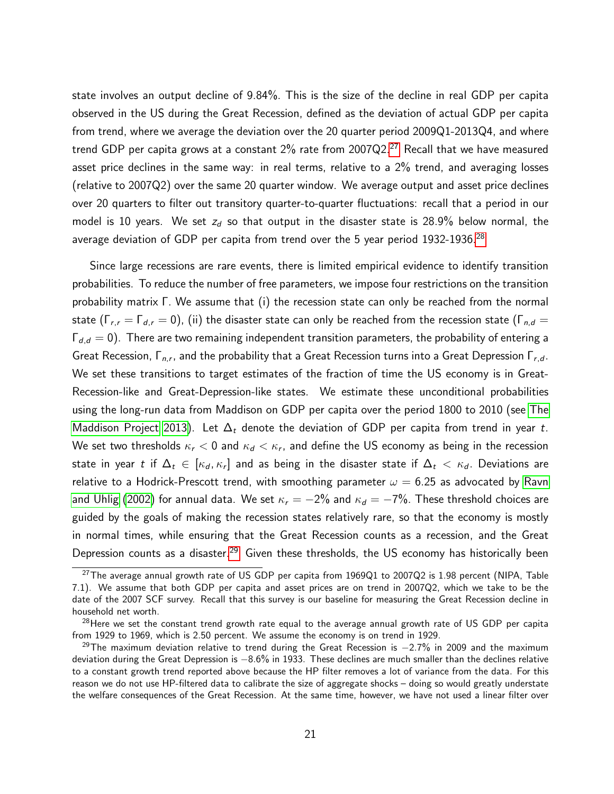state involves an output decline of 9.84%. This is the size of the decline in real GDP per capita observed in the US during the Great Recession, defined as the deviation of actual GDP per capita from trend, where we average the deviation over the 20 quarter period 2009Q1-2013Q4, and where trend GDP per capita grows at a constant  $2\%$  rate from  $2007Q2$ .<sup>[27](#page-0-0)</sup> Recall that we have measured asset price declines in the same way: in real terms, relative to a 2% trend, and averaging losses (relative to 2007Q2) over the same 20 quarter window. We average output and asset price declines over 20 quarters to filter out transitory quarter-to-quarter fluctuations: recall that a period in our model is 10 years. We set  $z_d$  so that output in the disaster state is 28.9% below normal, the average deviation of GDP per capita from trend over the 5 year period  $1932$ -1936.<sup>[28](#page-0-0)</sup>

Since large recessions are rare events, there is limited empirical evidence to identify transition probabilities. To reduce the number of free parameters, we impose four restrictions on the transition probability matrix Γ. We assume that (i) the recession state can only be reached from the normal state ( $\Gamma_{r,r} = \Gamma_{d,r} = 0$ ), (ii) the disaster state can only be reached from the recession state ( $\Gamma_{n,d} =$  $\Gamma_{d,d} = 0$ ). There are two remaining independent transition parameters, the probability of entering a Great Recession,  $\Gamma_{n,r}$ , and the probability that a Great Recession turns into a Great Depression  $\Gamma_{r,d}$ . We set these transitions to target estimates of the fraction of time the US economy is in Great-Recession-like and Great-Depression-like states. We estimate these unconditional probabilities using the long-run data from Maddison on GDP per capita over the period 1800 to 2010 (see [The](#page-50-10) [Maddison Project 2013\)](#page-50-10). Let  $\Delta_t$  denote the deviation of GDP per capita from trend in year t. We set two thresholds  $\kappa_r < 0$  and  $\kappa_d < \kappa_r$ , and define the US economy as being in the recession state in year  $t$  if  $\Delta_t\,\in\,[\kappa_d,\kappa_r]$  and as being in the disaster state if  $\Delta_t\,<\,\kappa_d.$  Deviations are relative to a Hodrick-Prescott trend, with smoothing parameter  $\omega = 6.25$  as advocated by [Ravn](#page-50-11) [and Uhlig \(2002\)](#page-50-11) for annual data. We set  $\kappa_r = -2\%$  and  $\kappa_d = -7\%$ . These threshold choices are guided by the goals of making the recession states relatively rare, so that the economy is mostly in normal times, while ensuring that the Great Recession counts as a recession, and the Great Depression counts as a disaster.<sup>[29](#page-0-0)</sup> Given these thresholds, the US economy has historically been

<sup>&</sup>lt;sup>27</sup>The average annual growth rate of US GDP per capita from 1969Q1 to 2007Q2 is 1.98 percent (NIPA, Table 7.1). We assume that both GDP per capita and asset prices are on trend in 2007Q2, which we take to be the date of the 2007 SCF survey. Recall that this survey is our baseline for measuring the Great Recession decline in household net worth.

 $^{28}$ Here we set the constant trend growth rate equal to the average annual growth rate of US GDP per capita from 1929 to 1969, which is 2.50 percent. We assume the economy is on trend in 1929.

<sup>&</sup>lt;sup>29</sup>The maximum deviation relative to trend during the Great Recession is  $-2.7\%$  in 2009 and the maximum deviation during the Great Depression is −8.6% in 1933. These declines are much smaller than the declines relative to a constant growth trend reported above because the HP filter removes a lot of variance from the data. For this reason we do not use HP-filtered data to calibrate the size of aggregate shocks – doing so would greatly understate the welfare consequences of the Great Recession. At the same time, however, we have not used a linear filter over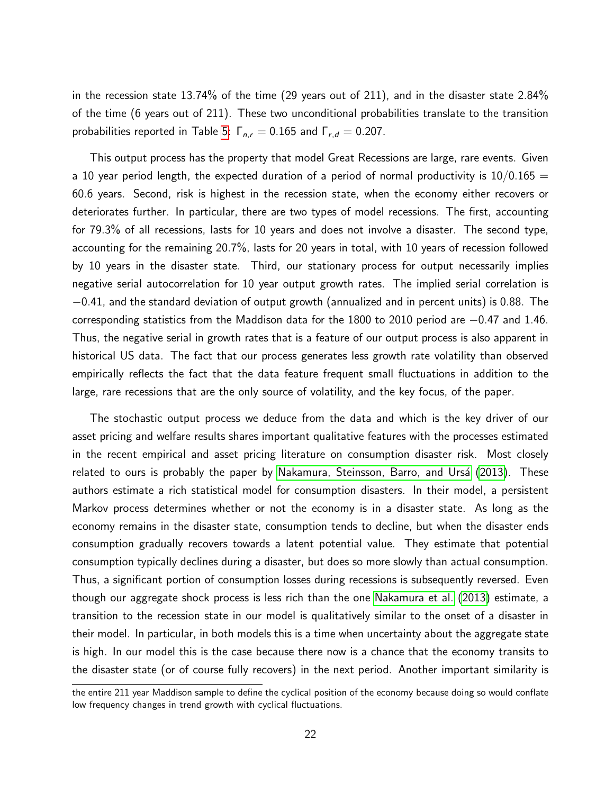in the recession state  $13.74\%$  of the time (29 years out of 211), and in the disaster state 2.84% of the time (6 years out of 211). These two unconditional probabilities translate to the transition probabilities reported in Table [5:](#page-19-0)  $\Gamma_{n,r} = 0.165$  and  $\Gamma_{r,d} = 0.207$ .

This output process has the property that model Great Recessions are large, rare events. Given a 10 year period length, the expected duration of a period of normal productivity is  $10/0.165 =$ 60.6 years. Second, risk is highest in the recession state, when the economy either recovers or deteriorates further. In particular, there are two types of model recessions. The first, accounting for 79.3% of all recessions, lasts for 10 years and does not involve a disaster. The second type, accounting for the remaining 20.7%, lasts for 20 years in total, with 10 years of recession followed by 10 years in the disaster state. Third, our stationary process for output necessarily implies negative serial autocorrelation for 10 year output growth rates. The implied serial correlation is −0.41, and the standard deviation of output growth (annualized and in percent units) is 0.88. The corresponding statistics from the Maddison data for the 1800 to 2010 period are −0.47 and 1.46. Thus, the negative serial in growth rates that is a feature of our output process is also apparent in historical US data. The fact that our process generates less growth rate volatility than observed empirically reflects the fact that the data feature frequent small fluctuations in addition to the large, rare recessions that are the only source of volatility, and the key focus, of the paper.

The stochastic output process we deduce from the data and which is the key driver of our asset pricing and welfare results shares important qualitative features with the processes estimated in the recent empirical and asset pricing literature on consumption disaster risk. Most closely related to ours is probably the paper by Nakamura, Steinsson, Barro, and Ursá (2013). These authors estimate a rich statistical model for consumption disasters. In their model, a persistent Markov process determines whether or not the economy is in a disaster state. As long as the economy remains in the disaster state, consumption tends to decline, but when the disaster ends consumption gradually recovers towards a latent potential value. They estimate that potential consumption typically declines during a disaster, but does so more slowly than actual consumption. Thus, a significant portion of consumption losses during recessions is subsequently reversed. Even though our aggregate shock process is less rich than the one [Nakamura et al. \(2013\)](#page-49-13) estimate, a transition to the recession state in our model is qualitatively similar to the onset of a disaster in their model. In particular, in both models this is a time when uncertainty about the aggregate state is high. In our model this is the case because there now is a chance that the economy transits to the disaster state (or of course fully recovers) in the next period. Another important similarity is

the entire 211 year Maddison sample to define the cyclical position of the economy because doing so would conflate low frequency changes in trend growth with cyclical fluctuations.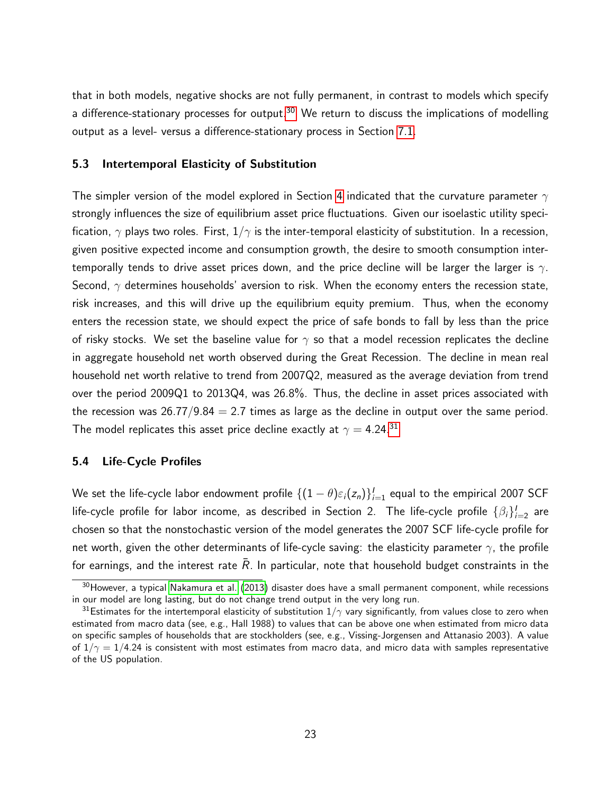that in both models, negative shocks are not fully permanent, in contrast to models which specify a difference-stationary processes for output.<sup>[30](#page-0-0)</sup> We return to discuss the implications of modelling output as a level- versus a difference-stationary process in Section [7.1.](#page-42-1)

#### 5.3 Intertemporal Elasticity of Substitution

The simpler version of the model explored in Section [4](#page-14-0) indicated that the curvature parameter  $\gamma$ strongly influences the size of equilibrium asset price fluctuations. Given our isoelastic utility specification,  $\gamma$  plays two roles. First,  $1/\gamma$  is the inter-temporal elasticity of substitution. In a recession, given positive expected income and consumption growth, the desire to smooth consumption intertemporally tends to drive asset prices down, and the price decline will be larger the larger is  $\gamma$ . Second,  $\gamma$  determines households' aversion to risk. When the economy enters the recession state, risk increases, and this will drive up the equilibrium equity premium. Thus, when the economy enters the recession state, we should expect the price of safe bonds to fall by less than the price of risky stocks. We set the baseline value for  $\gamma$  so that a model recession replicates the decline in aggregate household net worth observed during the Great Recession. The decline in mean real household net worth relative to trend from 2007Q2, measured as the average deviation from trend over the period 2009Q1 to 2013Q4, was 26.8%. Thus, the decline in asset prices associated with the recession was  $26.77/9.84 = 2.7$  times as large as the decline in output over the same period. The model replicates this asset price decline exactly at  $\gamma = 4.24$ .<sup>[31](#page-0-0)</sup>

#### 5.4 Life-Cycle Profiles

We set the life-cycle labor endowment profile  $\{(1-\theta)\varepsilon_i(z_n)\}_{i=1}^I$  equal to the empirical 2007 SCF life-cycle profile for labor income, as described in Section 2. The life-cycle profile  $\{\beta_i\}_{i=2}^I$  are chosen so that the nonstochastic version of the model generates the 2007 SCF life-cycle profile for net worth, given the other determinants of life-cycle saving: the elasticity parameter  $\gamma$ , the profile for earnings, and the interest rate  $\overline{R}$ . In particular, note that household budget constraints in the

<sup>&</sup>lt;sup>30</sup>However, a typical [Nakamura et al.](#page-49-13) [\(2013\)](#page-49-13) disaster does have a small permanent component, while recessions in our model are long lasting, but do not change trend output in the very long run.

<sup>&</sup>lt;sup>31</sup>Estimates for the intertemporal elasticity of substitution  $1/\gamma$  vary significantly, from values close to zero when estimated from macro data (see, e.g., Hall 1988) to values that can be above one when estimated from micro data on specific samples of households that are stockholders (see, e.g., Vissing-Jorgensen and Attanasio 2003). A value of  $1/\gamma = 1/4.24$  is consistent with most estimates from macro data, and micro data with samples representative of the US population.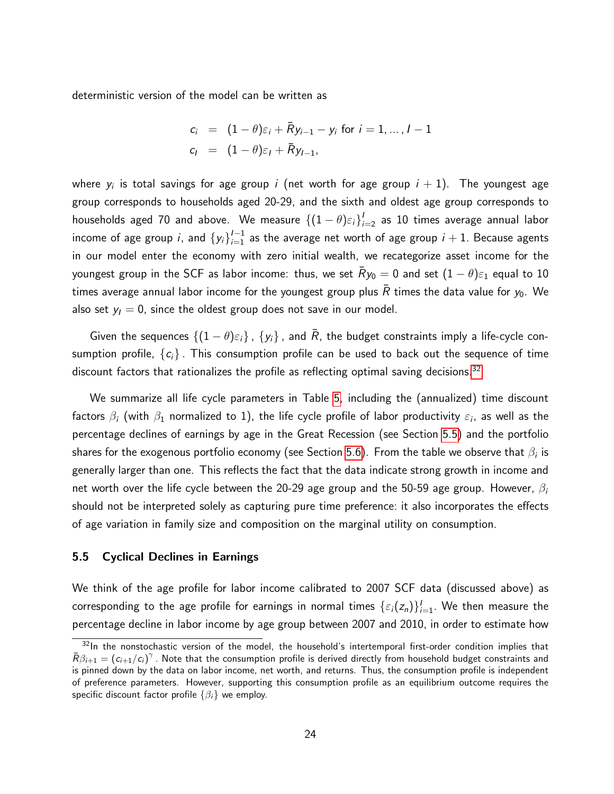deterministic version of the model can be written as

$$
c_i = (1 - \theta)\varepsilon_i + \bar{R}y_{i-1} - y_i \text{ for } i = 1, ..., l - 1
$$
  

$$
c_l = (1 - \theta)\varepsilon_l + \bar{R}y_{l-1},
$$

where  $y_i$  is total savings for age group  $i$  (net worth for age group  $i+1)$ . The youngest age group corresponds to households aged 20-29, and the sixth and oldest age group corresponds to households aged 70 and above. We measure  $\left\{ (1-\theta)\varepsilon_i \right\}_{i=2}^I$  as 10 times average annual labor income of age group  $i$ , and  $\left\{y_{i}\right\}_{i=1}^{l-1}$  as the average net worth of age group  $i+1$ . Because agents in our model enter the economy with zero initial wealth, we recategorize asset income for the youngest group in the SCF as labor income: thus, we set  $\bar{R} \mathsf{y}_0 = 0$  and set  $(1-\theta) \varepsilon_1$  equal to  $10$ times average annual labor income for the youngest group plus  $\bar{R}$  times the data value for  $y_0$ . We also set  $y_1 = 0$ , since the oldest group does not save in our model.

Given the sequences  $\{(1 - \theta)\varepsilon_i\}$ ,  $\{y_i\}$ , and R, the budget constraints imply a life-cycle consumption profile,  ${c_i}$ . This consumption profile can be used to back out the sequence of time discount factors that rationalizes the profile as reflecting optimal saving decisions.<sup>[32](#page-0-0)</sup>

We summarize all life cycle parameters in Table [5,](#page-19-0) including the (annualized) time discount factors  $\beta_i$  (with  $\beta_1$  normalized to 1), the life cycle profile of labor productivity  $\varepsilon_i$ , as well as the percentage declines of earnings by age in the Great Recession (see Section [5.5\)](#page-24-0) and the portfolio shares for the exogenous portfolio economy (see Section [5.6\)](#page-25-0). From the table we observe that  $\beta_i$  is generally larger than one. This reflects the fact that the data indicate strong growth in income and net worth over the life cycle between the 20-29 age group and the 50-59 age group. However,  $\beta_i$ should not be interpreted solely as capturing pure time preference: it also incorporates the effects of age variation in family size and composition on the marginal utility on consumption.

#### <span id="page-24-0"></span>5.5 Cyclical Declines in Earnings

We think of the age profile for labor income calibrated to 2007 SCF data (discussed above) as corresponding to the age profile for earnings in normal times  $\{\varepsilon_i(z_n)\}_{i=1}^I.$  We then measure the percentage decline in labor income by age group between 2007 and 2010, in order to estimate how

<sup>32</sup>In the nonstochastic version of the model, the household's intertemporal first-order condition implies that  $\bar{R}\beta_{i+1}=(c_{i+1}/c_i)^\gamma$ . Note that the consumption profile is derived directly from household budget constraints and is pinned down by the data on labor income, net worth, and returns. Thus, the consumption profile is independent of preference parameters. However, supporting this consumption profile as an equilibrium outcome requires the specific discount factor profile  $\{\beta_i\}$  we employ.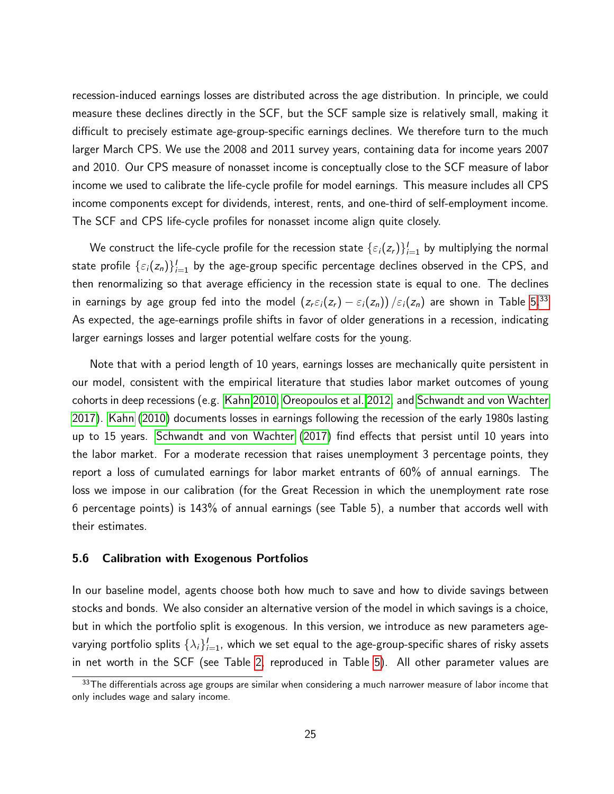recession-induced earnings losses are distributed across the age distribution. In principle, we could measure these declines directly in the SCF, but the SCF sample size is relatively small, making it difficult to precisely estimate age-group-specific earnings declines. We therefore turn to the much larger March CPS. We use the 2008 and 2011 survey years, containing data for income years 2007 and 2010. Our CPS measure of nonasset income is conceptually close to the SCF measure of labor income we used to calibrate the life-cycle profile for model earnings. This measure includes all CPS income components except for dividends, interest, rents, and one-third of self-employment income. The SCF and CPS life-cycle profiles for nonasset income align quite closely.

We construct the life-cycle profile for the recession state  $\{\varepsilon_i(\pmb{z}_r)\}_{i=1}^I$  by multiplying the normal state profile  $\{\varepsilon_i(\mathsf{z}_n)\}_{i=1}^I$  by the age-group specific percentage declines observed in the CPS, and then renormalizing so that average efficiency in the recession state is equal to one. The declines in earnings by age group fed into the model  $(z_r \varepsilon_i(z_r) - \varepsilon_i(z_n)) / \varepsilon_i(z_n)$  are shown in Table [5.](#page-19-0)<sup>[33](#page-0-0)</sup> As expected, the age-earnings profile shifts in favor of older generations in a recession, indicating larger earnings losses and larger potential welfare costs for the young.

Note that with a period length of 10 years, earnings losses are mechanically quite persistent in our model, consistent with the empirical literature that studies labor market outcomes of young cohorts in deep recessions (e.g. [Kahn 2010,](#page-49-0) [Oreopoulos et al. 2012,](#page-49-1) and [Schwandt and von Wachter](#page-50-0) [2017\)](#page-50-0). [Kahn \(2010\)](#page-49-0) documents losses in earnings following the recession of the early 1980s lasting up to 15 years. [Schwandt and von Wachter \(2017\)](#page-50-0) find effects that persist until 10 years into the labor market. For a moderate recession that raises unemployment 3 percentage points, they report a loss of cumulated earnings for labor market entrants of 60% of annual earnings. The loss we impose in our calibration (for the Great Recession in which the unemployment rate rose 6 percentage points) is 143% of annual earnings (see Table 5), a number that accords well with their estimates.

#### <span id="page-25-0"></span>5.6 Calibration with Exogenous Portfolios

In our baseline model, agents choose both how much to save and how to divide savings between stocks and bonds. We also consider an alternative version of the model in which savings is a choice, but in which the portfolio split is exogenous. In this version, we introduce as new parameters agevarying portfolio splits  $\{\lambda_i\}_{i=1}^I$ , which we set equal to the age-group-specific shares of risky assets in net worth in the SCF (see Table [2,](#page-6-0) reproduced in Table [5\)](#page-19-0). All other parameter values are

 $33$ The differentials across age groups are similar when considering a much narrower measure of labor income that only includes wage and salary income.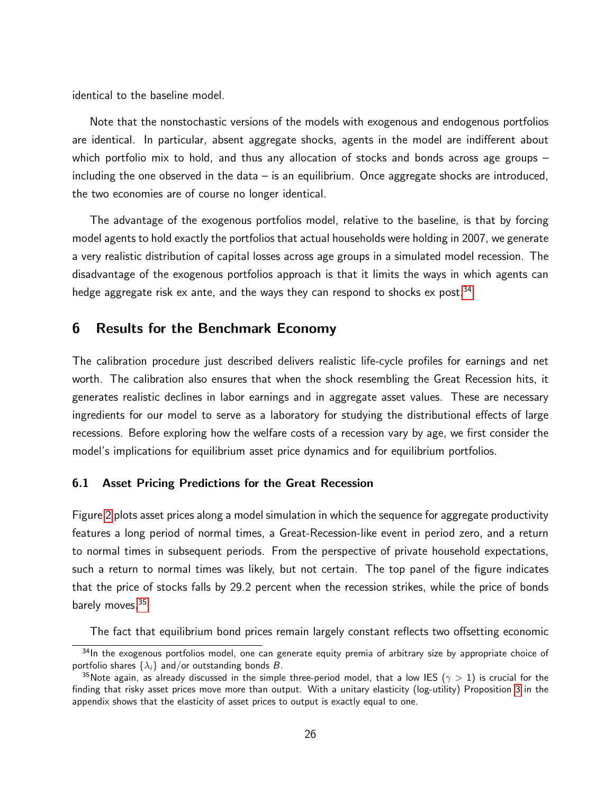identical to the baseline model.

Note that the nonstochastic versions of the models with exogenous and endogenous portfolios are identical. In particular, absent aggregate shocks, agents in the model are indifferent about which portfolio mix to hold, and thus any allocation of stocks and bonds across age groups  $$ including the one observed in the data – is an equilibrium. Once aggregate shocks are introduced, the two economies are of course no longer identical.

The advantage of the exogenous portfolios model, relative to the baseline, is that by forcing model agents to hold exactly the portfolios that actual households were holding in 2007, we generate a very realistic distribution of capital losses across age groups in a simulated model recession. The disadvantage of the exogenous portfolios approach is that it limits the ways in which agents can hedge aggregate risk ex ante, and the ways they can respond to shocks ex post. $34$ 

# <span id="page-26-0"></span>6 Results for the Benchmark Economy

The calibration procedure just described delivers realistic life-cycle profiles for earnings and net worth. The calibration also ensures that when the shock resembling the Great Recession hits, it generates realistic declines in labor earnings and in aggregate asset values. These are necessary ingredients for our model to serve as a laboratory for studying the distributional effects of large recessions. Before exploring how the welfare costs of a recession vary by age, we first consider the model's implications for equilibrium asset price dynamics and for equilibrium portfolios.

#### 6.1 Asset Pricing Predictions for the Great Recession

Figure [2](#page-27-0) plots asset prices along a model simulation in which the sequence for aggregate productivity features a long period of normal times, a Great-Recession-like event in period zero, and a return to normal times in subsequent periods. From the perspective of private household expectations, such a return to normal times was likely, but not certain. The top panel of the figure indicates that the price of stocks falls by 29.2 percent when the recession strikes, while the price of bonds barely moves.<sup>[35](#page-0-0)</sup>

The fact that equilibrium bond prices remain largely constant reflects two offsetting economic

<sup>34</sup>In the exogenous portfolios model, one can generate equity premia of arbitrary size by appropriate choice of portfolio shares  $\{\lambda_i\}$  and/or outstanding bonds B.

<sup>&</sup>lt;sup>35</sup>Note again, as already discussed in the simple three-period model, that a low IES ( $\gamma > 1$ ) is crucial for the finding that risky asset prices move more than output. With a unitary elasticity (log-utility) Proposition [3](#page-62-1) in the appendix shows that the elasticity of asset prices to output is exactly equal to one.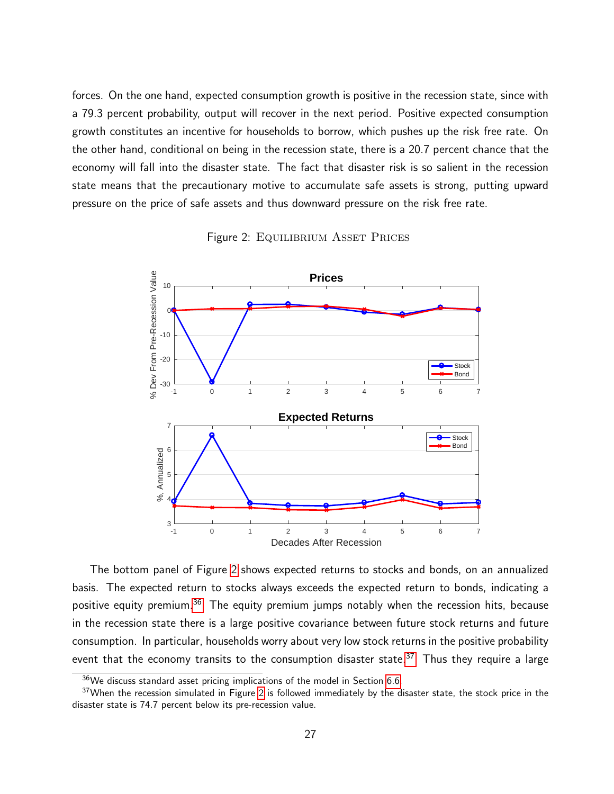forces. On the one hand, expected consumption growth is positive in the recession state, since with a 79.3 percent probability, output will recover in the next period. Positive expected consumption growth constitutes an incentive for households to borrow, which pushes up the risk free rate. On the other hand, conditional on being in the recession state, there is a 20.7 percent chance that the economy will fall into the disaster state. The fact that disaster risk is so salient in the recession state means that the precautionary motive to accumulate safe assets is strong, putting upward pressure on the price of safe assets and thus downward pressure on the risk free rate.

<span id="page-27-0"></span>



The bottom panel of Figure [2](#page-27-0) shows expected returns to stocks and bonds, on an annualized basis. The expected return to stocks always exceeds the expected return to bonds, indicating a positive equity premium.<sup>[36](#page-0-0)</sup> The equity premium jumps notably when the recession hits, because in the recession state there is a large positive covariance between future stock returns and future consumption. In particular, households worry about very low stock returns in the positive probability event that the economy transits to the consumption disaster state.<sup>[37](#page-0-0)</sup> Thus they require a large

 $36$ We discuss standard asset pricing implications of the model in Section [6.6.](#page-37-0)

 $37$ When the recession simulated in Figure [2](#page-27-0) is followed immediately by the disaster state, the stock price in the disaster state is 74.7 percent below its pre-recession value.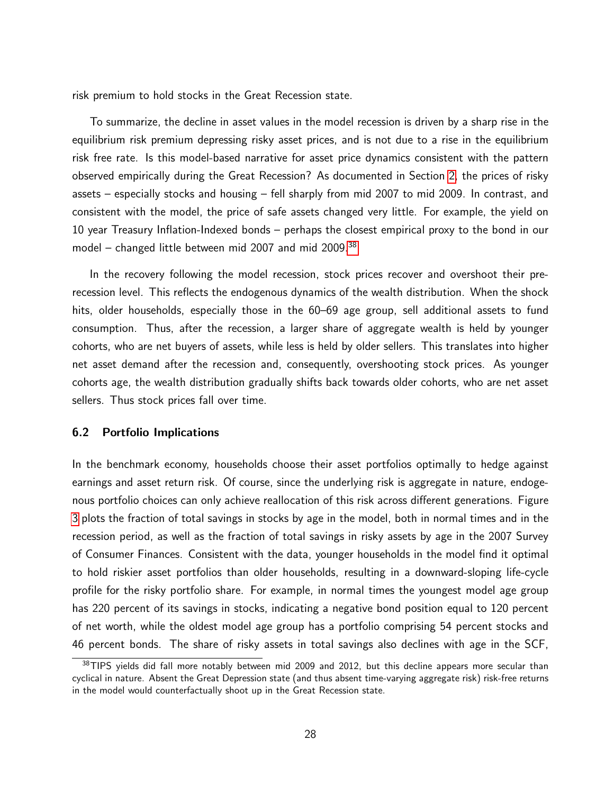risk premium to hold stocks in the Great Recession state.

To summarize, the decline in asset values in the model recession is driven by a sharp rise in the equilibrium risk premium depressing risky asset prices, and is not due to a rise in the equilibrium risk free rate. Is this model-based narrative for asset price dynamics consistent with the pattern observed empirically during the Great Recession? As documented in Section [2,](#page-4-0) the prices of risky assets – especially stocks and housing – fell sharply from mid 2007 to mid 2009. In contrast, and consistent with the model, the price of safe assets changed very little. For example, the yield on 10 year Treasury Inflation-Indexed bonds – perhaps the closest empirical proxy to the bond in our model – changed little between mid 2007 and mid 2009. $38$ 

In the recovery following the model recession, stock prices recover and overshoot their prerecession level. This reflects the endogenous dynamics of the wealth distribution. When the shock hits, older households, especially those in the 60–69 age group, sell additional assets to fund consumption. Thus, after the recession, a larger share of aggregate wealth is held by younger cohorts, who are net buyers of assets, while less is held by older sellers. This translates into higher net asset demand after the recession and, consequently, overshooting stock prices. As younger cohorts age, the wealth distribution gradually shifts back towards older cohorts, who are net asset sellers. Thus stock prices fall over time.

#### 6.2 Portfolio Implications

In the benchmark economy, households choose their asset portfolios optimally to hedge against earnings and asset return risk. Of course, since the underlying risk is aggregate in nature, endogenous portfolio choices can only achieve reallocation of this risk across different generations. Figure [3](#page-29-0) plots the fraction of total savings in stocks by age in the model, both in normal times and in the recession period, as well as the fraction of total savings in risky assets by age in the 2007 Survey of Consumer Finances. Consistent with the data, younger households in the model find it optimal to hold riskier asset portfolios than older households, resulting in a downward-sloping life-cycle profile for the risky portfolio share. For example, in normal times the youngest model age group has 220 percent of its savings in stocks, indicating a negative bond position equal to 120 percent of net worth, while the oldest model age group has a portfolio comprising 54 percent stocks and 46 percent bonds. The share of risky assets in total savings also declines with age in the SCF,

<sup>&</sup>lt;sup>38</sup>TIPS yields did fall more notably between mid 2009 and 2012, but this decline appears more secular than cyclical in nature. Absent the Great Depression state (and thus absent time-varying aggregate risk) risk-free returns in the model would counterfactually shoot up in the Great Recession state.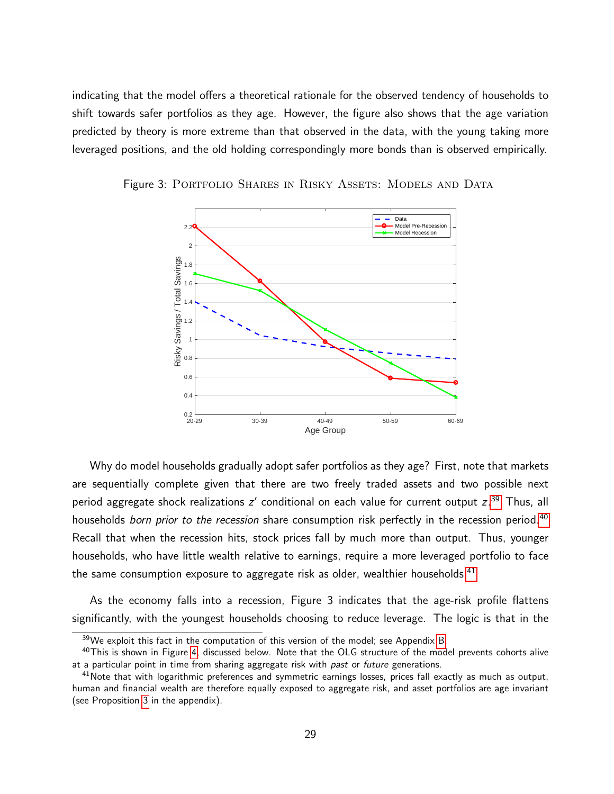indicating that the model offers a theoretical rationale for the observed tendency of households to shift towards safer portfolios as they age. However, the figure also shows that the age variation predicted by theory is more extreme than that observed in the data, with the young taking more leveraged positions, and the old holding correspondingly more bonds than is observed empirically.

<span id="page-29-0"></span>

Figure 3: PORTFOLIO SHARES IN RISKY ASSETS: MODELS AND DATA

Why do model households gradually adopt safer portfolios as they age? First, note that markets are sequentially complete given that there are two freely traded assets and two possible next period aggregate shock realizations  $z'$  conditional on each value for current output  $z^{39}$  $z^{39}$  $z^{39}$  Thus, all households *born prior to the recession* share consumption risk perfectly in the recession period.<sup>[40](#page-0-0)</sup> Recall that when the recession hits, stock prices fall by much more than output. Thus, younger households, who have little wealth relative to earnings, require a more leveraged portfolio to face the same consumption exposure to aggregate risk as older, wealthier households. $41$ 

As the economy falls into a recession, Figure 3 indicates that the age-risk profile flattens significantly, with the youngest households choosing to reduce leverage. The logic is that in the

 $39$ We exploit this fact in the computation of this version of the model; see Appendix [B.](#page-53-0)

<sup>&</sup>lt;sup>40</sup>This is shown in Figure [4,](#page-31-0) discussed below. Note that the OLG structure of the model prevents cohorts alive at a particular point in time from sharing aggregate risk with past or future generations.

 $41$  Note that with logarithmic preferences and symmetric earnings losses, prices fall exactly as much as output, human and financial wealth are therefore equally exposed to aggregate risk, and asset portfolios are age invariant (see Proposition [3](#page-62-1) in the appendix).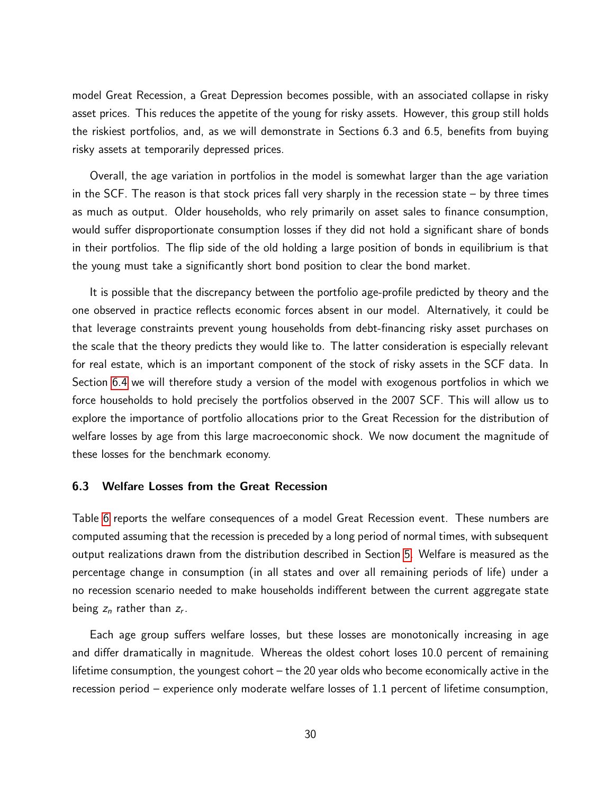model Great Recession, a Great Depression becomes possible, with an associated collapse in risky asset prices. This reduces the appetite of the young for risky assets. However, this group still holds the riskiest portfolios, and, as we will demonstrate in Sections 6.3 and 6.5, benefits from buying risky assets at temporarily depressed prices.

Overall, the age variation in portfolios in the model is somewhat larger than the age variation in the SCF. The reason is that stock prices fall very sharply in the recession state – by three times as much as output. Older households, who rely primarily on asset sales to finance consumption, would suffer disproportionate consumption losses if they did not hold a significant share of bonds in their portfolios. The flip side of the old holding a large position of bonds in equilibrium is that the young must take a significantly short bond position to clear the bond market.

It is possible that the discrepancy between the portfolio age-profile predicted by theory and the one observed in practice reflects economic forces absent in our model. Alternatively, it could be that leverage constraints prevent young households from debt-financing risky asset purchases on the scale that the theory predicts they would like to. The latter consideration is especially relevant for real estate, which is an important component of the stock of risky assets in the SCF data. In Section [6.4](#page-32-0) we will therefore study a version of the model with exogenous portfolios in which we force households to hold precisely the portfolios observed in the 2007 SCF. This will allow us to explore the importance of portfolio allocations prior to the Great Recession for the distribution of welfare losses by age from this large macroeconomic shock. We now document the magnitude of these losses for the benchmark economy.

#### <span id="page-30-0"></span>6.3 Welfare Losses from the Great Recession

Table [6](#page-31-1) reports the welfare consequences of a model Great Recession event. These numbers are computed assuming that the recession is preceded by a long period of normal times, with subsequent output realizations drawn from the distribution described in Section [5.](#page-18-0) Welfare is measured as the percentage change in consumption (in all states and over all remaining periods of life) under a no recession scenario needed to make households indifferent between the current aggregate state being  $z_n$  rather than  $z_r$ .

Each age group suffers welfare losses, but these losses are monotonically increasing in age and differ dramatically in magnitude. Whereas the oldest cohort loses 10.0 percent of remaining lifetime consumption, the youngest cohort – the 20 year olds who become economically active in the recession period – experience only moderate welfare losses of 1.1 percent of lifetime consumption,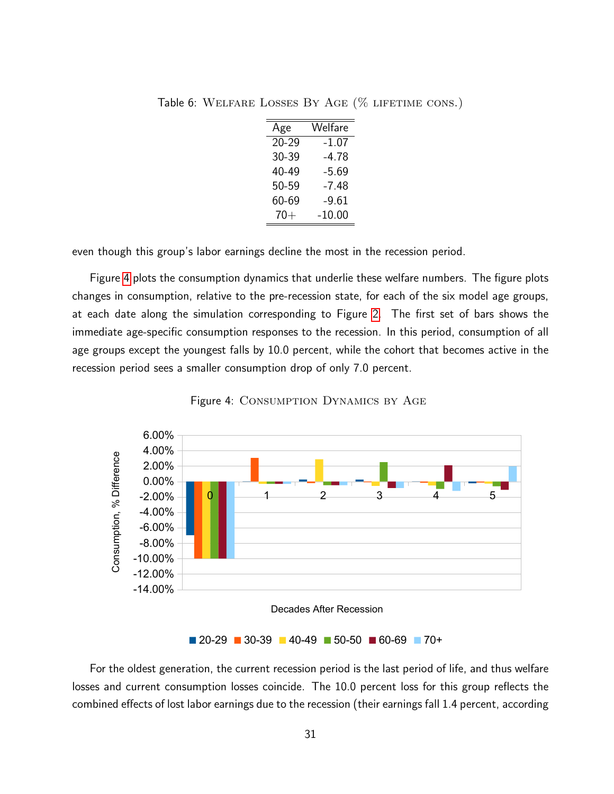| Age   | Welfare  |
|-------|----------|
| 20-29 | -1.07    |
| 30-39 | $-4.78$  |
| 40-49 | $-5.69$  |
| 50-59 | $-7.48$  |
| 60-69 | $-9.61$  |
| $70+$ | $-10.00$ |

<span id="page-31-1"></span>Table 6: Welfare Losses By Age (% lifetime cons.)

even though this group's labor earnings decline the most in the recession period.

Figure [4](#page-31-0) plots the consumption dynamics that underlie these welfare numbers. The figure plots changes in consumption, relative to the pre-recession state, for each of the six model age groups, at each date along the simulation corresponding to Figure [2.](#page-27-0) The first set of bars shows the immediate age-specific consumption responses to the recession. In this period, consumption of all age groups except the youngest falls by 10.0 percent, while the cohort that becomes active in the recession period sees a smaller consumption drop of only 7.0 percent.



<span id="page-31-0"></span>Figure 4: Consumption Dynamics by Age

 $\blacksquare$  20-29  $\blacksquare$  30-39  $\blacksquare$  40-49  $\blacksquare$  50-50  $\blacksquare$  60-69  $\blacksquare$  70+

For the oldest generation, the current recession period is the last period of life, and thus welfare losses and current consumption losses coincide. The 10.0 percent loss for this group reflects the combined effects of lost labor earnings due to the recession (their earnings fall 1.4 percent, according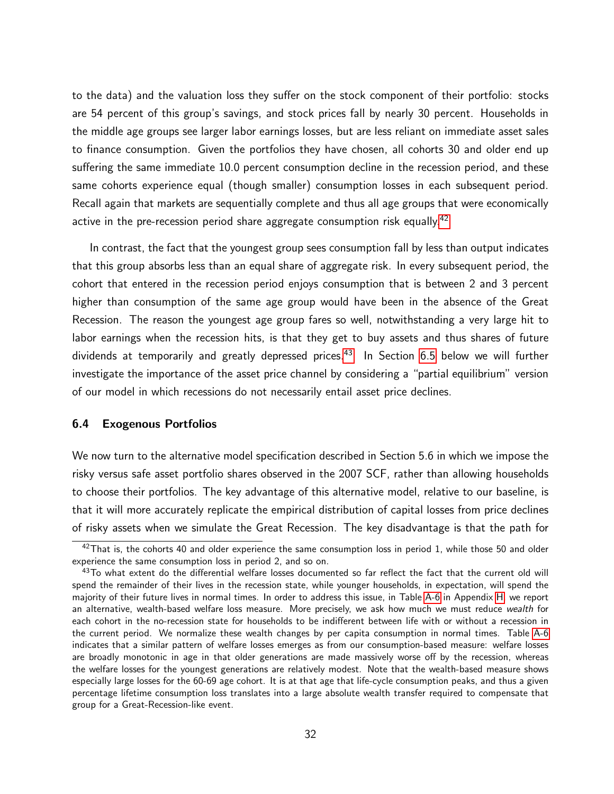to the data) and the valuation loss they suffer on the stock component of their portfolio: stocks are 54 percent of this group's savings, and stock prices fall by nearly 30 percent. Households in the middle age groups see larger labor earnings losses, but are less reliant on immediate asset sales to finance consumption. Given the portfolios they have chosen, all cohorts 30 and older end up suffering the same immediate 10.0 percent consumption decline in the recession period, and these same cohorts experience equal (though smaller) consumption losses in each subsequent period. Recall again that markets are sequentially complete and thus all age groups that were economically active in the pre-recession period share aggregate consumption risk equally.<sup>[42](#page-0-0)</sup>

In contrast, the fact that the youngest group sees consumption fall by less than output indicates that this group absorbs less than an equal share of aggregate risk. In every subsequent period, the cohort that entered in the recession period enjoys consumption that is between 2 and 3 percent higher than consumption of the same age group would have been in the absence of the Great Recession. The reason the youngest age group fares so well, notwithstanding a very large hit to labor earnings when the recession hits, is that they get to buy assets and thus shares of future dividends at temporarily and greatly depressed prices.<sup>[43](#page-0-0)</sup> In Section [6.5](#page-34-0) below we will further investigate the importance of the asset price channel by considering a "partial equilibrium" version of our model in which recessions do not necessarily entail asset price declines.

#### <span id="page-32-0"></span>6.4 Exogenous Portfolios

We now turn to the alternative model specification described in Section 5.6 in which we impose the risky versus safe asset portfolio shares observed in the 2007 SCF, rather than allowing households to choose their portfolios. The key advantage of this alternative model, relative to our baseline, is that it will more accurately replicate the empirical distribution of capital losses from price declines of risky assets when we simulate the Great Recession. The key disadvantage is that the path for

 $42$ That is, the cohorts 40 and older experience the same consumption loss in period 1, while those 50 and older experience the same consumption loss in period 2, and so on.

 $43$ To what extent do the differential welfare losses documented so far reflect the fact that the current old will spend the remainder of their lives in the recession state, while younger households, in expectation, will spend the majority of their future lives in normal times. In order to address this issue, in Table [A-6](#page-31-1) in Appendix [H,](#page-75-0) we report an alternative, wealth-based welfare loss measure. More precisely, we ask how much we must reduce wealth for each cohort in the no-recession state for households to be indifferent between life with or without a recession in the current period. We normalize these wealth changes by per capita consumption in normal times. Table [A-6](#page-31-1) indicates that a similar pattern of welfare losses emerges as from our consumption-based measure: welfare losses are broadly monotonic in age in that older generations are made massively worse off by the recession, whereas the welfare losses for the youngest generations are relatively modest. Note that the wealth-based measure shows especially large losses for the 60-69 age cohort. It is at that age that life-cycle consumption peaks, and thus a given percentage lifetime consumption loss translates into a large absolute wealth transfer required to compensate that group for a Great-Recession-like event.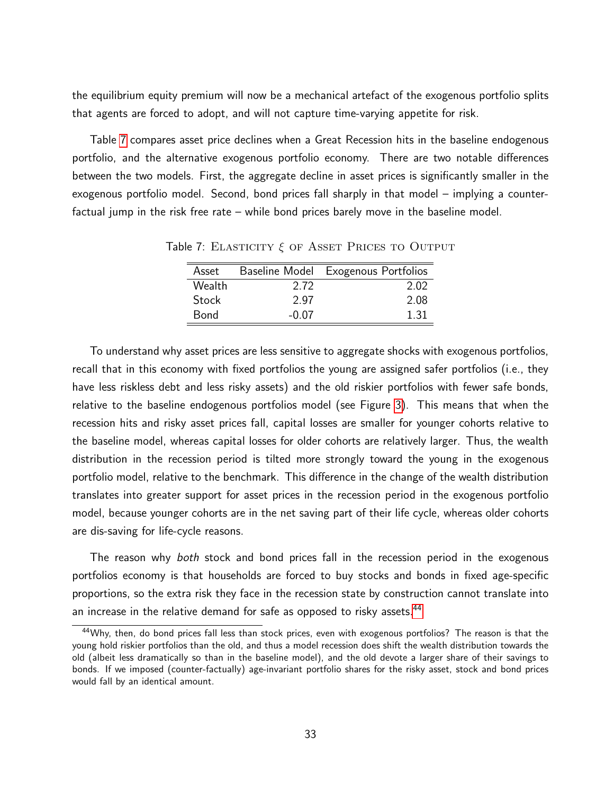the equilibrium equity premium will now be a mechanical artefact of the exogenous portfolio splits that agents are forced to adopt, and will not capture time-varying appetite for risk.

Table [7](#page-33-0) compares asset price declines when a Great Recession hits in the baseline endogenous portfolio, and the alternative exogenous portfolio economy. There are two notable differences between the two models. First, the aggregate decline in asset prices is significantly smaller in the exogenous portfolio model. Second, bond prices fall sharply in that model – implying a counterfactual jump in the risk free rate – while bond prices barely move in the baseline model.

<span id="page-33-0"></span>

| Asset       |       | Baseline Model Exogenous Portfolios |
|-------------|-------|-------------------------------------|
| Wealth      | 2.72  | 2.02                                |
| Stock       | 297   | 2.08                                |
| <b>Bond</b> | -0.07 | 1.31                                |

Table 7: ELASTICITY  $\xi$  of Asset Prices to Output

To understand why asset prices are less sensitive to aggregate shocks with exogenous portfolios, recall that in this economy with fixed portfolios the young are assigned safer portfolios (i.e., they have less riskless debt and less risky assets) and the old riskier portfolios with fewer safe bonds, relative to the baseline endogenous portfolios model (see Figure [3\)](#page-29-0). This means that when the recession hits and risky asset prices fall, capital losses are smaller for younger cohorts relative to the baseline model, whereas capital losses for older cohorts are relatively larger. Thus, the wealth distribution in the recession period is tilted more strongly toward the young in the exogenous portfolio model, relative to the benchmark. This difference in the change of the wealth distribution translates into greater support for asset prices in the recession period in the exogenous portfolio model, because younger cohorts are in the net saving part of their life cycle, whereas older cohorts are dis-saving for life-cycle reasons.

The reason why both stock and bond prices fall in the recession period in the exogenous portfolios economy is that households are forced to buy stocks and bonds in fixed age-specific proportions, so the extra risk they face in the recession state by construction cannot translate into an increase in the relative demand for safe as opposed to risky assets.<sup>[44](#page-0-0)</sup>

<sup>44</sup>Why, then, do bond prices fall less than stock prices, even with exogenous portfolios? The reason is that the young hold riskier portfolios than the old, and thus a model recession does shift the wealth distribution towards the old (albeit less dramatically so than in the baseline model), and the old devote a larger share of their savings to bonds. If we imposed (counter-factually) age-invariant portfolio shares for the risky asset, stock and bond prices would fall by an identical amount.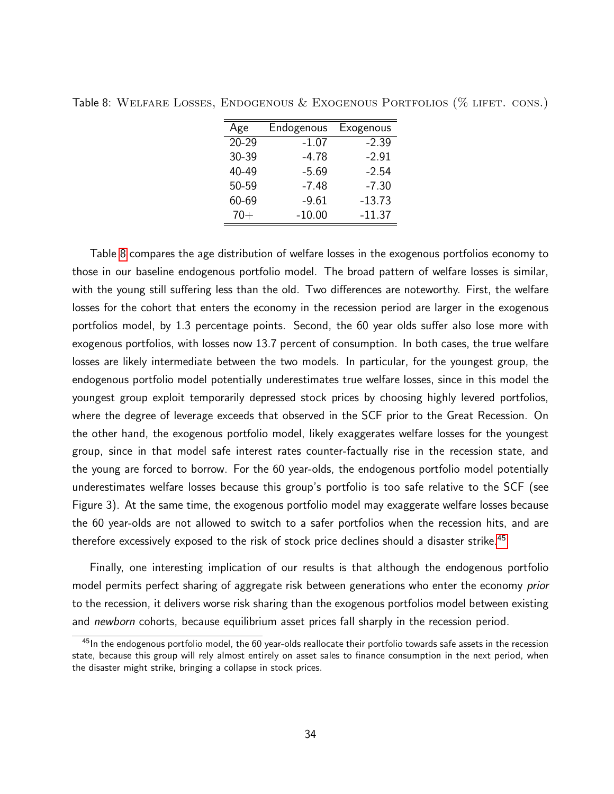| Age   | Endogenous | Exogenous |
|-------|------------|-----------|
| 20-29 | $-1.07$    | $-2.39$   |
| 30-39 | $-4.78$    | $-2.91$   |
| 40-49 | $-5.69$    | $-2.54$   |
| 50-59 | $-7.48$    | $-7.30$   |
| 60-69 | $-9.61$    | $-13.73$  |
| $70+$ | $-10.00$   | $-11.37$  |

<span id="page-34-1"></span>Table 8: Welfare Losses, Endogenous & Exogenous Portfolios (% lifet. cons.)

Table [8](#page-34-1) compares the age distribution of welfare losses in the exogenous portfolios economy to those in our baseline endogenous portfolio model. The broad pattern of welfare losses is similar, with the young still suffering less than the old. Two differences are noteworthy. First, the welfare losses for the cohort that enters the economy in the recession period are larger in the exogenous portfolios model, by 1.3 percentage points. Second, the 60 year olds suffer also lose more with exogenous portfolios, with losses now 13.7 percent of consumption. In both cases, the true welfare losses are likely intermediate between the two models. In particular, for the youngest group, the endogenous portfolio model potentially underestimates true welfare losses, since in this model the youngest group exploit temporarily depressed stock prices by choosing highly levered portfolios, where the degree of leverage exceeds that observed in the SCF prior to the Great Recession. On the other hand, the exogenous portfolio model, likely exaggerates welfare losses for the youngest group, since in that model safe interest rates counter-factually rise in the recession state, and the young are forced to borrow. For the 60 year-olds, the endogenous portfolio model potentially underestimates welfare losses because this group's portfolio is too safe relative to the SCF (see Figure 3). At the same time, the exogenous portfolio model may exaggerate welfare losses because the 60 year-olds are not allowed to switch to a safer portfolios when the recession hits, and are therefore excessively exposed to the risk of stock price declines should a disaster strike.<sup>[45](#page-0-0)</sup>

Finally, one interesting implication of our results is that although the endogenous portfolio model permits perfect sharing of aggregate risk between generations who enter the economy *prior* to the recession, it delivers worse risk sharing than the exogenous portfolios model between existing and *newborn* cohorts, because equilibrium asset prices fall sharply in the recession period.

<span id="page-34-0"></span> $45$ In the endogenous portfolio model, the 60 year-olds reallocate their portfolio towards safe assets in the recession state, because this group will rely almost entirely on asset sales to finance consumption in the next period, when the disaster might strike, bringing a collapse in stock prices.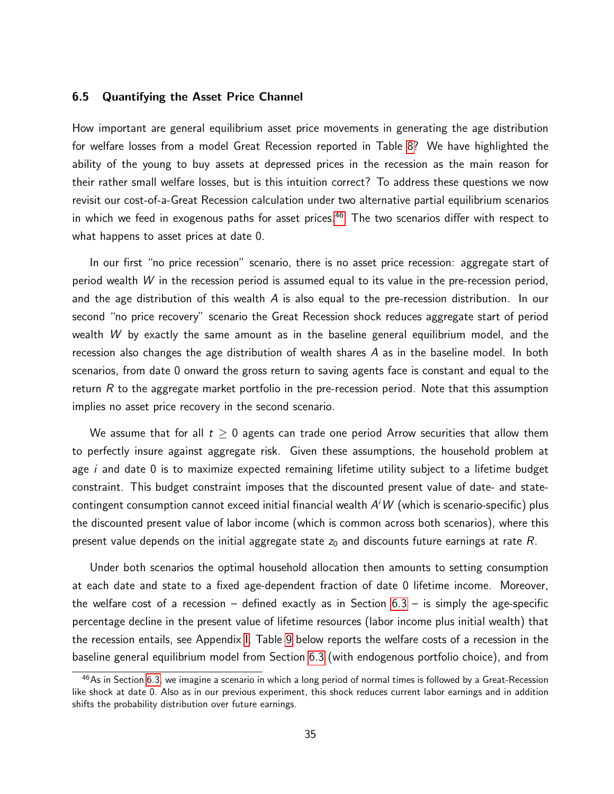#### 6.5 Quantifying the Asset Price Channel

How important are general equilibrium asset price movements in generating the age distribution for welfare losses from a model Great Recession reported in Table [8?](#page-34-1) We have highlighted the ability of the young to buy assets at depressed prices in the recession as the main reason for their rather small welfare losses, but is this intuition correct? To address these questions we now revisit our cost-of-a-Great Recession calculation under two alternative partial equilibrium scenarios in which we feed in exogenous paths for asset prices.<sup>[46](#page-0-0)</sup> The two scenarios differ with respect to what happens to asset prices at date 0.

In our first "no price recession" scenario, there is no asset price recession: aggregate start of period wealth W in the recession period is assumed equal to its value in the pre-recession period, and the age distribution of this wealth  $\overline{A}$  is also equal to the pre-recession distribution. In our second "no price recovery" scenario the Great Recession shock reduces aggregate start of period wealth  $W$  by exactly the same amount as in the baseline general equilibrium model, and the recession also changes the age distribution of wealth shares A as in the baseline model. In both scenarios, from date 0 onward the gross return to saving agents face is constant and equal to the return R to the aggregate market portfolio in the pre-recession period. Note that this assumption implies no asset price recovery in the second scenario.

We assume that for all  $t \geq 0$  agents can trade one period Arrow securities that allow them to perfectly insure against aggregate risk. Given these assumptions, the household problem at age  $i$  and date 0 is to maximize expected remaining lifetime utility subject to a lifetime budget constraint. This budget constraint imposes that the discounted present value of date- and statecontingent consumption cannot exceed initial financial wealth  $A^i\, W$  (which is scenario-specific) plus the discounted present value of labor income (which is common across both scenarios), where this present value depends on the initial aggregate state  $z_0$  and discounts future earnings at rate  $R$ .

Under both scenarios the optimal household allocation then amounts to setting consumption at each date and state to a fixed age-dependent fraction of date 0 lifetime income. Moreover, the welfare cost of a recession – defined exactly as in Section  $6.3$  – is simply the age-specific percentage decline in the present value of lifetime resources (labor income plus initial wealth) that the recession entails, see Appendix [I.](#page-77-0) Table [9](#page-36-0) below reports the welfare costs of a recession in the baseline general equilibrium model from Section [6.3](#page-30-0) (with endogenous portfolio choice), and from

 $46$ As in Section [6.3,](#page-30-0) we imagine a scenario in which a long period of normal times is followed by a Great-Recession like shock at date 0. Also as in our previous experiment, this shock reduces current labor earnings and in addition shifts the probability distribution over future earnings.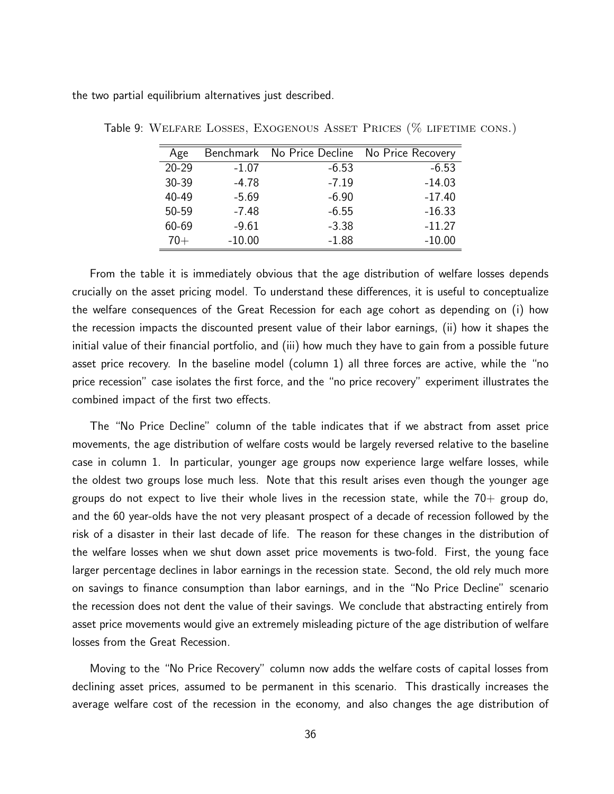the two partial equilibrium alternatives just described.

| Age       |          | Benchmark No Price Decline | No Price Recovery |
|-----------|----------|----------------------------|-------------------|
| $20 - 29$ | $-1.07$  | $-6.53$                    | $-6.53$           |
| 30-39     | $-4.78$  | $-7.19$                    | $-14.03$          |
| 40-49     | $-5.69$  | $-6.90$                    | $-17.40$          |
| 50-59     | $-7.48$  | $-6.55$                    | $-16.33$          |
| 60-69     | $-9.61$  | $-3.38$                    | $-11.27$          |
| $70+$     | $-10.00$ | $-1.88$                    | $-10.00$          |

Table 9: Welfare Losses, Exogenous Asset Prices (% lifetime cons.)

From the table it is immediately obvious that the age distribution of welfare losses depends crucially on the asset pricing model. To understand these differences, it is useful to conceptualize the welfare consequences of the Great Recession for each age cohort as depending on (i) how the recession impacts the discounted present value of their labor earnings, (ii) how it shapes the initial value of their financial portfolio, and (iii) how much they have to gain from a possible future asset price recovery. In the baseline model (column 1) all three forces are active, while the "no price recession" case isolates the first force, and the "no price recovery" experiment illustrates the combined impact of the first two effects.

The "No Price Decline" column of the table indicates that if we abstract from asset price movements, the age distribution of welfare costs would be largely reversed relative to the baseline case in column 1. In particular, younger age groups now experience large welfare losses, while the oldest two groups lose much less. Note that this result arises even though the younger age groups do not expect to live their whole lives in the recession state, while the  $70+$  group do, and the 60 year-olds have the not very pleasant prospect of a decade of recession followed by the risk of a disaster in their last decade of life. The reason for these changes in the distribution of the welfare losses when we shut down asset price movements is two-fold. First, the young face larger percentage declines in labor earnings in the recession state. Second, the old rely much more on savings to finance consumption than labor earnings, and in the "No Price Decline" scenario the recession does not dent the value of their savings. We conclude that abstracting entirely from asset price movements would give an extremely misleading picture of the age distribution of welfare losses from the Great Recession.

Moving to the "No Price Recovery" column now adds the welfare costs of capital losses from declining asset prices, assumed to be permanent in this scenario. This drastically increases the average welfare cost of the recession in the economy, and also changes the age distribution of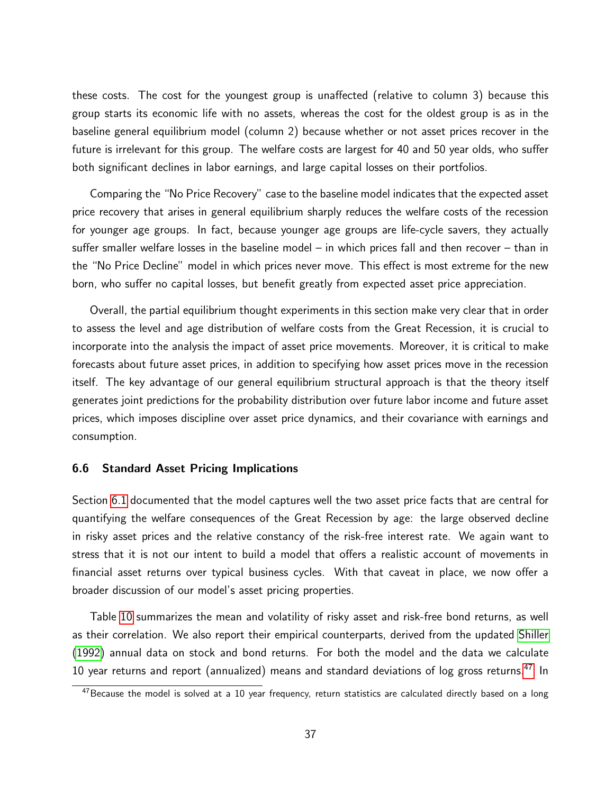these costs. The cost for the youngest group is unaffected (relative to column 3) because this group starts its economic life with no assets, whereas the cost for the oldest group is as in the baseline general equilibrium model (column 2) because whether or not asset prices recover in the future is irrelevant for this group. The welfare costs are largest for 40 and 50 year olds, who suffer both significant declines in labor earnings, and large capital losses on their portfolios.

Comparing the "No Price Recovery" case to the baseline model indicates that the expected asset price recovery that arises in general equilibrium sharply reduces the welfare costs of the recession for younger age groups. In fact, because younger age groups are life-cycle savers, they actually suffer smaller welfare losses in the baseline model – in which prices fall and then recover – than in the "No Price Decline" model in which prices never move. This effect is most extreme for the new born, who suffer no capital losses, but benefit greatly from expected asset price appreciation.

Overall, the partial equilibrium thought experiments in this section make very clear that in order to assess the level and age distribution of welfare costs from the Great Recession, it is crucial to incorporate into the analysis the impact of asset price movements. Moreover, it is critical to make forecasts about future asset prices, in addition to specifying how asset prices move in the recession itself. The key advantage of our general equilibrium structural approach is that the theory itself generates joint predictions for the probability distribution over future labor income and future asset prices, which imposes discipline over asset price dynamics, and their covariance with earnings and consumption.

#### 6.6 Standard Asset Pricing Implications

Section [6.1](#page-26-0) documented that the model captures well the two asset price facts that are central for quantifying the welfare consequences of the Great Recession by age: the large observed decline in risky asset prices and the relative constancy of the risk-free interest rate. We again want to stress that it is not our intent to build a model that offers a realistic account of movements in financial asset returns over typical business cycles. With that caveat in place, we now offer a broader discussion of our model's asset pricing properties.

Table [10](#page-38-0) summarizes the mean and volatility of risky asset and risk-free bond returns, as well as their correlation. We also report their empirical counterparts, derived from the updated [Shiller](#page-50-0) [\(1992\)](#page-50-0) annual data on stock and bond returns. For both the model and the data we calculate 10 year returns and report (annualized) means and standard deviations of log gross returns.<sup>[47](#page-0-0)</sup> In

 $47$ Because the model is solved at a 10 year frequency, return statistics are calculated directly based on a long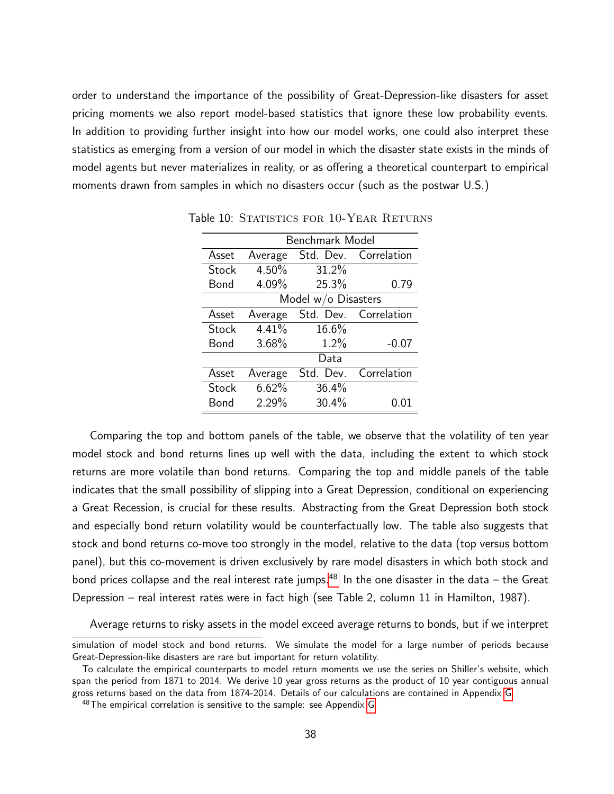order to understand the importance of the possibility of Great-Depression-like disasters for asset pricing moments we also report model-based statistics that ignore these low probability events. In addition to providing further insight into how our model works, one could also interpret these statistics as emerging from a version of our model in which the disaster state exists in the minds of model agents but never materializes in reality, or as offering a theoretical counterpart to empirical moments drawn from samples in which no disasters occur (such as the postwar U.S.)

<span id="page-38-0"></span>

|              | Benchmark Model |                       |                       |  |  |  |
|--------------|-----------------|-----------------------|-----------------------|--|--|--|
| Asset        | Average         |                       | Std. Dev. Correlation |  |  |  |
| <b>Stock</b> | 4.50%           | 31.2%                 |                       |  |  |  |
| Bond         | 4.09%           | 25.3%                 | 0.79                  |  |  |  |
|              |                 | Model $w/o$ Disasters |                       |  |  |  |
| Asset        | Average         |                       | Std. Dev. Correlation |  |  |  |
| Stock        | 4.41%           | 16.6%                 |                       |  |  |  |
| Bond         | 3.68%           | 1.2%                  | $-0.07$               |  |  |  |
|              |                 | Data                  |                       |  |  |  |
| Asset        | Average         | Std. Dev.             | Correlation           |  |  |  |
| Stock        | 6.62%           | 36.4%                 |                       |  |  |  |
| Bond         | 2.29%           | 30.4%                 | 0.01                  |  |  |  |

Table 10: STATISTICS FOR 10-YEAR RETURNS

Comparing the top and bottom panels of the table, we observe that the volatility of ten year model stock and bond returns lines up well with the data, including the extent to which stock returns are more volatile than bond returns. Comparing the top and middle panels of the table indicates that the small possibility of slipping into a Great Depression, conditional on experiencing a Great Recession, is crucial for these results. Abstracting from the Great Depression both stock and especially bond return volatility would be counterfactually low. The table also suggests that stock and bond returns co-move too strongly in the model, relative to the data (top versus bottom panel), but this co-movement is driven exclusively by rare model disasters in which both stock and bond prices collapse and the real interest rate jumps.<sup>[48](#page-0-0)</sup> In the one disaster in the data – the Great Depression – real interest rates were in fact high (see Table 2, column 11 in Hamilton, 1987).

Average returns to risky assets in the model exceed average returns to bonds, but if we interpret

simulation of model stock and bond returns. We simulate the model for a large number of periods because Great-Depression-like disasters are rare but important for return volatility.

To calculate the empirical counterparts to model return moments we use the series on Shiller's website, which span the period from 1871 to 2014. We derive 10 year gross returns as the product of 10 year contiguous annual gross returns based on the data from 1874-2014. Details of our calculations are contained in Appendix [G.](#page-74-0)

 $48$ The empirical correlation is sensitive to the sample: see Appendix [G.](#page-74-0)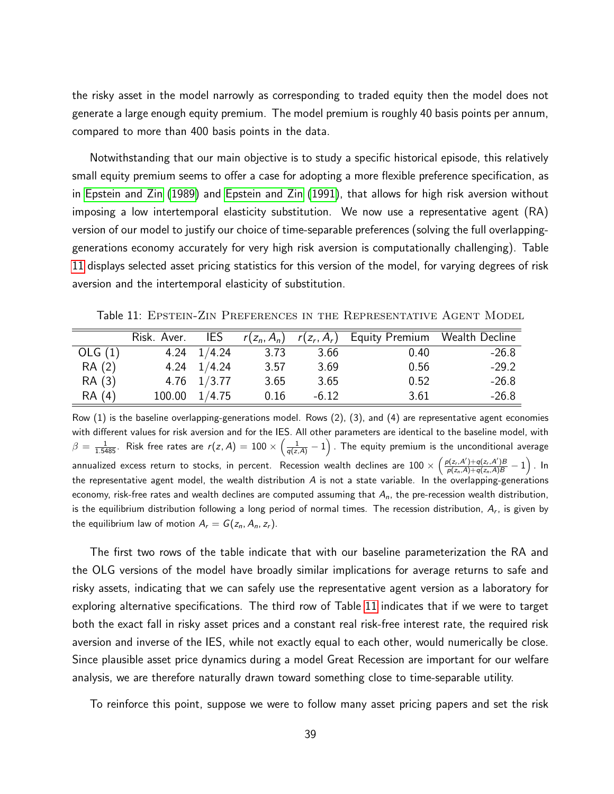the risky asset in the model narrowly as corresponding to traded equity then the model does not generate a large enough equity premium. The model premium is roughly 40 basis points per annum, compared to more than 400 basis points in the data.

Notwithstanding that our main objective is to study a specific historical episode, this relatively small equity premium seems to offer a case for adopting a more flexible preference specification, as in [Epstein and Zin \(1989\)](#page-48-0) and [Epstein and Zin \(1991\)](#page-48-1), that allows for high risk aversion without imposing a low intertemporal elasticity substitution. We now use a representative agent (RA) version of our model to justify our choice of time-separable preferences (solving the full overlappinggenerations economy accurately for very high risk aversion is computationally challenging). Table [11](#page-39-0) displays selected asset pricing statistics for this version of the model, for varying degrees of risk aversion and the intertemporal elasticity of substitution.

<span id="page-39-0"></span>Table 11: Epstein-Zin Preferences in the Representative Agent Model

|           | Risk. Aver. | IES.                  |      |         | $r(z_n, A_n)$ $r(z_r, A_r)$ Equity Premium Wealth Decline |         |
|-----------|-------------|-----------------------|------|---------|-----------------------------------------------------------|---------|
| OLG $(1)$ |             | $4.24$ $1/4.24$       | 3.73 | 3.66    | 0.40                                                      | $-26.8$ |
| RA(2)     |             | 4.24 $1/4.24$         | 3.57 | 3.69    | 0.56                                                      | $-29.2$ |
| RA (3)    |             | $4.76$ $1/3.77$       | 3.65 | 3.65    | 0.52                                                      | $-26.8$ |
| RA (4)    |             | $100.00 \quad 1/4.75$ | 0.16 | $-6.12$ | 3.61                                                      | $-26.8$ |

Row (1) is the baseline overlapping-generations model. Rows (2), (3), and (4) are representative agent economies with different values for risk aversion and for the IES. All other parameters are identical to the baseline model, with  $\beta=\frac{1}{1.5485}$ . Risk free rates are  $r(z,A)=100\times\left(\frac{1}{q(z,A)}-1\right)$  . The equity premium is the unconditional average annualized excess return to stocks, in percent. Recession wealth declines are  $100\times\left(\frac{p(z_r,A')+q(z_r,A')B}{p(z_n,A)+q(z_n,A)B}-1\right)$ . In the representative agent model, the wealth distribution  $A$  is not a state variable. In the overlapping-generations economy, risk-free rates and wealth declines are computed assuming that  $A_n$ , the pre-recession wealth distribution, is the equilibrium distribution following a long period of normal times. The recession distribution,  $A_r$ , is given by the equilibrium law of motion  $A_r = G(z_n, A_n, z_r)$ .

The first two rows of the table indicate that with our baseline parameterization the RA and the OLG versions of the model have broadly similar implications for average returns to safe and risky assets, indicating that we can safely use the representative agent version as a laboratory for exploring alternative specifications. The third row of Table [11](#page-39-0) indicates that if we were to target both the exact fall in risky asset prices and a constant real risk-free interest rate, the required risk aversion and inverse of the IES, while not exactly equal to each other, would numerically be close. Since plausible asset price dynamics during a model Great Recession are important for our welfare analysis, we are therefore naturally drawn toward something close to time-separable utility.

To reinforce this point, suppose we were to follow many asset pricing papers and set the risk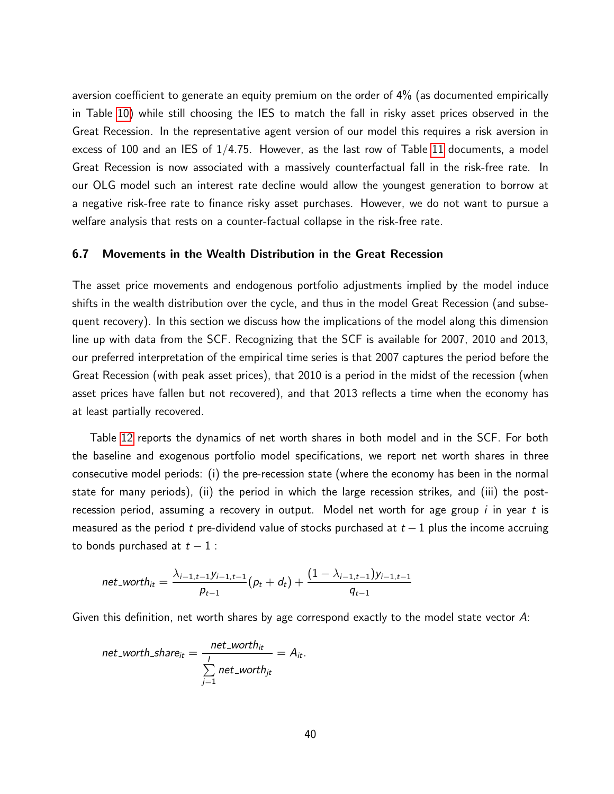aversion coefficient to generate an equity premium on the order of 4% (as documented empirically in Table [10\)](#page-38-0) while still choosing the IES to match the fall in risky asset prices observed in the Great Recession. In the representative agent version of our model this requires a risk aversion in excess of 100 and an IES of  $1/4.75$ . However, as the last row of Table [11](#page-39-0) documents, a model Great Recession is now associated with a massively counterfactual fall in the risk-free rate. In our OLG model such an interest rate decline would allow the youngest generation to borrow at a negative risk-free rate to finance risky asset purchases. However, we do not want to pursue a welfare analysis that rests on a counter-factual collapse in the risk-free rate.

#### 6.7 Movements in the Wealth Distribution in the Great Recession

The asset price movements and endogenous portfolio adjustments implied by the model induce shifts in the wealth distribution over the cycle, and thus in the model Great Recession (and subsequent recovery). In this section we discuss how the implications of the model along this dimension line up with data from the SCF. Recognizing that the SCF is available for 2007, 2010 and 2013, our preferred interpretation of the empirical time series is that 2007 captures the period before the Great Recession (with peak asset prices), that 2010 is a period in the midst of the recession (when asset prices have fallen but not recovered), and that 2013 reflects a time when the economy has at least partially recovered.

Table [12](#page-41-0) reports the dynamics of net worth shares in both model and in the SCF. For both the baseline and exogenous portfolio model specifications, we report net worth shares in three consecutive model periods: (i) the pre-recession state (where the economy has been in the normal state for many periods), (ii) the period in which the large recession strikes, and (iii) the postrecession period, assuming a recovery in output. Model net worth for age group i in year t is measured as the period t pre-dividend value of stocks purchased at  $t-1$  plus the income accruing to bonds purchased at  $t - 1$  :

$$
\textit{net\_worth}_{it} = \frac{\lambda_{i-1,t-1}y_{i-1,t-1}}{p_{t-1}}(p_t + d_t) + \frac{(1 - \lambda_{i-1,t-1})y_{i-1,t-1}}{q_{t-1}}
$$

Given this definition, net worth shares by age correspond exactly to the model state vector  $A$ :

$$
net\_worth\_share_{it} = \frac{net\_worth_{it}}{\sum_{j=1}^{I} net\_worth_{jt}} = A_{it}.
$$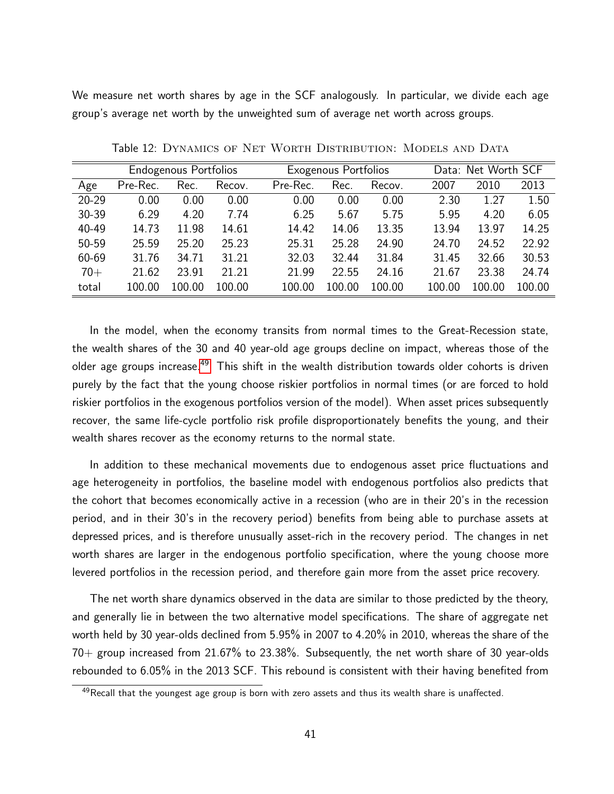We measure net worth shares by age in the SCF analogously. In particular, we divide each age group's average net worth by the unweighted sum of average net worth across groups.

|           | <b>Endogenous Portfolios</b><br><b>Exogenous Portfolios</b> |        |        |          | Data: Net Worth SCF |        |        |        |        |
|-----------|-------------------------------------------------------------|--------|--------|----------|---------------------|--------|--------|--------|--------|
| Age       | Pre-Rec.                                                    | Rec.   | Recov. | Pre-Rec. | Rec.                | Recov. | 2007   | 2010   | 2013   |
| $20 - 29$ | 0.00                                                        | 0.00   | 0.00   | 0.00     | 0.00                | 0.00   | 2.30   | 1.27   | 1.50   |
| 30-39     | 6.29                                                        | 4.20   | 7.74   | 6.25     | 5.67                | 5.75   | 5.95   | 4.20   | 6.05   |
| 40-49     | 14.73                                                       | 11.98  | 14.61  | 14.42    | 14.06               | 13.35  | 13.94  | 13.97  | 14.25  |
| 50-59     | 25.59                                                       | 25.20  | 25.23  | 25.31    | 25.28               | 24.90  | 24.70  | 24.52  | 22.92  |
| 60-69     | 31.76                                                       | 34.71  | 31.21  | 32.03    | 32.44               | 31.84  | 31.45  | 32.66  | 30.53  |
| $70+$     | 21.62                                                       | 23.91  | 21.21  | 21.99    | 22.55               | 24.16  | 21.67  | 23.38  | 24.74  |
| total     | 100.00                                                      | 100.00 | 100.00 | 100.00   | 100.00              | 100.00 | 100.00 | 100.00 | 100.00 |

<span id="page-41-0"></span>Table 12: Dynamics of Net Worth Distribution: Models and Data

In the model, when the economy transits from normal times to the Great-Recession state, the wealth shares of the 30 and 40 year-old age groups decline on impact, whereas those of the older age groups increase.<sup>[49](#page-0-0)</sup> This shift in the wealth distribution towards older cohorts is driven purely by the fact that the young choose riskier portfolios in normal times (or are forced to hold riskier portfolios in the exogenous portfolios version of the model). When asset prices subsequently recover, the same life-cycle portfolio risk profile disproportionately benefits the young, and their wealth shares recover as the economy returns to the normal state.

In addition to these mechanical movements due to endogenous asset price fluctuations and age heterogeneity in portfolios, the baseline model with endogenous portfolios also predicts that the cohort that becomes economically active in a recession (who are in their 20's in the recession period, and in their 30's in the recovery period) benefits from being able to purchase assets at depressed prices, and is therefore unusually asset-rich in the recovery period. The changes in net worth shares are larger in the endogenous portfolio specification, where the young choose more levered portfolios in the recession period, and therefore gain more from the asset price recovery.

The net worth share dynamics observed in the data are similar to those predicted by the theory, and generally lie in between the two alternative model specifications. The share of aggregate net worth held by 30 year-olds declined from 5.95% in 2007 to 4.20% in 2010, whereas the share of the  $70+$  group increased from 21.67% to 23.38%. Subsequently, the net worth share of 30 year-olds rebounded to 6.05% in the 2013 SCF. This rebound is consistent with their having benefited from

 $49$ Recall that the youngest age group is born with zero assets and thus its wealth share is unaffected.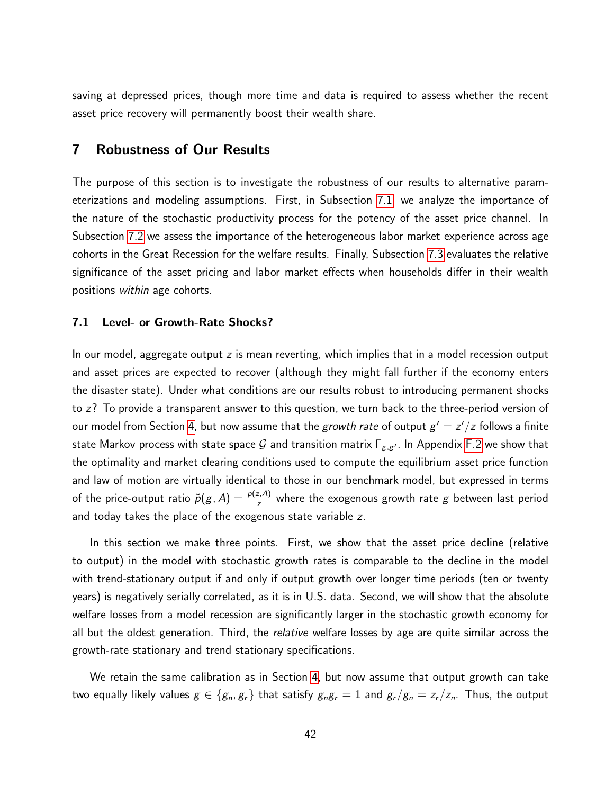saving at depressed prices, though more time and data is required to assess whether the recent asset price recovery will permanently boost their wealth share.

# 7 Robustness of Our Results

The purpose of this section is to investigate the robustness of our results to alternative parameterizations and modeling assumptions. First, in Subsection [7.1,](#page-42-0) we analyze the importance of the nature of the stochastic productivity process for the potency of the asset price channel. In Subsection [7.2](#page-44-0) we assess the importance of the heterogeneous labor market experience across age cohorts in the Great Recession for the welfare results. Finally, Subsection [7.3](#page-45-0) evaluates the relative significance of the asset pricing and labor market effects when households differ in their wealth positions within age cohorts.

#### <span id="page-42-0"></span>7.1 Level- or Growth-Rate Shocks?

In our model, aggregate output z is mean reverting, which implies that in a model recession output and asset prices are expected to recover (although they might fall further if the economy enters the disaster state). Under what conditions are our results robust to introducing permanent shocks to z? To provide a transparent answer to this question, we turn back to the three-period version of our model from Section [4,](#page-14-0) but now assume that the *growth rate* of output  $g' = z'/z$  follows a finite state Markov process with state space  ${\cal G}$  and transition matrix  $\mathsf{\Gamma}_{\mathcal{\mathcal{g}},\mathcal{\mathcal{g}}'}$ . In Appendix [F.2](#page-73-0) we show that the optimality and market clearing conditions used to compute the equilibrium asset price function and law of motion are virtually identical to those in our benchmark model, but expressed in terms of the price-output ratio  $\tilde{p}(g,A)=\frac{p(z,A)}{z}$  where the exogenous growth rate  $g$  between last period and today takes the place of the exogenous state variable z.

In this section we make three points. First, we show that the asset price decline (relative to output) in the model with stochastic growth rates is comparable to the decline in the model with trend-stationary output if and only if output growth over longer time periods (ten or twenty years) is negatively serially correlated, as it is in U.S. data. Second, we will show that the absolute welfare losses from a model recession are significantly larger in the stochastic growth economy for all but the oldest generation. Third, the *relative* welfare losses by age are quite similar across the growth-rate stationary and trend stationary specifications.

We retain the same calibration as in Section [4,](#page-14-0) but now assume that output growth can take two equally likely values  $g \in \{g_n, g_r\}$  that satisfy  $g_n g_r = 1$  and  $g_r/g_n = z_r/z_n$ . Thus, the output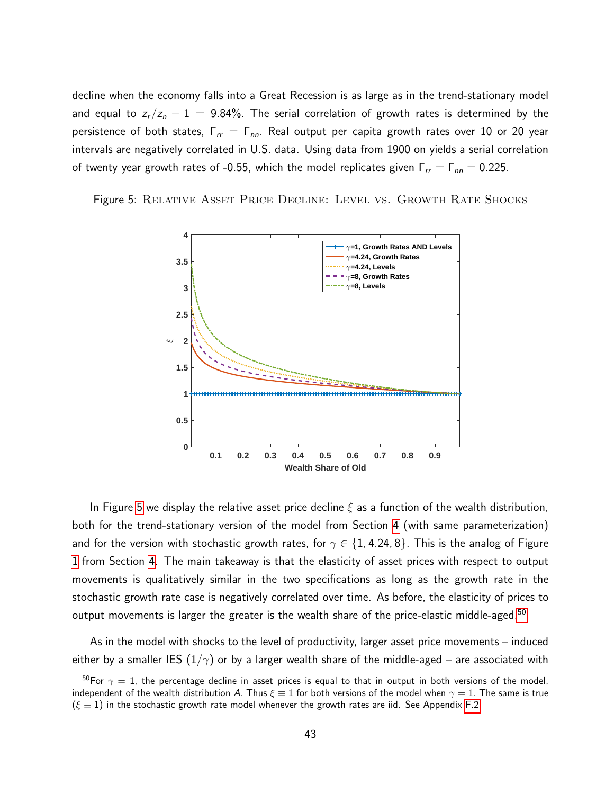decline when the economy falls into a Great Recession is as large as in the trend-stationary model and equal to  $z_r/z_n - 1 = 9.84\%$ . The serial correlation of growth rates is determined by the persistence of both states,  $\Gamma_{rr} = \Gamma_{nn}$ . Real output per capita growth rates over 10 or 20 year intervals are negatively correlated in U.S. data. Using data from 1900 on yields a serial correlation of twenty year growth rates of -0.55, which the model replicates given  $\Gamma_{rr} = \Gamma_{nn} = 0.225$ .

Figure 5: Relative Asset Price Decline: Level vs. Growth Rate Shocks

<span id="page-43-0"></span>

In Figure [5](#page-43-0) we display the relative asset price decline  $\xi$  as a function of the wealth distribution, both for the trend-stationary version of the model from Section [4](#page-14-0) (with same parameterization) and for the version with stochastic growth rates, for  $\gamma \in \{1, 4.24, 8\}$ . This is the analog of Figure [1](#page-17-0) from Section [4.](#page-14-0) The main takeaway is that the elasticity of asset prices with respect to output movements is qualitatively similar in the two specifications as long as the growth rate in the stochastic growth rate case is negatively correlated over time. As before, the elasticity of prices to output movements is larger the greater is the wealth share of the price-elastic middle-aged.<sup>[50](#page-0-0)</sup>

As in the model with shocks to the level of productivity, larger asset price movements – induced either by a smaller IES  $(1/\gamma)$  or by a larger wealth share of the middle-aged – are associated with

<sup>&</sup>lt;sup>50</sup>For  $\gamma = 1$ , the percentage decline in asset prices is equal to that in output in both versions of the model, independent of the wealth distribution A. Thus  $\xi \equiv 1$  for both versions of the model when  $\gamma = 1$ . The same is true  $(\xi \equiv 1)$  in the stochastic growth rate model whenever the growth rates are iid. See Appendix [F.2.](#page-73-0)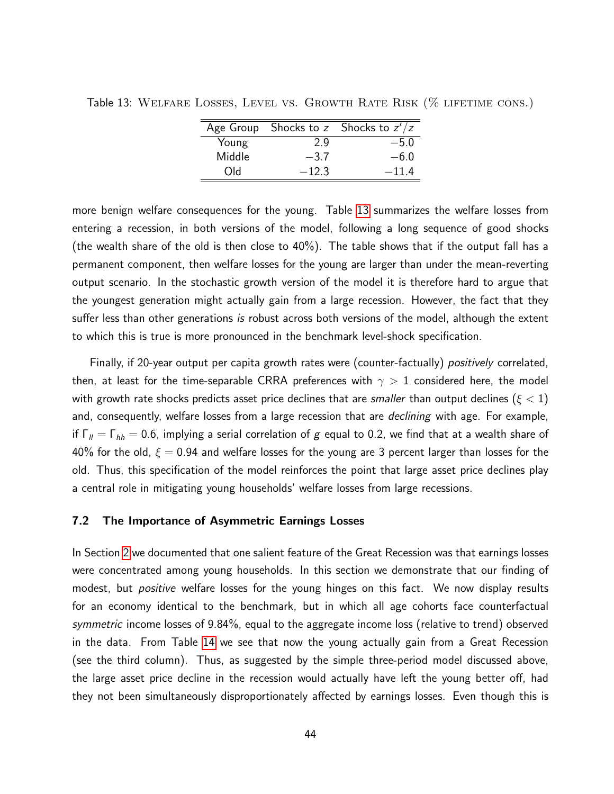|        |         | Age Group Shocks to z Shocks to $z'/z$ |
|--------|---------|----------------------------------------|
| Young  | 2 Q     | $-5.0$                                 |
| Middle | $-3.7$  | $-6.0$                                 |
| NIO    | $-12.3$ | $-114$                                 |

<span id="page-44-1"></span>Table 13: Welfare Losses, Level vs. Growth Rate Risk (% lifetime cons.)

more benign welfare consequences for the young. Table [13](#page-44-1) summarizes the welfare losses from entering a recession, in both versions of the model, following a long sequence of good shocks (the wealth share of the old is then close to 40%). The table shows that if the output fall has a permanent component, then welfare losses for the young are larger than under the mean-reverting output scenario. In the stochastic growth version of the model it is therefore hard to argue that the youngest generation might actually gain from a large recession. However, the fact that they suffer less than other generations is robust across both versions of the model, although the extent to which this is true is more pronounced in the benchmark level-shock specification.

Finally, if 20-year output per capita growth rates were (counter-factually) positively correlated, then, at least for the time-separable CRRA preferences with  $\gamma > 1$  considered here, the model with growth rate shocks predicts asset price declines that are smaller than output declines ( $\xi < 1$ ) and, consequently, welfare losses from a large recession that are *declining* with age. For example, if  $\Gamma_{II} = \Gamma_{hh} = 0.6$ , implying a serial correlation of g equal to 0.2, we find that at a wealth share of 40% for the old,  $\xi = 0.94$  and welfare losses for the young are 3 percent larger than losses for the old. Thus, this specification of the model reinforces the point that large asset price declines play a central role in mitigating young households' welfare losses from large recessions.

#### <span id="page-44-0"></span>7.2 The Importance of Asymmetric Earnings Losses

In Section [2](#page-4-0) we documented that one salient feature of the Great Recession was that earnings losses were concentrated among young households. In this section we demonstrate that our finding of modest, but *positive* welfare losses for the young hinges on this fact. We now display results for an economy identical to the benchmark, but in which all age cohorts face counterfactual symmetric income losses of 9.84%, equal to the aggregate income loss (relative to trend) observed in the data. From Table [14](#page-45-1) we see that now the young actually gain from a Great Recession (see the third column). Thus, as suggested by the simple three-period model discussed above, the large asset price decline in the recession would actually have left the young better off, had they not been simultaneously disproportionately affected by earnings losses. Even though this is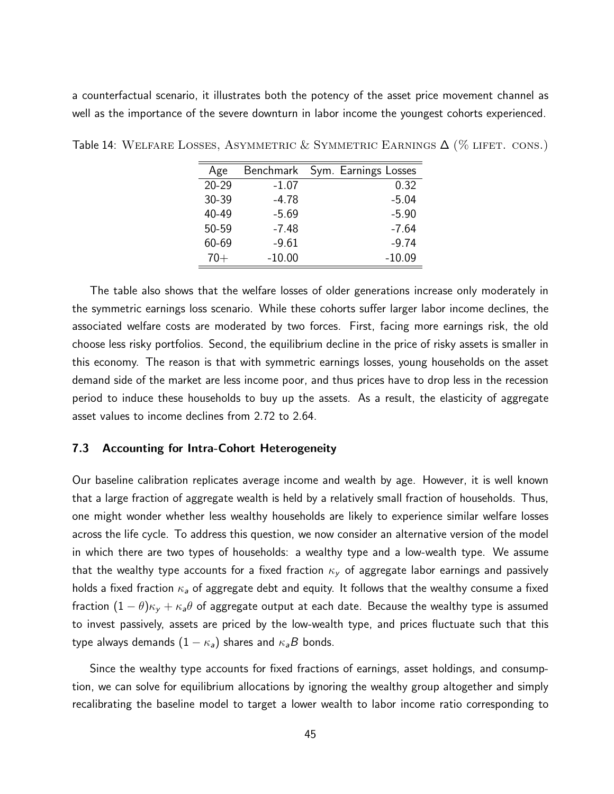a counterfactual scenario, it illustrates both the potency of the asset price movement channel as well as the importance of the severe downturn in labor income the youngest cohorts experienced.

| Age       | Benchmark | Sym. Earnings Losses |
|-----------|-----------|----------------------|
| $20 - 29$ | $-1.07$   | 0.32                 |
| 30-39     | -4.78     | $-5.04$              |
| 40-49     | $-5.69$   | $-5.90$              |
| 50-59     | $-7.48$   | -7.64                |
| 60-69     | $-9.61$   | $-9.74$              |
| $70+$     | $-10.00$  | $-10.09$             |

<span id="page-45-1"></span>Table 14: WELFARE LOSSES, ASYMMETRIC & SYMMETRIC EARNINGS  $\Delta$  (% lifet. cons.)

The table also shows that the welfare losses of older generations increase only moderately in the symmetric earnings loss scenario. While these cohorts suffer larger labor income declines, the associated welfare costs are moderated by two forces. First, facing more earnings risk, the old choose less risky portfolios. Second, the equilibrium decline in the price of risky assets is smaller in this economy. The reason is that with symmetric earnings losses, young households on the asset demand side of the market are less income poor, and thus prices have to drop less in the recession period to induce these households to buy up the assets. As a result, the elasticity of aggregate asset values to income declines from 2.72 to 2.64.

#### <span id="page-45-0"></span>7.3 Accounting for Intra-Cohort Heterogeneity

Our baseline calibration replicates average income and wealth by age. However, it is well known that a large fraction of aggregate wealth is held by a relatively small fraction of households. Thus, one might wonder whether less wealthy households are likely to experience similar welfare losses across the life cycle. To address this question, we now consider an alternative version of the model in which there are two types of households: a wealthy type and a low-wealth type. We assume that the wealthy type accounts for a fixed fraction  $\kappa_y$  of aggregate labor earnings and passively holds a fixed fraction  $\kappa_a$  of aggregate debt and equity. It follows that the wealthy consume a fixed fraction  $(1 - \theta)\kappa_v + \kappa_a\theta$  of aggregate output at each date. Because the wealthy type is assumed to invest passively, assets are priced by the low-wealth type, and prices fluctuate such that this type always demands  $(1 - \kappa_a)$  shares and  $\kappa_a B$  bonds.

Since the wealthy type accounts for fixed fractions of earnings, asset holdings, and consumption, we can solve for equilibrium allocations by ignoring the wealthy group altogether and simply recalibrating the baseline model to target a lower wealth to labor income ratio corresponding to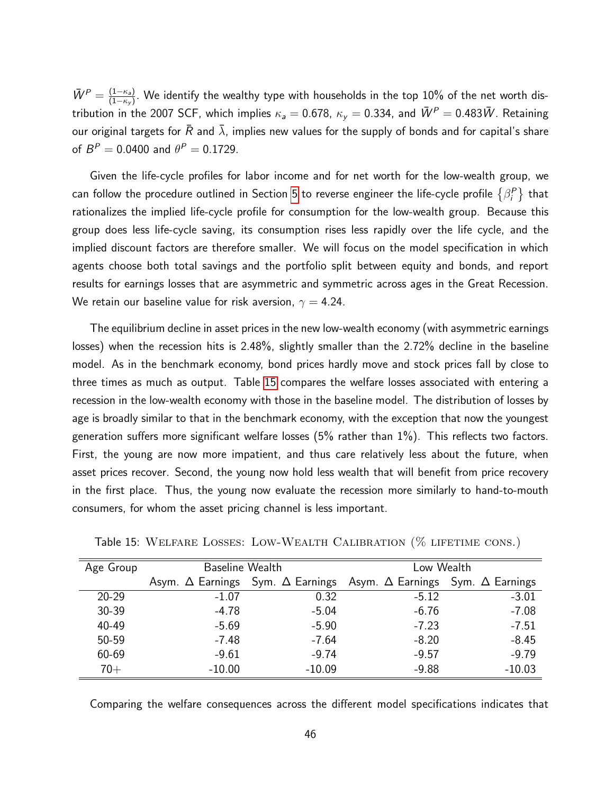$\bar{W}^P = \frac{(1-\kappa_a)}{(1-\kappa_a)}$  $\frac{(1-\kappa_s)}{(1-\kappa_y)}$ . We identify the wealthy type with households in the top  $10\%$  of the net worth distribution in the 2007 SCF, which implies  $\kappa_a = 0.678$ ,  $\kappa_y = 0.334$ , and  $\bar{W}^P = 0.483 \bar{W}$ . Retaining our original targets for  $\bar{R}$  and  $\bar{\lambda}$ , implies new values for the supply of bonds and for capital's share of  $B^P=0.0400$  and  $\theta^P=0.1729$ .

Given the life-cycle profiles for labor income and for net worth for the low-wealth group, we can follow the procedure outlined in Section [5](#page-18-0) to reverse engineer the life-cycle profile  $\{\beta^P_i\}$  that rationalizes the implied life-cycle profile for consumption for the low-wealth group. Because this group does less life-cycle saving, its consumption rises less rapidly over the life cycle, and the implied discount factors are therefore smaller. We will focus on the model specification in which agents choose both total savings and the portfolio split between equity and bonds, and report results for earnings losses that are asymmetric and symmetric across ages in the Great Recession. We retain our baseline value for risk aversion,  $\gamma = 4.24$ .

The equilibrium decline in asset prices in the new low-wealth economy (with asymmetric earnings losses) when the recession hits is 2.48%, slightly smaller than the 2.72% decline in the baseline model. As in the benchmark economy, bond prices hardly move and stock prices fall by close to three times as much as output. Table [15](#page-46-0) compares the welfare losses associated with entering a recession in the low-wealth economy with those in the baseline model. The distribution of losses by age is broadly similar to that in the benchmark economy, with the exception that now the youngest generation suffers more significant welfare losses (5% rather than 1%). This reflects two factors. First, the young are now more impatient, and thus care relatively less about the future, when asset prices recover. Second, the young now hold less wealth that will benefit from price recovery in the first place. Thus, the young now evaluate the recession more similarly to hand-to-mouth consumers, for whom the asset pricing channel is less important.

| Age Group | Baseline Wealth |          | Low Wealth                                                                                    |          |
|-----------|-----------------|----------|-----------------------------------------------------------------------------------------------|----------|
|           |                 |          | Asym. $\Delta$ Earnings Sym. $\Delta$ Earnings Asym. $\Delta$ Earnings Sym. $\Delta$ Earnings |          |
| $20 - 29$ | $-1.07$         | 0.32     | $-5.12$                                                                                       | $-3.01$  |
| 30-39     | $-4.78$         | $-5.04$  | $-6.76$                                                                                       | $-7.08$  |
| 40-49     | $-5.69$         | $-5.90$  | $-7.23$                                                                                       | $-7.51$  |
| 50-59     | $-7.48$         | $-7.64$  | $-8.20$                                                                                       | $-8.45$  |
| 60-69     | $-9.61$         | $-9.74$  | $-9.57$                                                                                       | $-9.79$  |
| $70+$     | $-10.00$        | $-10.09$ | $-9.88$                                                                                       | $-10.03$ |

<span id="page-46-0"></span>Table 15: Welfare Losses: Low-Wealth Calibration (% lifetime cons.)

Comparing the welfare consequences across the different model specifications indicates that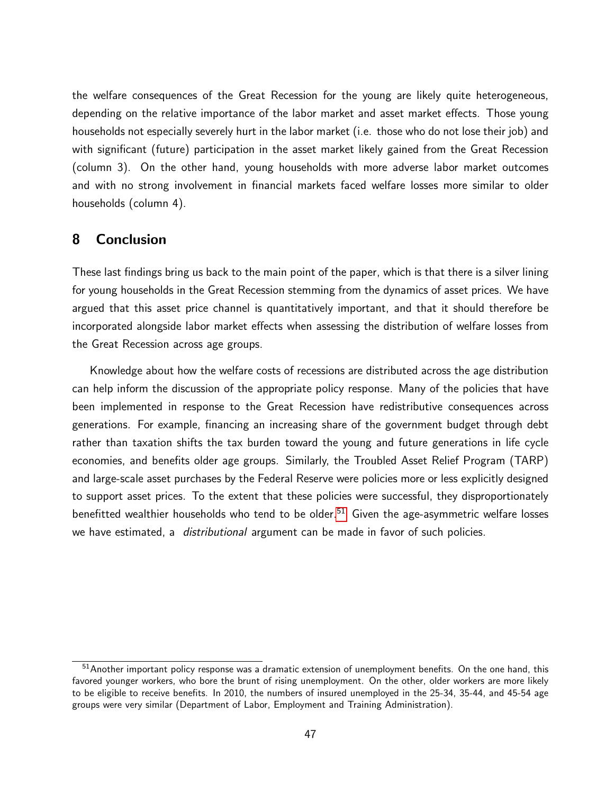the welfare consequences of the Great Recession for the young are likely quite heterogeneous, depending on the relative importance of the labor market and asset market effects. Those young households not especially severely hurt in the labor market (i.e. those who do not lose their job) and with significant (future) participation in the asset market likely gained from the Great Recession (column 3). On the other hand, young households with more adverse labor market outcomes and with no strong involvement in financial markets faced welfare losses more similar to older households (column 4).

## 8 Conclusion

These last findings bring us back to the main point of the paper, which is that there is a silver lining for young households in the Great Recession stemming from the dynamics of asset prices. We have argued that this asset price channel is quantitatively important, and that it should therefore be incorporated alongside labor market effects when assessing the distribution of welfare losses from the Great Recession across age groups.

Knowledge about how the welfare costs of recessions are distributed across the age distribution can help inform the discussion of the appropriate policy response. Many of the policies that have been implemented in response to the Great Recession have redistributive consequences across generations. For example, financing an increasing share of the government budget through debt rather than taxation shifts the tax burden toward the young and future generations in life cycle economies, and benefits older age groups. Similarly, the Troubled Asset Relief Program (TARP) and large-scale asset purchases by the Federal Reserve were policies more or less explicitly designed to support asset prices. To the extent that these policies were successful, they disproportionately benefitted wealthier households who tend to be older.<sup>[51](#page-0-0)</sup> Given the age-asymmetric welfare losses we have estimated, a *distributional* argument can be made in favor of such policies.

<sup>&</sup>lt;sup>51</sup> Another important policy response was a dramatic extension of unemployment benefits. On the one hand, this favored younger workers, who bore the brunt of rising unemployment. On the other, older workers are more likely to be eligible to receive benefits. In 2010, the numbers of insured unemployed in the 25-34, 35-44, and 45-54 age groups were very similar (Department of Labor, Employment and Training Administration).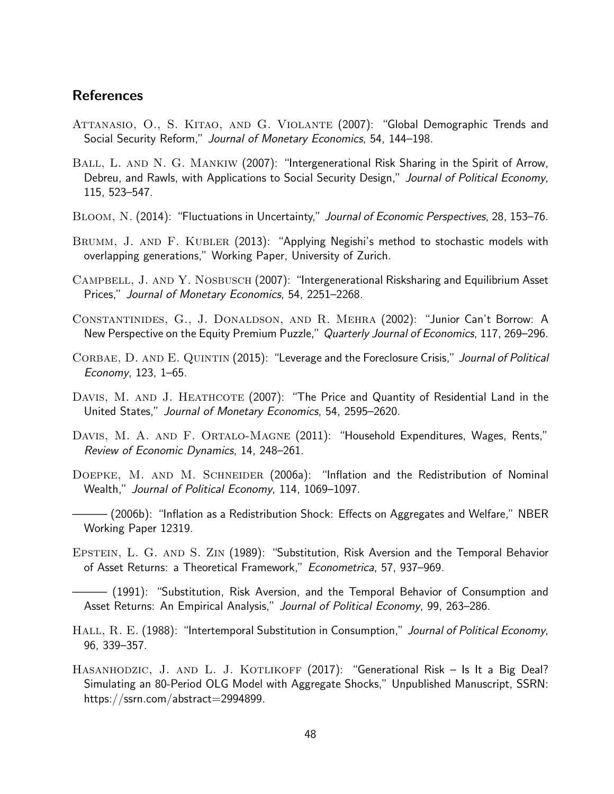# References

- ATTANASIO, O., S. KITAO, AND G. VIOLANTE (2007): "Global Demographic Trends and Social Security Reform," Journal of Monetary Economics, 54, 144-198.
- BALL, L. AND N. G. MANKIW (2007): "Intergenerational Risk Sharing in the Spirit of Arrow, Debreu, and Rawls, with Applications to Social Security Design," Journal of Political Economy, 115, 523–547.
- Bloom, N. (2014): "Fluctuations in Uncertainty," Journal of Economic Perspectives, 28, 153–76.
- <span id="page-48-2"></span>BRUMM, J. AND F. KUBLER (2013): "Applying Negishi's method to stochastic models with overlapping generations," Working Paper, University of Zurich.
- CAMPBELL, J. AND Y. NOSBUSCH (2007): "Intergenerational Risksharing and Equilibrium Asset Prices," Journal of Monetary Economics, 54, 2251–2268.
- Constantinides, G., J. Donaldson, and R. Mehra (2002): "Junior Can't Borrow: A New Perspective on the Equity Premium Puzzle," Quarterly Journal of Economics, 117, 269–296.
- CORBAE, D. AND E. QUINTIN (2015): "Leverage and the Foreclosure Crisis," Journal of Political Economy, 123, 1–65.
- DAVIS, M. AND J. HEATHCOTE (2007): "The Price and Quantity of Residential Land in the United States," Journal of Monetary Economics, 54, 2595–2620.
- DAVIS, M. A. AND F. ORTALO-MAGNE (2011): "Household Expenditures, Wages, Rents," Review of Economic Dynamics, 14, 248–261.
- DOEPKE, M. AND M. SCHNEIDER (2006a): "Inflation and the Redistribution of Nominal Wealth," Journal of Political Economy, 114, 1069–1097.
- (2006b): "Inflation as a Redistribution Shock: Effects on Aggregates and Welfare," NBER Working Paper 12319.
- <span id="page-48-0"></span>Epstein, L. G. and S. Zin (1989): "Substitution, Risk Aversion and the Temporal Behavior of Asset Returns: a Theoretical Framework," Econometrica, 57, 937–969.

<span id="page-48-1"></span>——— (1991): "Substitution, Risk Aversion, and the Temporal Behavior of Consumption and Asset Returns: An Empirical Analysis," Journal of Political Economy, 99, 263-286.

- HALL, R. E. (1988): "Intertemporal Substitution in Consumption," Journal of Political Economy, 96, 339–357.
- HASANHODZIC, J. AND L. J. KOTLIKOFF (2017): "Generational Risk Is It a Big Deal? Simulating an 80-Period OLG Model with Aggregate Shocks," Unpublished Manuscript, SSRN: https://ssrn.com/abstract=2994899.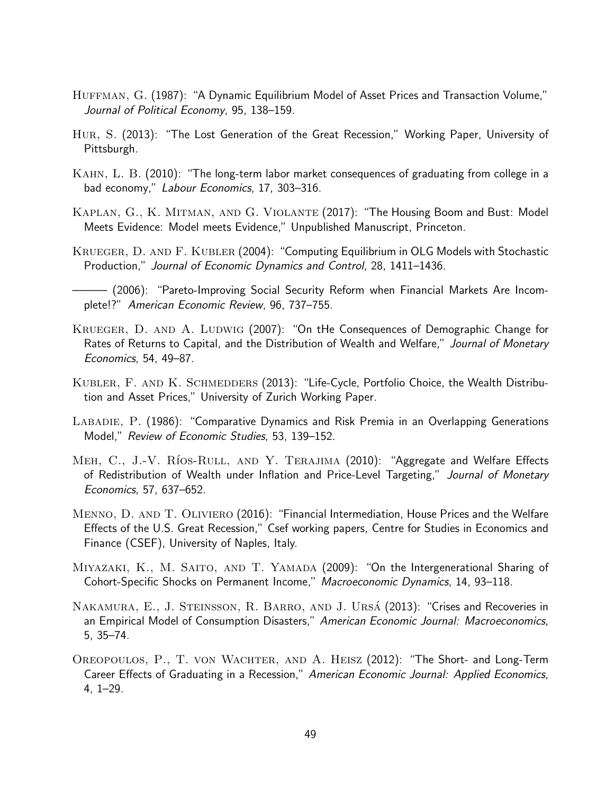- HUFFMAN, G. (1987): "A Dynamic Equilibrium Model of Asset Prices and Transaction Volume," Journal of Political Economy, 95, 138–159.
- Hur, S. (2013): "The Lost Generation of the Great Recession," Working Paper, University of Pittsburgh.
- Kahn, L. B. (2010): "The long-term labor market consequences of graduating from college in a bad economy," Labour Economics, 17, 303–316.
- Kaplan, G., K. Mitman, and G. Violante (2017): "The Housing Boom and Bust: Model Meets Evidence: Model meets Evidence," Unpublished Manuscript, Princeton.
- <span id="page-49-0"></span>Krueger, D. and F. Kubler (2004): "Computing Equilibrium in OLG Models with Stochastic Production," Journal of Economic Dynamics and Control, 28, 1411–1436.
- <span id="page-49-1"></span>– (2006): "Pareto-Improving Social Security Reform when Financial Markets Are Incomplete!?" American Economic Review, 96, 737–755.
- KRUEGER, D. AND A. LUDWIG (2007): "On tHe Consequences of Demographic Change for Rates of Returns to Capital, and the Distribution of Wealth and Welfare," Journal of Monetary Economics, 54, 49–87.
- Kubler, F. and K. Schmedders (2013): "Life-Cycle, Portfolio Choice, the Wealth Distribution and Asset Prices," University of Zurich Working Paper.
- LABADIE, P. (1986): "Comparative Dynamics and Risk Premia in an Overlapping Generations Model," Review of Economic Studies, 53, 139–152.
- MEH, C., J.-V. RÍOS-RULL, AND Y. TERAJIMA (2010): "Aggregate and Welfare Effects of Redistribution of Wealth under Inflation and Price-Level Targeting," Journal of Monetary Economics, 57, 637–652.
- Menno, D. and T. Oliviero (2016): "Financial Intermediation, House Prices and the Welfare Effects of the U.S. Great Recession," Csef working papers, Centre for Studies in Economics and Finance (CSEF), University of Naples, Italy.
- MIYAZAKI, K., M. SAITO, AND T. YAMADA (2009): "On the Intergenerational Sharing of Cohort-Specific Shocks on Permanent Income," Macroeconomic Dynamics, 14, 93–118.
- NAKAMURA, E., J. STEINSSON, R. BARRO, AND J. URSÁ (2013): "Crises and Recoveries in an Empirical Model of Consumption Disasters," American Economic Journal: Macroeconomics, 5, 35–74.
- Oreopoulos, P., T. von Wachter, and A. Heisz (2012): "The Short- and Long-Term Career Effects of Graduating in a Recession," American Economic Journal: Applied Economics, 4, 1–29.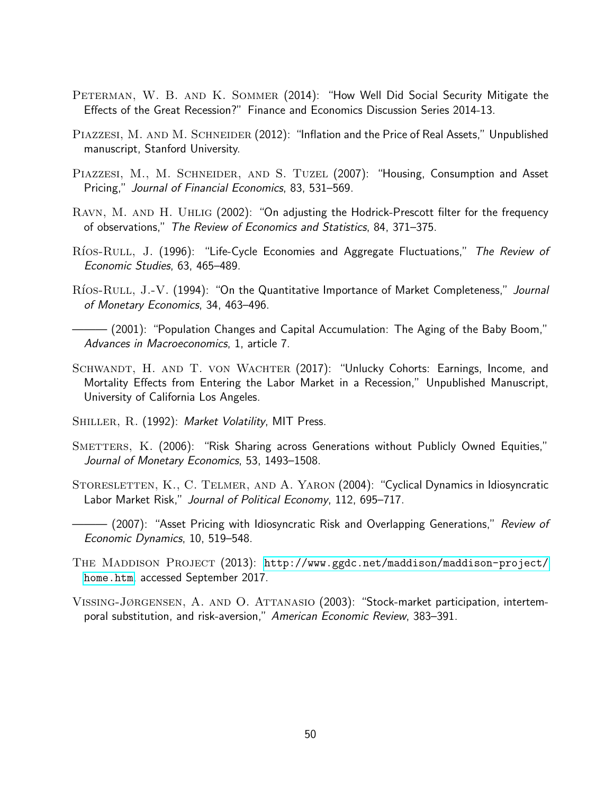- PETERMAN, W. B. AND K. SOMMER (2014): "How Well Did Social Security Mitigate the Effects of the Great Recession?" Finance and Economics Discussion Series 2014-13.
- PIAZZESI, M. AND M. SCHNEIDER (2012): "Inflation and the Price of Real Assets," Unpublished manuscript, Stanford University.
- PIAZZESI, M., M. SCHNEIDER, AND S. TUZEL (2007): "Housing, Consumption and Asset Pricing," Journal of Financial Economics, 83, 531–569.
- RAVN, M. AND H. UHLIG (2002): "On adjusting the Hodrick-Prescott filter for the frequency of observations," The Review of Economics and Statistics, 84, 371–375.
- Ríos-Rull, J. (1996): "Life-Cycle Economies and Aggregate Fluctuations," The Review of Economic Studies, 63, 465–489.
- Ríos-Rull, J.-V. (1994): "On the Quantitative Importance of Market Completeness," Journal of Monetary Economics, 34, 463–496.
- ——— (2001): "Population Changes and Capital Accumulation: The Aging of the Baby Boom," Advances in Macroeconomics, 1, article 7.
- SCHWANDT, H. AND T. VON WACHTER (2017): "Unlucky Cohorts: Earnings, Income, and Mortality Effects from Entering the Labor Market in a Recession," Unpublished Manuscript, University of California Los Angeles.
- <span id="page-50-0"></span>SHILLER, R. (1992): Market Volatility, MIT Press.
- SMETTERS, K. (2006): "Risk Sharing across Generations without Publicly Owned Equities," Journal of Monetary Economics, 53, 1493–1508.
- STORESLETTEN, K., C. TELMER, AND A. YARON (2004): "Cyclical Dynamics in Idiosyncratic Labor Market Risk," Journal of Political Economy, 112, 695–717.
- (2007): "Asset Pricing with Idiosyncratic Risk and Overlapping Generations," Review of Economic Dynamics, 10, 519–548.
- The Maddison Project (2013): [http://www.ggdc.net/maddison/maddison-project/](http://www.ggdc.net/maddison/maddison-project/home.htm) [home.htm](http://www.ggdc.net/maddison/maddison-project/home.htm), accessed September 2017.
- Vissing-Jørgensen, A. and O. Attanasio (2003): "Stock-market participation, intertemporal substitution, and risk-aversion," American Economic Review, 383–391.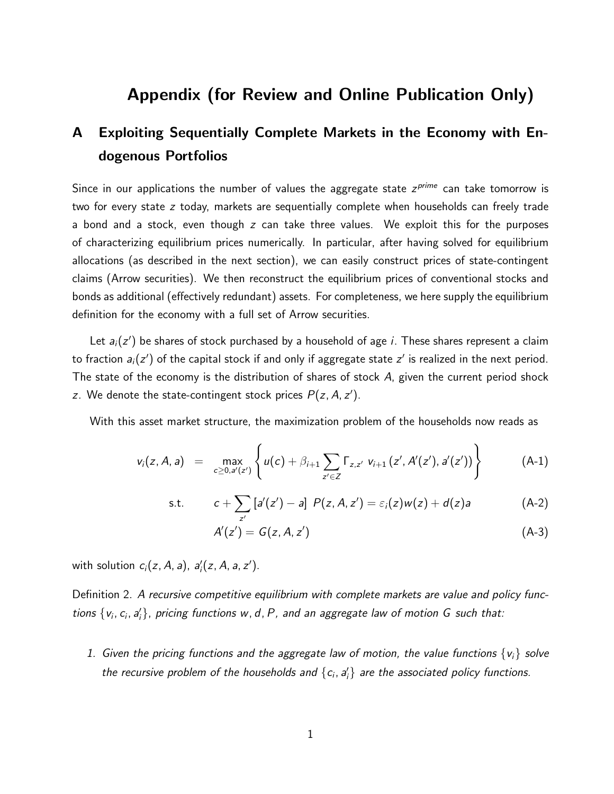# Appendix (for Review and Online Publication Only)

# A Exploiting Sequentially Complete Markets in the Economy with Endogenous Portfolios

Since in our applications the number of values the aggregate state  $z^{prime}$  can take tomorrow is two for every state z today, markets are sequentially complete when households can freely trade a bond and a stock, even though z can take three values. We exploit this for the purposes of characterizing equilibrium prices numerically. In particular, after having solved for equilibrium allocations (as described in the next section), we can easily construct prices of state-contingent claims (Arrow securities). We then reconstruct the equilibrium prices of conventional stocks and bonds as additional (effectively redundant) assets. For completeness, we here supply the equilibrium definition for the economy with a full set of Arrow securities.

Let  $a_i(z')$  be shares of stock purchased by a household of age i. These shares represent a claim to fraction  $a_i(z')$  of the capital stock if and only if aggregate state  $z'$  is realized in the next period. The state of the economy is the distribution of shares of stock A, given the current period shock z. We denote the state-contingent stock prices  $P(z, A, z')$ .

With this asset market structure, the maximization problem of the households now reads as

$$
v_i(z, A, a) = \max_{c \geq 0, a'(z')} \left\{ u(c) + \beta_{i+1} \sum_{z' \in Z} \Gamma_{z, z'} \ v_{i+1}(z', A'(z'), a'(z')) \right\}
$$
 (A-1)

s.t. 
$$
c + \sum_{z'} [a'(z') - a] P(z, A, z') = \varepsilon_i(z)w(z) + d(z)a
$$
 (A-2)

$$
A'(z') = G(z, A, z') \tag{A-3}
$$

with solution  $c_i(z, A, a)$ ,  $a'_i(z, A, a, z')$ .

Definition 2. A recursive competitive equilibrium with complete markets are value and policy functions  $\{v_i, c_i, a'_i\}$ , pricing functions w, d, P, and an aggregate law of motion G such that:

1. Given the pricing functions and the aggregate law of motion, the value functions  $\{v_i\}$  solve the recursive problem of the households and  $\{c_i, a'_i\}$  are the associated policy functions.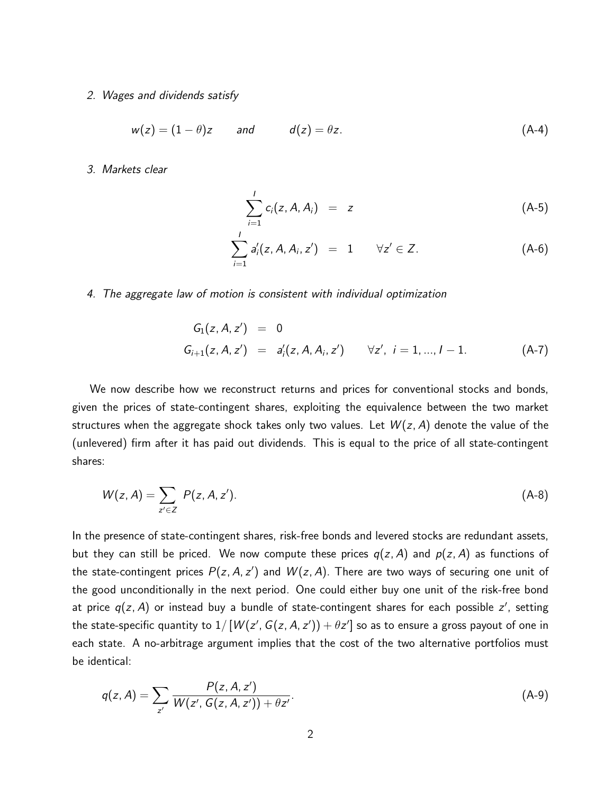2. Wages and dividends satisfy

$$
w(z) = (1 - \theta)z \qquad \text{and} \qquad d(z) = \theta z. \tag{A-4}
$$

3. Markets clear

$$
\sum_{i=1}^{I} c_i(z, A, A_i) = z
$$
 (A-5)

$$
\sum_{i=1}^{I} a'_{i}(z, A, A_{i}, z') = 1 \quad \forall z' \in Z.
$$
 (A-6)

#### 4. The aggregate law of motion is consistent with individual optimization

$$
G_1(z, A, z') = 0
$$
  
\n
$$
G_{i+1}(z, A, z') = a'_i(z, A, A_i, z') \quad \forall z', i = 1, ..., l - 1.
$$
 (A-7)

We now describe how we reconstruct returns and prices for conventional stocks and bonds, given the prices of state-contingent shares, exploiting the equivalence between the two market structures when the aggregate shock takes only two values. Let  $W(z, A)$  denote the value of the (unlevered) firm after it has paid out dividends. This is equal to the price of all state-contingent shares:

$$
W(z, A) = \sum_{z' \in Z} P(z, A, z').
$$
 (A-8)

In the presence of state-contingent shares, risk-free bonds and levered stocks are redundant assets, but they can still be priced. We now compute these prices  $q(z, A)$  and  $p(z, A)$  as functions of the state-contingent prices  $P(z, A, z')$  and  $W(z, A)$ . There are two ways of securing one unit of the good unconditionally in the next period. One could either buy one unit of the risk-free bond at price  $q(z, A)$  or instead buy a bundle of state-contingent shares for each possible  $z'$ , setting the state-specific quantity to  $1/\lceil W(z', G(z, A, z')) + \theta z' \rceil$  so as to ensure a gross payout of one in each state. A no-arbitrage argument implies that the cost of the two alternative portfolios must be identical:

$$
q(z, A) = \sum_{z'} \frac{P(z, A, z')}{W(z', G(z, A, z')) + \theta z'}.
$$
 (A-9)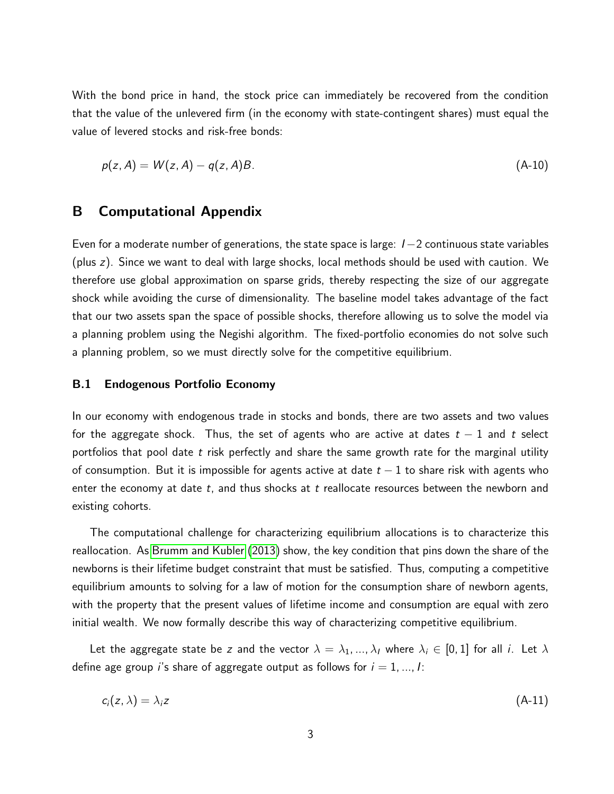With the bond price in hand, the stock price can immediately be recovered from the condition that the value of the unlevered firm (in the economy with state-contingent shares) must equal the value of levered stocks and risk-free bonds:

$$
p(z, A) = W(z, A) - q(z, A)B.
$$
 (A-10)

### B Computational Appendix

Even for a moderate number of generations, the state space is large:  $I-2$  continuous state variables (plus z). Since we want to deal with large shocks, local methods should be used with caution. We therefore use global approximation on sparse grids, thereby respecting the size of our aggregate shock while avoiding the curse of dimensionality. The baseline model takes advantage of the fact that our two assets span the space of possible shocks, therefore allowing us to solve the model via a planning problem using the Negishi algorithm. The fixed-portfolio economies do not solve such a planning problem, so we must directly solve for the competitive equilibrium.

#### B.1 Endogenous Portfolio Economy

In our economy with endogenous trade in stocks and bonds, there are two assets and two values for the aggregate shock. Thus, the set of agents who are active at dates  $t-1$  and t select portfolios that pool date  $t$  risk perfectly and share the same growth rate for the marginal utility of consumption. But it is impossible for agents active at date  $t-1$  to share risk with agents who enter the economy at date  $t$ , and thus shocks at  $t$  reallocate resources between the newborn and existing cohorts.

The computational challenge for characterizing equilibrium allocations is to characterize this reallocation. As [Brumm and Kubler \(2013\)](#page-48-2) show, the key condition that pins down the share of the newborns is their lifetime budget constraint that must be satisfied. Thus, computing a competitive equilibrium amounts to solving for a law of motion for the consumption share of newborn agents, with the property that the present values of lifetime income and consumption are equal with zero initial wealth. We now formally describe this way of characterizing competitive equilibrium.

Let the aggregate state be z and the vector  $\lambda = \lambda_1, ..., \lambda_l$  where  $\lambda_i \in [0,1]$  for all i. Let  $\lambda$ define age group *i*'s share of aggregate output as follows for  $i = 1, ..., l$ :

<span id="page-53-0"></span>
$$
c_i(z,\lambda) = \lambda_i z \tag{A-11}
$$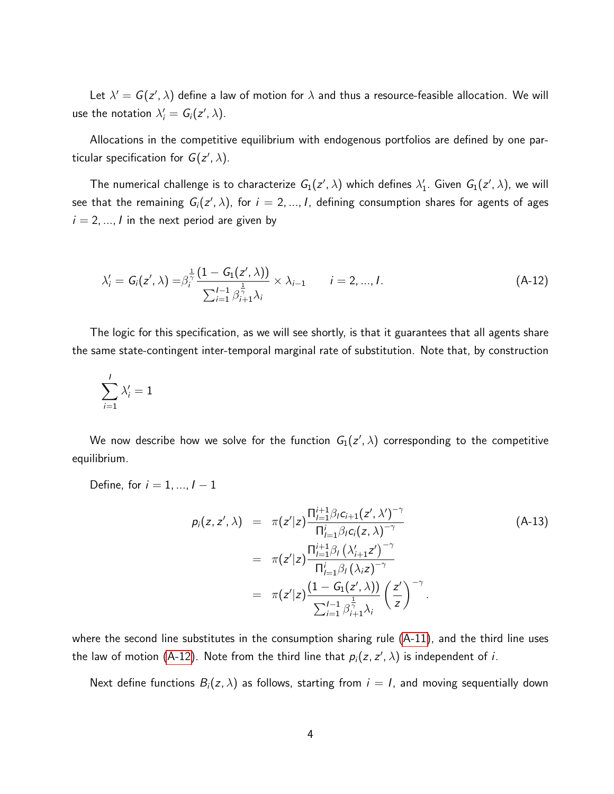Let  $\lambda' = G(z', \lambda)$  define a law of motion for  $\lambda$  and thus a resource-feasible allocation. We will use the notation  $\lambda'_i = G_i(z', \lambda)$ .

Allocations in the competitive equilibrium with endogenous portfolios are defined by one particular specification for  $G(z', \lambda)$ .

<span id="page-54-0"></span>The numerical challenge is to characterize  $G_1(z',\lambda)$  which defines  $\lambda'_1$ . Given  $G_1(z',\lambda)$ , we will see that the remaining  $G_i(z',\lambda)$ , for  $i=2,...,l$ , defining consumption shares for agents of ages  $i = 2, ..., l$  in the next period are given by

$$
\lambda'_{i} = G_{i}(z', \lambda) = \beta_{i}^{\frac{1}{\gamma}} \frac{(1 - G_{1}(z', \lambda))}{\sum_{i=1}^{l-1} \beta_{i+1}^{\frac{1}{\gamma}} \lambda_{i}} \times \lambda_{i-1} \qquad i = 2, ..., l.
$$
 (A-12)

The logic for this specification, as we will see shortly, is that it guarantees that all agents share the same state-contingent inter-temporal marginal rate of substitution. Note that, by construction

$$
\sum_{i=1}^I \lambda'_i = 1
$$

We now describe how we solve for the function  $\mathsf{G}_1(z',\lambda)$  corresponding to the competitive equilibrium.

Define, for  $i = 1, ..., l - 1$ 

<span id="page-54-1"></span>
$$
p_{i}(z, z', \lambda) = \pi(z'|z) \frac{\prod_{j=1}^{i+1} \beta_{j} c_{i+1}(z', \lambda')^{-\gamma}}{\prod_{j=1}^{i} \beta_{j} c_{i}(z, \lambda)^{-\gamma}} \\
= \pi(z'|z) \frac{\prod_{j=1}^{i+1} \beta_{j} (\lambda'_{i+1} z')^{-\gamma}}{\prod_{j=1}^{i} \beta_{j} (\lambda_{i} z)^{-\gamma}} \\
= \pi(z'|z) \frac{(1 - G_{1}(z', \lambda))}{\sum_{i=1}^{i-1} \beta_{i+1}^{\frac{1}{\gamma}} \lambda_{i}} \left(\frac{z'}{z}\right)^{-\gamma}.
$$
\n(A-13)

where the second line substitutes in the consumption sharing rule [\(A-11\)](#page-53-0), and the third line uses the law of motion [\(A-12\)](#page-54-0). Note from the third line that  $p_i(z, z', \lambda)$  is independent of i.

Next define functions  $B_i(z, \lambda)$  as follows, starting from  $i = 1$ , and moving sequentially down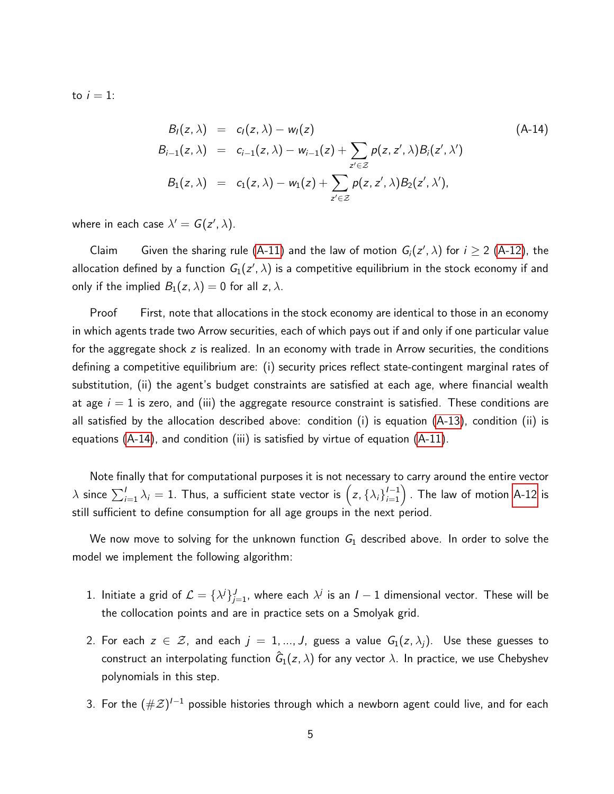to  $i = 1$ :

<span id="page-55-0"></span>
$$
B_{1}(z, \lambda) = c_{1}(z, \lambda) - w_{1}(z)
$$
\n
$$
B_{i-1}(z, \lambda) = c_{i-1}(z, \lambda) - w_{i-1}(z) + \sum_{z' \in \mathcal{Z}} p(z, z', \lambda) B_{i}(z', \lambda')
$$
\n
$$
B_{1}(z, \lambda) = c_{1}(z, \lambda) - w_{1}(z) + \sum_{z' \in \mathcal{Z}} p(z, z', \lambda) B_{2}(z', \lambda').
$$
\n(A-14)

where in each case  $\lambda' = G(z', \lambda)$ .

Claim Given the sharing rule [\(A-11\)](#page-53-0) and the law of motion  $G_i(z', \lambda)$  for  $i \ge 2$  [\(A-12\)](#page-54-0), the allocation defined by a function  $G_1(z',\lambda)$  is a competitive equilibrium in the stock economy if and only if the implied  $B_1(z, \lambda) = 0$  for all z,  $\lambda$ .

Proof First, note that allocations in the stock economy are identical to those in an economy in which agents trade two Arrow securities, each of which pays out if and only if one particular value for the aggregate shock  $z$  is realized. In an economy with trade in Arrow securities, the conditions defining a competitive equilibrium are: (i) security prices reflect state-contingent marginal rates of substitution, (ii) the agent's budget constraints are satisfied at each age, where financial wealth at age  $i = 1$  is zero, and (iii) the aggregate resource constraint is satisfied. These conditions are all satisfied by the allocation described above: condition (i) is equation [\(A-13\)](#page-54-1), condition (ii) is equations [\(A-14\)](#page-55-0), and condition (iii) is satisfied by virtue of equation [\(A-11\)](#page-53-0).

Note finally that for computational purposes it is not necessary to carry around the entire vector  $\lambda$  since  $\sum_{i=1}^I\lambda_i=1.$  Thus, a sufficient state vector is  $\left(z,\{\lambda_i\}_{i=1}^{I-1}\right).$  The law of motion [A-12](#page-54-0) is still sufficient to define consumption for all age groups in the next period.

We now move to solving for the unknown function  $\mathit{G}_{1}$  described above. In order to solve the model we implement the following algorithm:

- 1. Initiate a grid of  $\mathcal{L}=\{\lambda^j\}_{j=1}^J,$  where each  $\lambda^j$  is an  $I-1$  dimensional vector. These will be the collocation points and are in practice sets on a Smolyak grid.
- 2. For each  $z \in \mathcal{Z}$ , and each  $j = 1, ..., J$ , guess a value  $G_1(z, \lambda_j)$ . Use these guesses to construct an interpolating function  $\hat G_1(z,\lambda)$  for any vector  $\lambda.$  In practice, we use Chebyshev polynomials in this step.
- 3. For the  $(\#\mathcal{Z})^{l-1}$  possible histories through which a newborn agent could live, and for each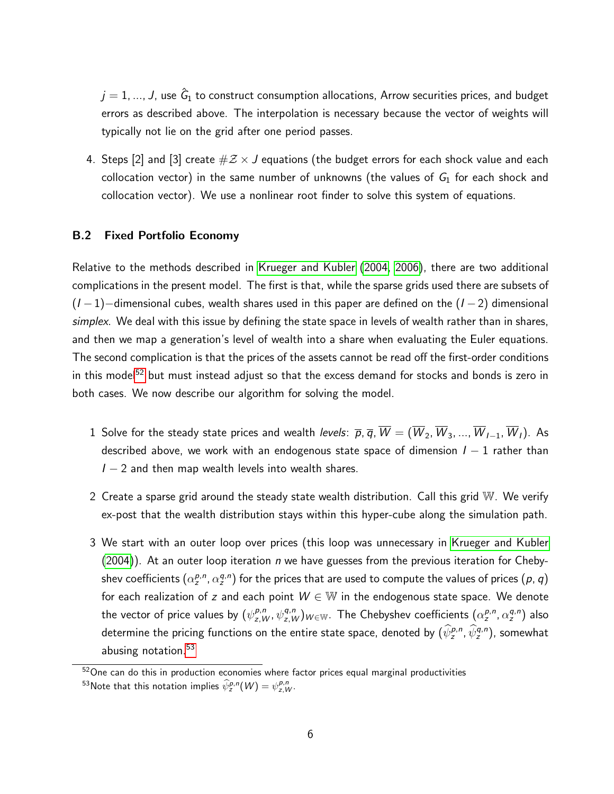$j=1,...,J$ , use  $\hat{G}_{1}$  to construct consumption allocations, Arrow securities prices, and budget errors as described above. The interpolation is necessary because the vector of weights will typically not lie on the grid after one period passes.

4. Steps [2] and [3] create  $\#\mathcal{Z}\times J$  equations (the budget errors for each shock value and each collocation vector) in the same number of unknowns (the values of  $G_1$  for each shock and collocation vector). We use a nonlinear root finder to solve this system of equations.

### B.2 Fixed Portfolio Economy

Relative to the methods described in [Krueger and Kubler \(2004,](#page-49-0) [2006\)](#page-49-1), there are two additional complications in the present model. The first is that, while the sparse grids used there are subsets of  $(I-1)$ –dimensional cubes, wealth shares used in this paper are defined on the  $(I-2)$  dimensional simplex. We deal with this issue by defining the state space in levels of wealth rather than in shares, and then we map a generation's level of wealth into a share when evaluating the Euler equations. The second complication is that the prices of the assets cannot be read off the first-order conditions in this model<sup>[52](#page-0-0)</sup> but must instead adjust so that the excess demand for stocks and bonds is zero in both cases. We now describe our algorithm for solving the model.

- 1 Solve for the steady state prices and wealth levels:  $\overline{p}$ ,  $\overline{q}$ ,  $\overline{W} = (\overline{W}_2, \overline{W}_3, ..., \overline{W}_{I-1}, \overline{W}_I)$ . As described above, we work with an endogenous state space of dimension  $I - 1$  rather than  $I - 2$  and then map wealth levels into wealth shares.
- 2 Create a sparse grid around the steady state wealth distribution. Call this grid W. We verify ex-post that the wealth distribution stays within this hyper-cube along the simulation path.
- 3 We start with an outer loop over prices (this loop was unnecessary in [Krueger and Kubler](#page-49-0)  $(2004)$ ). At an outer loop iteration *n* we have guesses from the previous iteration for Chebyshev coefficients  $(\alpha_z^{p,n},\alpha_z^{q,n})$  for the prices that are used to compute the values of prices  $(p,q)$ for each realization of z and each point  $W \in \mathbb{W}$  in the endogenous state space. We denote the vector of price values by  $(\psi^{p,n}_{z,W},\psi^{q,n}_{z,W})_{W\in\mathbb{W}}.$  The Chebyshev coefficients  $(\alpha^{p,n}_z,\alpha^{q,n}_z)$  also determine the pricing functions on the entire state space, denoted by  $(\psi_z^{p,n},\psi_z^{q,n})$ , somewhat abusing notation.<sup>[53](#page-0-0)</sup>

<sup>52</sup> One can do this in production economies where factor prices equal marginal productivities <sup>53</sup>Note that this notation implies  $\widehat{\psi}^{p,n}_z(W) = \psi^{p,n}_{z,W}$ .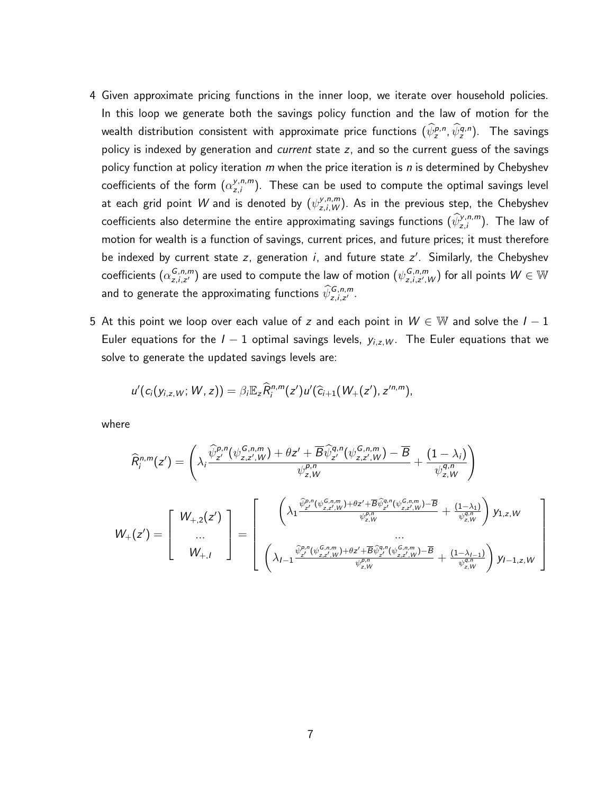- 4 Given approximate pricing functions in the inner loop, we iterate over household policies. In this loop we generate both the savings policy function and the law of motion for the wealth distribution consistent with approximate price functions  $(\psi_ z^{p,n},\psi_ z^{q,n})$ . The savings policy is indexed by generation and *current* state  $z$ , and so the current guess of the savings policy function at policy iteration  $m$  when the price iteration is  $n$  is determined by Chebyshev coefficients of the form  $(\alpha^{y,n,m}_{z,i})$  $\mathcal{Z}_{z,i}^{y,n,m}$ ). These can be used to compute the optimal savings level at each grid point  $W$  and is denoted by  $(\psi^{y,n,m}_{z,i,W}).$  As in the previous step, the Chebyshev coefficients also determine the entire approximating savings functions  $(\widehat{\psi}_{z,i}^{\mathsf{y},n,m}).$  The law of motion for wealth is a function of savings, current prices, and future prices; it must therefore be indexed by current state  $z$ , generation  $i$ , and future state  $z'$ . Similarly, the Chebyshev coefficients  $(\alpha^{G,n,m}_{\sigma}$  $\bar{S}_{z,i,z'}^{(n,m)}$  are used to compute the law of motion  $(\psi^{G,n,m}_{z,i,z'},\psi^{G,n,m}_{z,i,z'})$  $\left( \begin{smallmatrix} G,n,m \\ z,i,z',W \end{smallmatrix} \right)$  for all points  $W \in \mathbb{W}$ and to generate the approximating functions  $\widehat{\psi}^{\mathsf{G},n,m}_{\mathsf{z},i,\mathsf{z}'}$  .
- 5 At this point we loop over each value of z and each point in  $W \in \mathbb{W}$  and solve the  $I 1$ Euler equations for the  $I - 1$  optimal savings levels,  $y_{i,z,W}$ . The Euler equations that we solve to generate the updated savings levels are:

$$
u'(c_i(y_{i,z,W};W,z)) = \beta_i \mathbb{E}_z \widehat{R}_i^{n,m}(z') u'(\widehat{c}_{i+1}(W_+(z'),z'^{n,m}),
$$

where

$$
\widehat{R}_{i}^{n,m}(z') = \begin{pmatrix} \lambda_{i} \frac{\widehat{\psi}_{z'}^{p,n}(\psi_{z,z',W}^{G,n,m}) + \theta z' + \overline{B} \widehat{\psi}_{z'}^{q,n}(\psi_{z,z',W}^{G,n,m}) - \overline{B}}{\psi_{z,W}^{p,n}} + \frac{(1 - \lambda_{i})}{\psi_{z,W}^{q,n}} \\ \cdots \\ \cdots \\ \widetilde{W}_{+}(z') = \begin{bmatrix} W_{+,2}(z') \\ \cdots \\ \widetilde{W}_{+,1} \end{bmatrix} = \begin{bmatrix} \lambda_{1} \frac{\widehat{\psi}_{z'}^{p,n}(\psi_{z,z',W}^{G,n,m}) + \theta z' + \overline{B} \widehat{\psi}_{z'}^{q,n}(\psi_{z,z',W}^{G,n,m}) - \overline{B}}{\psi_{z,w}^{p,n}} + \frac{(1 - \lambda_{1})}{\psi_{z,w}^{q,n}} \\ \cdots \\ \lambda_{I-1} \frac{\widehat{\psi}_{z'}^{p,n}(\psi_{z,z',W}^{G,n,m}) + \theta z' + \overline{B} \widehat{\psi}_{z'}^{q,n}(\psi_{z,z',W}^{G,n,m}) - \overline{B}}{\psi_{z,w}^{p,n}} + \frac{(1 - \lambda_{I-1})}{\psi_{z,w}^{q,n}} \end{bmatrix} y_{I-1,z,W}
$$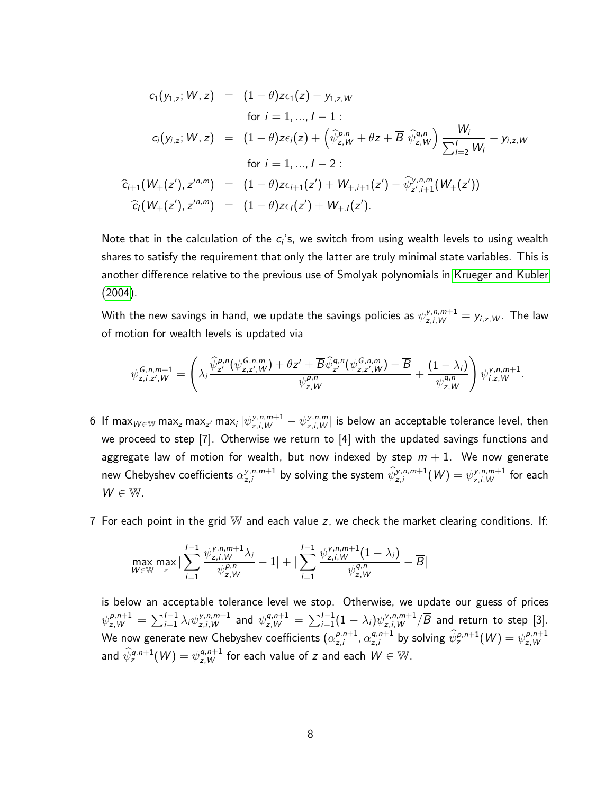$$
c_1(y_{1,z}; W, z) = (1 - \theta)z\epsilon_1(z) - y_{1,z,W}
$$
  
\nfor  $i = 1, ..., l - 1$ :  
\n
$$
c_i(y_{i,z}; W, z) = (1 - \theta)z\epsilon_i(z) + (\hat{\psi}_{z,W}^{p,n} + \theta z + \overline{B} \ \hat{\psi}_{z,W}^{q,n}) \frac{W_i}{\sum_{l=2}^{l} W_l} - y_{i,z,W}
$$
  
\nfor  $i = 1, ..., l - 2$ :  
\n
$$
\hat{c}_{i+1}(W_{+}(z'), z'^{n,m}) = (1 - \theta)z\epsilon_{i+1}(z') + W_{+,i+1}(z') - \hat{\psi}_{z',i+1}^{y,n,m}(W_{+}(z'))
$$
  
\n
$$
\hat{c}_l(W_{+}(z'), z'^{n,m}) = (1 - \theta)z\epsilon_l(z') + W_{+,l}(z').
$$

Note that in the calculation of the  $c_i$ 's, we switch from using wealth levels to using wealth shares to satisfy the requirement that only the latter are truly minimal state variables. This is another difference relative to the previous use of Smolyak polynomials in [Krueger and Kubler](#page-49-0) [\(2004\)](#page-49-0).

With the new savings in hand, we update the savings policies as  $\psi_{z,i,W}^{\mathsf{y},n,m+1} = \mathsf{y}_{i,z,W}.$  The law of motion for wealth levels is updated via

$$
\psi_{z,i,z',W}^{G,n,m+1} = \left(\lambda_i \frac{\widehat{\psi}_{z'}^{p,n}(\psi_{z,z',W}^{G,n,m}) + \theta z' + \overline{B} \widehat{\psi}_{z'}^{q,n}(\psi_{z,z',W}^{G,n,m}) - \overline{B}}{\psi_{z,W}^{p,n}} + \frac{(1-\lambda_i)}{\psi_{z,W}^{q,n}}\right) \psi_{i,z,W}^{y,n,m+1}.
$$

- $6$  If max $_{W\in W}$ max $_{z}$ max $_{z'}$ max $_{i}| \psi^{y,n,m+1}_{z,i,W}-\psi^{y,n,m}_{z,i,W}|$  is below an acceptable tolerance level, then we proceed to step [7]. Otherwise we return to [4] with the updated savings functions and aggregate law of motion for wealth, but now indexed by step  $m + 1$ . We now generate new Chebyshev coefficients  $\alpha^{y,n,m+1}_{z,i}$  $\psi^{n,m+1}_{z,i}$  by solving the system  $\widehat{\psi}^{\gamma,n,m+1}_{z,i}(W)=\psi^{\gamma,n,m+1}_{z,i,W}$  for each  $W \in W$ .
- 7 For each point in the grid W and each value z, we check the market clearing conditions. If:

$$
\max_{W \in \mathbb{W}} \max_{z} |\sum_{i=1}^{I-1} \frac{\psi_{z,i,W}^{y,n,m+1} \lambda_i}{\psi_{z,W}^{p,n}} - 1| + |\sum_{i=1}^{I-1} \frac{\psi_{z,i,W}^{y,n,m+1}(1-\lambda_i)}{\psi_{z,W}^{q,n}} - \overline{B}|
$$

is below an acceptable tolerance level we stop. Otherwise, we update our guess of prices  $\psi_{z,W}^{\rho,n+1}=\sum_{i=1}^{I-1}\lambda_i\psi_{z,i,W}^{\gamma,n,m+1}$  and  $\psi_{z,W}^{q,n+1}=\sum_{i=1}^{I-1}(1-\lambda_i)\psi_{z,i,W}^{\gamma,n,m+1}/\overline{B}$  and return to step [3]. We now generate new Chebyshev coefficients  $(\alpha_{z}^{\rho,n+1})$  $_{z,i}^{p,n+1}, \alpha_{z,i}^{q,n+1}$  $_{z,i}^{q,n+1}$  by solving  $\widehat{\psi}_{z}^{p,n+1}(W)=\psi_{z,W}^{p,n+1}$ z,W and  $\widehat{\psi}_{z}^{q,n+1}(W)=\psi_{z,W}^{q,n+1}$  for each value of  $z$  and each  $W\in\mathbb{W}.$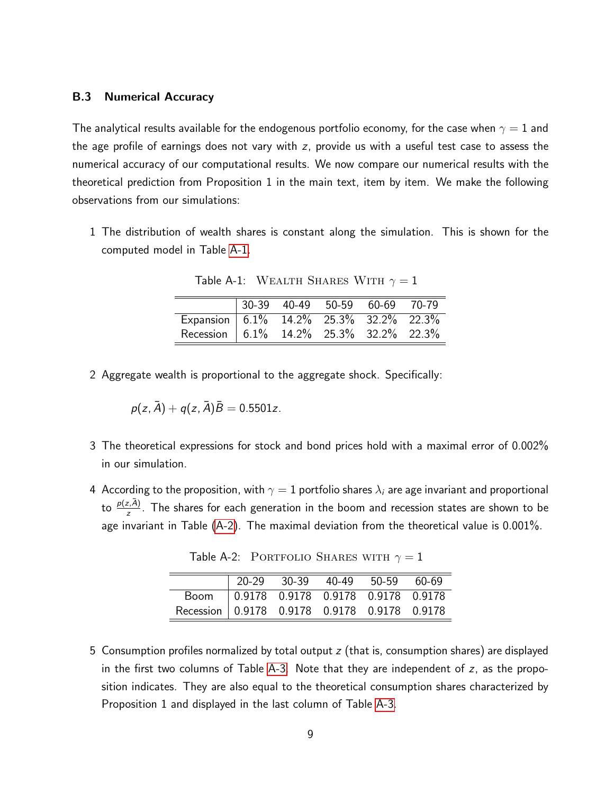## B.3 Numerical Accuracy

The analytical results available for the endogenous portfolio economy, for the case when  $\gamma = 1$  and the age profile of earnings does not vary with z, provide us with a useful test case to assess the numerical accuracy of our computational results. We now compare our numerical results with the theoretical prediction from Proposition 1 in the main text, item by item. We make the following observations from our simulations:

1 The distribution of wealth shares is constant along the simulation. This is shown for the computed model in Table [A-1.](#page-5-0)

|                                                |  | 30-39 40-49 50-59 60-69 70-79 |  |
|------------------------------------------------|--|-------------------------------|--|
| Expansion   $6.1\%$ 14.2% 25.3% 32.2% 22.3%    |  |                               |  |
| Recession $\vert$ 6.1% 14.2% 25.3% 32.2% 22.3% |  |                               |  |

Table A-1: WEALTH SHARES WITH  $\gamma = 1$ 

2 Aggregate wealth is proportional to the aggregate shock. Specifically:

$$
p(z,\bar{A})+q(z,\bar{A})\bar{B}=0.5501z.
$$

- 3 The theoretical expressions for stock and bond prices hold with a maximal error of 0.002% in our simulation.
- 4 According to the proposition, with  $\gamma = 1$  portfolio shares  $\lambda_i$  are age invariant and proportional to  $\frac{p(z,\bar{A})}{z}$ . The shares for each generation in the boom and recession states are shown to be age invariant in Table  $(A-2)$ . The maximal deviation from the theoretical value is 0.001%.

|                                              |  | 20-29 30-39 40-49 50-59 60-69 |  |
|----------------------------------------------|--|-------------------------------|--|
| Boom   0.9178 0.9178 0.9178 0.9178 0.9178    |  |                               |  |
| Recession 0.9178 0.9178 0.9178 0.9178 0.9178 |  |                               |  |

Table A-2: PORTFOLIO SHARES WITH  $\gamma = 1$ 

5 Consumption profiles normalized by total output  $z$  (that is, consumption shares) are displayed in the first two columns of Table [A-3.](#page-7-0) Note that they are independent of  $z$ , as the proposition indicates. They are also equal to the theoretical consumption shares characterized by Proposition 1 and displayed in the last column of Table [A-3.](#page-7-0)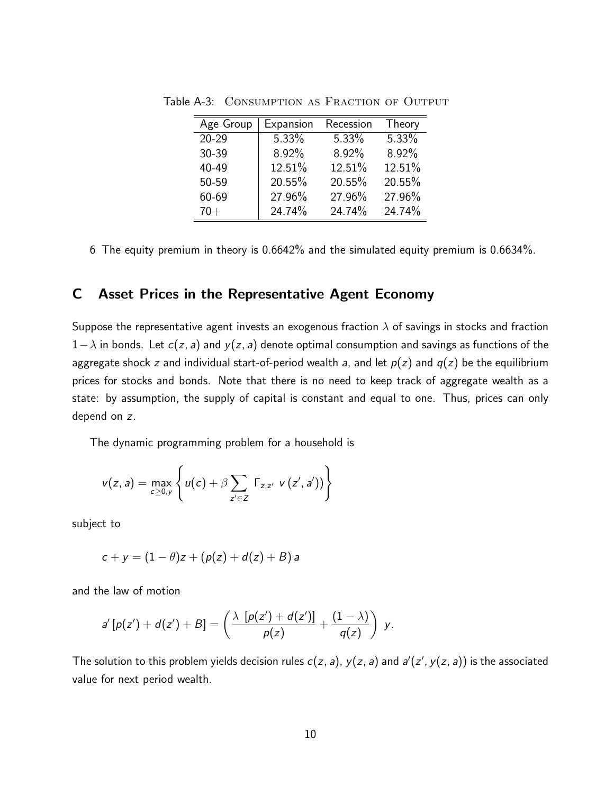| Age Group | Expansion | Recession | Theory |
|-----------|-----------|-----------|--------|
| $20 - 29$ | 5.33%     | 5.33%     | 5.33%  |
| 30-39     | 8.92%     | 8.92%     | 8.92%  |
| 40-49     | 12.51%    | 12.51%    | 12.51% |
| 50-59     | 20.55%    | 20.55%    | 20.55% |
| 60-69     | 27.96%    | 27.96%    | 27.96% |
| $70+$     | 24.74%    | 24.74%    | 24.74% |

Table A-3: CONSUMPTION AS FRACTION OF OUTPUT

6 The equity premium in theory is 0.6642% and the simulated equity premium is 0.6634%.

# C Asset Prices in the Representative Agent Economy

Suppose the representative agent invests an exogenous fraction  $\lambda$  of savings in stocks and fraction  $1-\lambda$  in bonds. Let  $c(z, a)$  and  $y(z, a)$  denote optimal consumption and savings as functions of the aggregate shock z and individual start-of-period wealth a, and let  $p(z)$  and  $q(z)$  be the equilibrium prices for stocks and bonds. Note that there is no need to keep track of aggregate wealth as a state: by assumption, the supply of capital is constant and equal to one. Thus, prices can only depend on z.

The dynamic programming problem for a household is

$$
v(z, a) = \max_{c \geq 0, y} \left\{ u(c) + \beta \sum_{z' \in Z} \Gamma_{z, z'} \ v(z', a') \right\}
$$

subject to

$$
c + y = (1 - \theta)z + (p(z) + d(z) + B) a
$$

and the law of motion

$$
a'[p(z')+d(z')+B]=\left(\frac{\lambda[p(z')+d(z')]}{p(z)}+\frac{(1-\lambda)}{q(z)}\right)y.
$$

The solution to this problem yields decision rules  $c(z, a)$ ,  $y(z, a)$  and  $a'(z', y(z, a))$  is the associated value for next period wealth.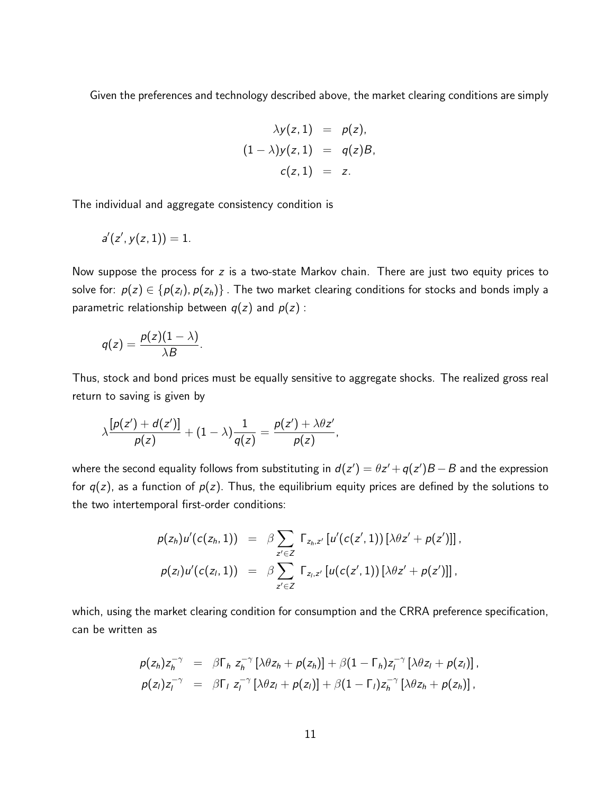Given the preferences and technology described above, the market clearing conditions are simply

$$
\lambda y(z,1) = p(z),
$$
  
\n
$$
(1-\lambda)y(z,1) = q(z)B,
$$
  
\n
$$
c(z,1) = z.
$$

The individual and aggregate consistency condition is

$$
a'(z',y(z,1))=1.
$$

Now suppose the process for z is a two-state Markov chain. There are just two equity prices to solve for:  $p(z) \in \{p(z_1), p(z_n)\}\.$  The two market clearing conditions for stocks and bonds imply a parametric relationship between  $q(z)$  and  $p(z)$ :

$$
q(z)=\frac{p(z)(1-\lambda)}{\lambda B}.
$$

Thus, stock and bond prices must be equally sensitive to aggregate shocks. The realized gross real return to saving is given by

$$
\lambda \frac{\left[\rho(z') + d(z')\right]}{\rho(z)} + (1-\lambda) \frac{1}{q(z)} = \frac{\rho(z') + \lambda \theta z'}{\rho(z)},
$$

where the second equality follows from substituting in  $d(z') = \theta z' + q(z')B - B$  and the expression for  $q(z)$ , as a function of  $p(z)$ . Thus, the equilibrium equity prices are defined by the solutions to the two intertemporal first-order conditions:

$$
p(z_h)u'(c(z_h, 1)) = \beta \sum_{z' \in Z} \Gamma_{z_h, z'} [u'(c(z', 1)) [\lambda \theta z' + p(z')]] ,
$$
  

$$
p(z_l)u'(c(z_l, 1)) = \beta \sum_{z' \in Z} \Gamma_{z_l, z'} [u(c(z', 1)) [\lambda \theta z' + p(z')]],
$$

which, using the market clearing condition for consumption and the CRRA preference specification, can be written as

$$
p(z_h)z_h^{-\gamma} = \beta \Gamma_h z_h^{-\gamma} [\lambda \theta z_h + p(z_h)] + \beta (1 - \Gamma_h)z_l^{-\gamma} [\lambda \theta z_l + p(z_l)],
$$
  
\n
$$
p(z_l)z_l^{-\gamma} = \beta \Gamma_l z_l^{-\gamma} [\lambda \theta z_l + p(z_l)] + \beta (1 - \Gamma_l)z_h^{-\gamma} [\lambda \theta z_h + p(z_h)],
$$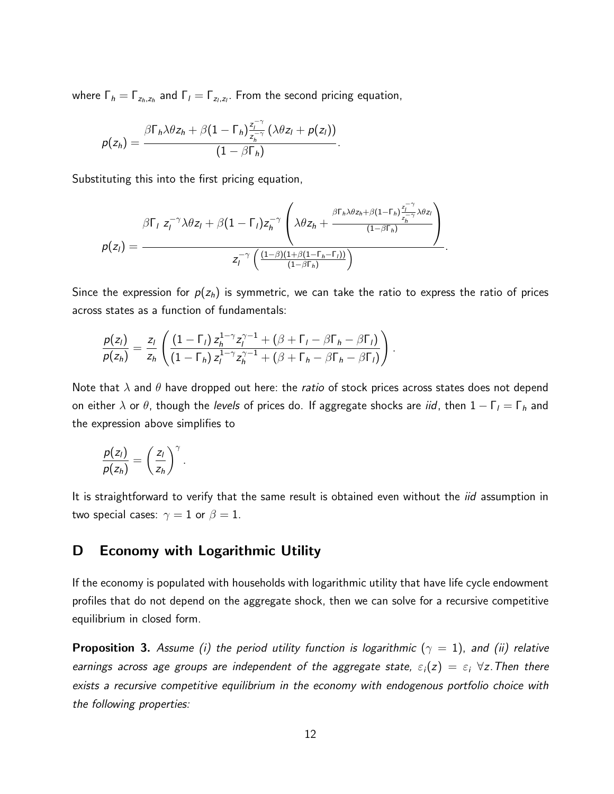where  $\Gamma_h = \Gamma_{z_h, z_h}$  and  $\Gamma_l = \Gamma_{z_l, z_l}$ . From the second pricing equation,

$$
p(z_h) = \frac{\beta \Gamma_h \lambda \theta z_h + \beta (1 - \Gamma_h) \frac{z_h^{-\gamma}}{z_h^{-\gamma}} (\lambda \theta z_l + p(z_l))}{(1 - \beta \Gamma_h)}.
$$

Substituting this into the first pricing equation,

$$
p(z_l) = \frac{\beta \Gamma_l z_l^{-\gamma} \lambda \theta z_l + \beta (1 - \Gamma_l) z_h^{-\gamma} \left( \lambda \theta z_h + \frac{\beta \Gamma_h \lambda \theta z_h + \beta (1 - \Gamma_h) \frac{z_l^{-\gamma}}{z_h^{-\gamma}} \lambda \theta z_l}{(1 - \beta \Gamma_h)} \right)}{z_l^{-\gamma} \left( \frac{(1 - \beta)(1 + \beta (1 - \Gamma_h - \Gamma_l))}{(1 - \beta \Gamma_h)} \right)}.
$$

Since the expression for  $p(z_h)$  is symmetric, we can take the ratio to express the ratio of prices across states as a function of fundamentals:

$$
\frac{p(z_l)}{p(z_h)} = \frac{z_l}{z_h} \left( \frac{\left(1-\Gamma_l\right) z_h^{1-\gamma} z_l^{\gamma-1} + \left(\beta + \Gamma_l - \beta \Gamma_h - \beta \Gamma_l\right)}{\left(1-\Gamma_h\right) z_l^{1-\gamma} z_h^{\gamma-1} + \left(\beta + \Gamma_h - \beta \Gamma_h - \beta \Gamma_l\right)} \right).
$$

Note that  $\lambda$  and  $\theta$  have dropped out here: the *ratio* of stock prices across states does not depend on either  $\lambda$  or  $\theta$ , though the levels of prices do. If aggregate shocks are iid, then  $1 - \Gamma$ <sub>l</sub> =  $\Gamma$ <sub>h</sub> and the expression above simplifies to

$$
\frac{p(z_l)}{p(z_h)}=\left(\frac{z_l}{z_h}\right)^{\gamma}.
$$

It is straightforward to verify that the same result is obtained even without the *iid* assumption in two special cases:  $\gamma = 1$  or  $\beta = 1$ .

# D Economy with Logarithmic Utility

If the economy is populated with households with logarithmic utility that have life cycle endowment profiles that do not depend on the aggregate shock, then we can solve for a recursive competitive equilibrium in closed form.

**Proposition 3.** Assume (i) the period utility function is logarithmic  $(\gamma = 1)$ , and (ii) relative earnings across age groups are independent of the aggregate state,  $\varepsilon_i(z) = \varepsilon_i \,\forall z$ . Then there exists a recursive competitive equilibrium in the economy with endogenous portfolio choice with the following properties: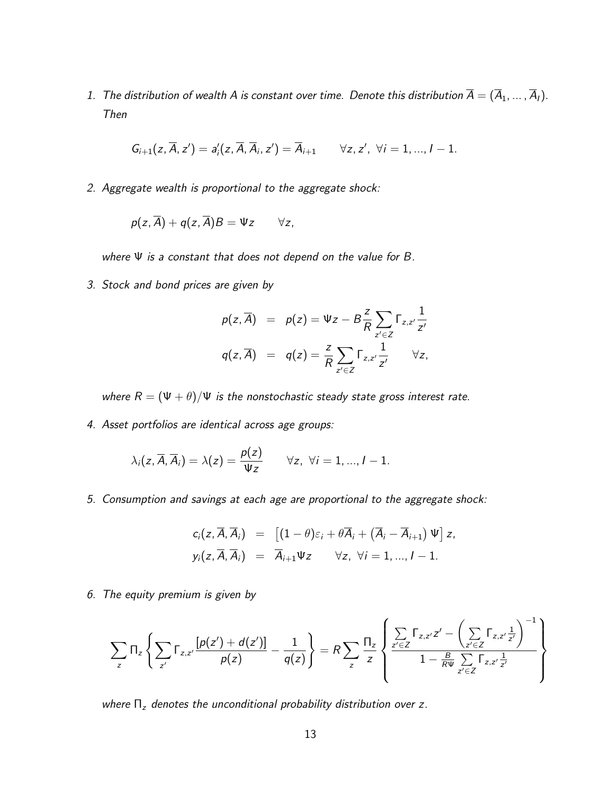1. The distribution of wealth A is constant over time. Denote this distribution  $\overline{A} = (\overline{A}_1, ..., \overline{A}_l)$ . Then

$$
G_{i+1}(z, \overline{A}, z') = a'_i(z, \overline{A}, \overline{A}_i, z') = \overline{A}_{i+1} \qquad \forall z, z', \ \forall i = 1, ..., l-1.
$$

2. Aggregate wealth is proportional to the aggregate shock:

$$
p(z, \overline{A}) + q(z, \overline{A})B = \Psi z \qquad \forall z,
$$

where  $\Psi$  is a constant that does not depend on the value for B.

3. Stock and bond prices are given by

$$
p(z, \overline{A}) = p(z) = \Psi z - B \frac{z}{R} \sum_{z' \in Z} \Gamma_{z, z'} \frac{1}{z'}
$$

$$
q(z, \overline{A}) = q(z) = \frac{z}{R} \sum_{z' \in Z} \Gamma_{z, z'} \frac{1}{z'} \qquad \forall z,
$$

where  $R = (\Psi + \theta)/\Psi$  is the nonstochastic steady state gross interest rate.

4. Asset portfolios are identical across age groups:

$$
\lambda_i(z, \overline{A}, \overline{A}_i) = \lambda(z) = \frac{p(z)}{\Psi z} \qquad \forall z, \ \forall i = 1, ..., l-1.
$$

5. Consumption and savings at each age are proportional to the aggregate shock:

$$
c_i(z, \overline{A}, \overline{A}_i) = [(1 - \theta)\varepsilon_i + \theta \overline{A}_i + (\overline{A}_i - \overline{A}_{i+1}) \Psi] z,y_i(z, \overline{A}, \overline{A}_i) = \overline{A}_{i+1} \Psi z \quad \forall z, \forall i = 1, ..., l-1.
$$

6. The equity premium is given by

$$
\sum_{z} \Pi_{z} \left\{ \sum_{z'} \Gamma_{z,z'} \frac{[\rho(z') + d(z')] }{\rho(z)} - \frac{1}{q(z)} \right\} = R \sum_{z} \frac{\Pi_{z}}{z} \left\{ \frac{\sum_{z' \in Z} \Gamma_{z,z'} z' - \left( \sum_{z' \in Z} \Gamma_{z,z'} \frac{1}{z'} \right)^{-1}}{1 - \frac{B}{R\Psi} \sum_{z' \in Z} \Gamma_{z,z'} \frac{1}{z'}} \right\}
$$

where  $\Pi$ <sub>z</sub> denotes the unconditional probability distribution over z.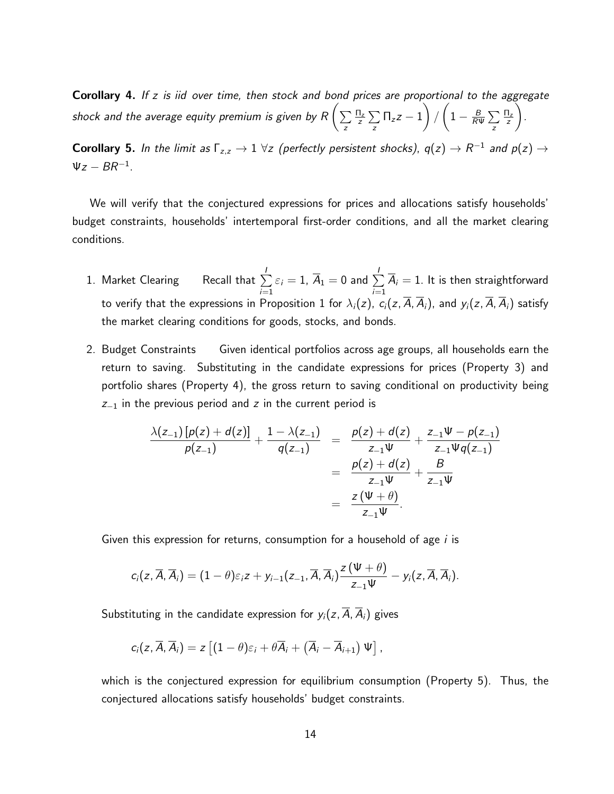**Corollary 4.** If  $z$  is iid over time, then stock and bond prices are proportional to the aggregate shock and the average equity premium is given by R  $\big(\sum\limits_{i=1}^n\,$ z Πz  $\frac{1}{z}$   $\sum$ z  $\Pi_z z - 1$  $\setminus$ /  $\sqrt{ }$  $1-\frac{B}{R}$  $\frac{B}{R \Psi} \sum$ z  $\underline{\Pi}_{\underline{z}}$ z  $\setminus$ .

<code>Corollary 5.</code> In the limit as  $\Gamma_{z,z}\to 1$   $\forall z$  (perfectly persistent shocks),  $q(z)\to R^{-1}$  and  $p(z)\to$  $\Psi z - BR^{-1}.$ 

We will verify that the conjectured expressions for prices and allocations satisfy households' budget constraints, households' intertemporal first-order conditions, and all the market clearing conditions.

- 1. Market Clearing I  $i=1$  $\varepsilon_i = 1, \, \overline{\mathcal{A}}_1 = 0$  and  $\sum'$  $i=1$  $A_i = 1$ . It is then straightforward to verify that the expressions in Proposition 1 for  $\lambda_i(z)$ ,  $c_i(z, \overline{A}, \overline{A}_i)$ , and  $y_i(z, \overline{A}, \overline{A}_i)$  satisfy the market clearing conditions for goods, stocks, and bonds.
- 2. Budget Constraints Given identical portfolios across age groups, all households earn the return to saving. Substituting in the candidate expressions for prices (Property 3) and portfolio shares (Property 4), the gross return to saving conditional on productivity being  $z_{-1}$  in the previous period and z in the current period is

$$
\frac{\lambda(z_{-1})\left[p(z)+d(z)\right]}{p(z_{-1})} + \frac{1-\lambda(z_{-1})}{q(z_{-1})} = \frac{p(z)+d(z)}{z_{-1}\Psi} + \frac{z_{-1}\Psi - p(z_{-1})}{z_{-1}\Psi q(z_{-1})} = \frac{p(z)+d(z)}{z_{-1}\Psi} + \frac{B}{z_{-1}\Psi} = \frac{z(\Psi+\theta)}{z_{-1}\Psi}.
$$

Given this expression for returns, consumption for a household of age  $i$  is

$$
c_i(z,\overline{A},\overline{A}_i)=(1-\theta)\varepsilon_i z+y_{i-1}(z_{-1},\overline{A},\overline{A}_i)\frac{z(\Psi+\theta)}{z_{-1}\Psi}-y_i(z,\overline{A},\overline{A}_i).
$$

Substituting in the candidate expression for  $y_i(z, \overline{A}, \overline{A}_i)$  gives

$$
c_i(z, \overline{A}, \overline{A}_i) = z [(1 - \theta)\varepsilon_i + \theta \overline{A}_i + (\overline{A}_i - \overline{A}_{i+1}) \Psi].
$$

which is the conjectured expression for equilibrium consumption (Property 5). Thus, the conjectured allocations satisfy households' budget constraints.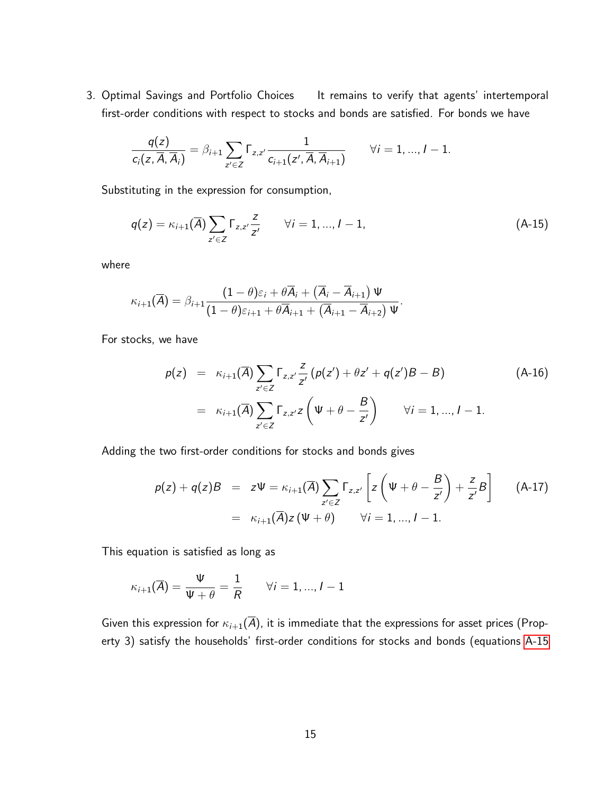3. Optimal Savings and Portfolio Choices It remains to verify that agents' intertemporal first-order conditions with respect to stocks and bonds are satisfied. For bonds we have

<span id="page-65-0"></span>
$$
\frac{q(z)}{c_i(z, \overline{A}, \overline{A}_i)} = \beta_{i+1} \sum_{z' \in Z} \Gamma_{z, z'} \frac{1}{c_{i+1}(z', \overline{A}, \overline{A}_{i+1})} \qquad \forall i = 1, ..., l-1.
$$

Substituting in the expression for consumption,

$$
q(z) = \kappa_{i+1}(\overline{A}) \sum_{z' \in Z} \Gamma_{z,z'} \frac{z}{z'} \qquad \forall i = 1, ..., l-1,
$$
 (A-15)

where

$$
\kappa_{i+1}(\overline{A}) = \beta_{i+1} \frac{(1-\theta)\varepsilon_i + \theta \overline{A}_i + (\overline{A}_i - \overline{A}_{i+1}) \Psi}{(1-\theta)\varepsilon_{i+1} + \theta \overline{A}_{i+1} + (\overline{A}_{i+1} - \overline{A}_{i+2}) \Psi}.
$$

For stocks, we have

<span id="page-65-1"></span>
$$
p(z) = \kappa_{i+1}(\overline{A}) \sum_{z' \in Z} \Gamma_{z,z'} \frac{z}{z'} (p(z') + \theta z' + q(z')B - B)
$$
(A-16)  

$$
= \kappa_{i+1}(\overline{A}) \sum_{z' \in Z} \Gamma_{z,z'} z \left( \Psi + \theta - \frac{B}{z'} \right) \qquad \forall i = 1, ..., l - 1.
$$

Adding the two first-order conditions for stocks and bonds gives

<span id="page-65-2"></span>
$$
p(z) + q(z)B = z\Psi = \kappa_{i+1}(\overline{A})\sum_{z' \in Z} \Gamma_{z,z'} \left[ z\left(\Psi + \theta - \frac{B}{z'}\right) + \frac{z}{z'}B \right]
$$
 (A-17)  
=  $\kappa_{i+1}(\overline{A})z(\Psi + \theta)$   $\forall i = 1, ..., l - 1.$ 

This equation is satisfied as long as

$$
\kappa_{i+1}(\overline{A}) = \frac{\Psi}{\Psi+\theta} = \frac{1}{R} \qquad \forall i = 1,...,l-1
$$

Given this expression for  $\kappa_{i+1}(\overline{A})$ , it is immediate that the expressions for asset prices (Property 3) satisfy the households' first-order conditions for stocks and bonds (equations [A-15](#page-65-0)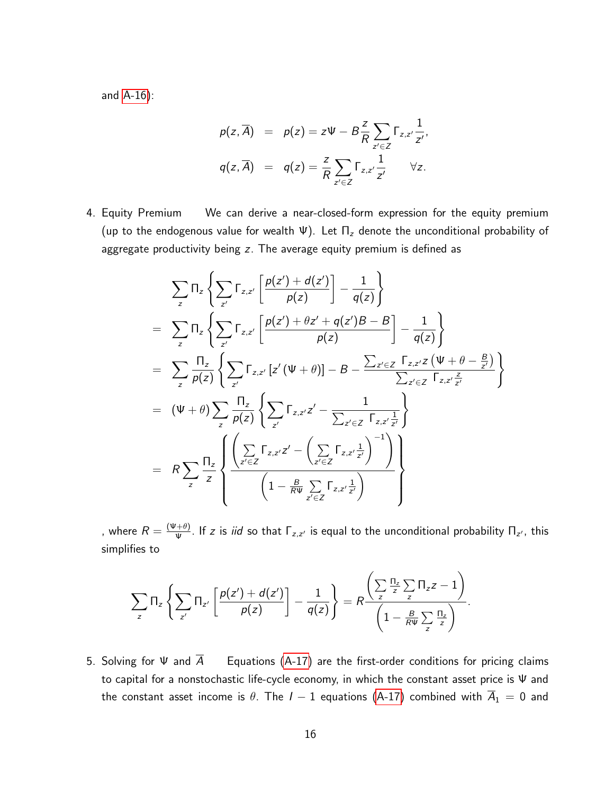and [A-16\)](#page-65-1):

$$
p(z, \overline{A}) = p(z) = z\Psi - B\frac{z}{R}\sum_{z'\in Z}\Gamma_{z,z'}\frac{1}{z'},
$$
  

$$
q(z, \overline{A}) = q(z) = \frac{z}{R}\sum_{z'\in Z}\Gamma_{z,z'}\frac{1}{z'} \quad \forall z.
$$

4. Equity Premium We can derive a near-closed-form expression for the equity premium (up to the endogenous value for wealth  $\Psi$ ). Let  $\Pi_z$  denote the unconditional probability of aggregate productivity being z. The average equity premium is defined as

$$
\sum_{z} \Pi_{z} \left\{ \sum_{z'} \Gamma_{z,z'} \left[ \frac{p(z') + d(z')}{p(z)} \right] - \frac{1}{q(z)} \right\}
$$
\n
$$
= \sum_{z} \Pi_{z} \left\{ \sum_{z'} \Gamma_{z,z'} \left[ \frac{p(z') + \theta z' + q(z')B - B}{p(z)} \right] - \frac{1}{q(z)} \right\}
$$
\n
$$
= \sum_{z} \frac{\Pi_{z}}{p(z)} \left\{ \sum_{z'} \Gamma_{z,z'} \left[ z'(\Psi + \theta) \right] - B - \frac{\sum_{z'\in Z} \Gamma_{z,z'} z(\Psi + \theta - \frac{B}{z'})}{\sum_{z'\in Z} \Gamma_{z,z'} \frac{z}{z'}} \right\}
$$
\n
$$
= (\Psi + \theta) \sum_{z} \frac{\Pi_{z}}{p(z)} \left\{ \sum_{z'} \Gamma_{z,z'} z' - \frac{1}{\sum_{z'\in Z} \Gamma_{z,z'} \frac{1}{z'}} \right\}
$$
\n
$$
= R \sum_{z} \frac{\Pi_{z}}{z} \left\{ \frac{\left( \sum_{z'\in Z} \Gamma_{z,z'} z' - \left( \sum_{z'\in Z} \Gamma_{z,z'} \frac{1}{z'} \right)^{-1} \right)}{\left( 1 - \frac{B}{R\Psi} \sum_{z'\in Z} \Gamma_{z,z'} \frac{1}{z'} \right)} \right\}
$$

, where  $R = \frac{(\Psi + \theta)}{W}$  $\frac{(+t)}{\Psi}$ . If  $z$  is *iid* so that  $\Gamma_{z,z'}$  is equal to the unconditional probability  $\Pi_{z'}$ , this simplifies to

$$
\sum_{z} \Pi_{z} \left\{ \sum_{z'} \Pi_{z'} \left[ \frac{p(z') + d(z')}{p(z)} \right] - \frac{1}{q(z)} \right\} = R \frac{\left( \sum_{z} \frac{\Pi_{z}}{z} \sum_{z} \Pi_{z} z - 1 \right)}{\left( 1 - \frac{B}{R\Psi} \sum_{z} \frac{\Pi_{z}}{z} \right)}.
$$

5. Solving for  $\Psi$  and  $\overline{A}$  Equations [\(A-17\)](#page-65-2) are the first-order conditions for pricing claims to capital for a nonstochastic life-cycle economy, in which the constant asset price is Ψ and the constant asset income is  $\theta$ . The  $I - 1$  equations [\(A-17\)](#page-65-2) combined with  $\overline{A}_1 = 0$  and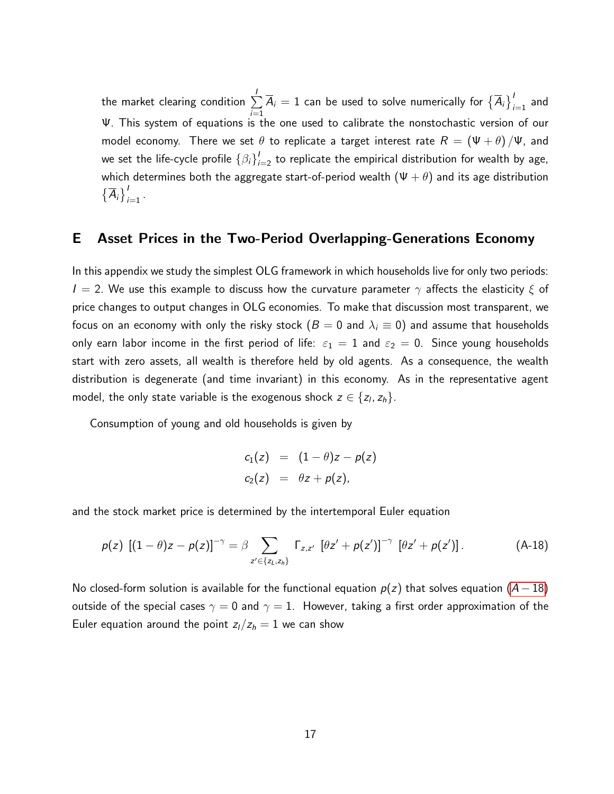the market clearing condition  $\sum^{I}$  $i=1$  $\overline{A}_i=1$  can be used to solve numerically for  $\left\{\overline{A}_i\right\}_{i=1}^I$  and Ψ. This system of equations is the one used to calibrate the nonstochastic version of our model economy. There we set  $\theta$  to replicate a target interest rate  $R = (\Psi + \theta) / \Psi$ , and we set the life-cycle profile  $\left\{\beta_i\right\}_{i=2}^I$  to replicate the empirical distribution for wealth by age, which determines both the aggregate start-of-period wealth  $(\Psi + \theta)$  and its age distribution  $\left\{ \overline{A}_{i}\right\} _{i=1}^{I}.$ 

## E Asset Prices in the Two-Period Overlapping-Generations Economy

In this appendix we study the simplest OLG framework in which households live for only two periods:  $I = 2$ . We use this example to discuss how the curvature parameter  $\gamma$  affects the elasticity  $\xi$  of price changes to output changes in OLG economies. To make that discussion most transparent, we focus on an economy with only the risky stock ( $B = 0$  and  $\lambda_i \equiv 0$ ) and assume that households only earn labor income in the first period of life:  $\varepsilon_1 = 1$  and  $\varepsilon_2 = 0$ . Since young households start with zero assets, all wealth is therefore held by old agents. As a consequence, the wealth distribution is degenerate (and time invariant) in this economy. As in the representative agent model, the only state variable is the exogenous shock  $z \in \{z_1, z_h\}$ .

Consumption of young and old households is given by

<span id="page-67-0"></span>
$$
c_1(z) = (1 - \theta)z - p(z)
$$
  

$$
c_2(z) = \theta z + p(z),
$$

and the stock market price is determined by the intertemporal Euler equation

$$
p(z) [(1 - \theta)z - p(z)]^{-\gamma} = \beta \sum_{z' \in \{z_L, z_h\}} \Gamma_{z, z'} [\theta z' + p(z')]^{-\gamma} [\theta z' + p(z')].
$$
 (A-18)

No closed-form solution is available for the functional equation  $p(z)$  that solves equation  $(A - 18)$  $(A - 18)$ outside of the special cases  $\gamma = 0$  and  $\gamma = 1$ . However, taking a first order approximation of the Euler equation around the point  $z_1/z_h = 1$  we can show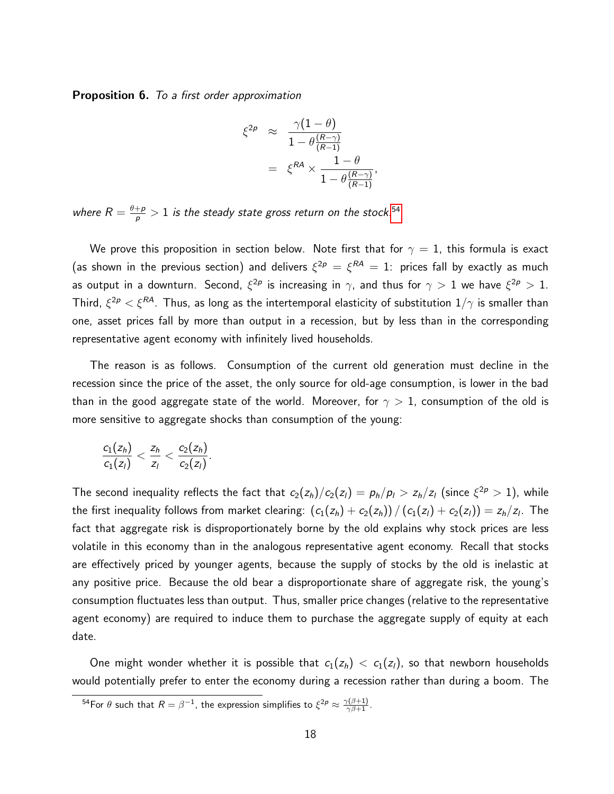<span id="page-68-0"></span>Proposition 6. To a first order approximation

$$
\xi^{2p} \approx \frac{\gamma (1-\theta)}{1 - \theta \frac{(R-\gamma)}{(R-1)}}
$$

$$
= \xi^{RA} \times \frac{1 - \theta}{1 - \theta \frac{(R-\gamma)}{(R-1)}}
$$

,

where  $R = \frac{\theta + p}{p}$  $\frac{+p}{p}>1$  is the steady state gross return on the stock. $^{54}$  $^{54}$  $^{54}$ 

We prove this proposition in section below. Note first that for  $\gamma=1,$  this formula is exact (as shown in the previous section) and delivers  $\xi^{2p} = \xi^{RA} = 1$ : prices fall by exactly as much as output in a downturn. Second,  $\xi^{2p}$  is increasing in  $\gamma$ , and thus for  $\gamma>1$  we have  $\xi^{2p}>1.$ Third,  $\xi^{2p} < \xi^{RA}$ . Thus, as long as the intertemporal elasticity of substitution  $1/\gamma$  is smaller than one, asset prices fall by more than output in a recession, but by less than in the corresponding representative agent economy with infinitely lived households.

The reason is as follows. Consumption of the current old generation must decline in the recession since the price of the asset, the only source for old-age consumption, is lower in the bad than in the good aggregate state of the world. Moreover, for  $\gamma > 1$ , consumption of the old is more sensitive to aggregate shocks than consumption of the young:

$$
\frac{c_1(z_h)}{c_1(z_l)} < \frac{z_h}{z_l} < \frac{c_2(z_h)}{c_2(z_l)}.
$$

The second inequality reflects the fact that  $c_2(z_h)/c_2(z_l)=\rho_h/\rho_l>z_h/z_l$  (since  $\xi^{2p}>1)$ , while the first inequality follows from market clearing:  $\left(c_1(z_h)+c_2(z_h)\right)/\left(c_1(z_l)+c_2(z_l)\right)=z_h/z_l.$  The fact that aggregate risk is disproportionately borne by the old explains why stock prices are less volatile in this economy than in the analogous representative agent economy. Recall that stocks are effectively priced by younger agents, because the supply of stocks by the old is inelastic at any positive price. Because the old bear a disproportionate share of aggregate risk, the young's consumption fluctuates less than output. Thus, smaller price changes (relative to the representative agent economy) are required to induce them to purchase the aggregate supply of equity at each date.

One might wonder whether it is possible that  $c_1(z_h) < c_1(z_l)$ , so that newborn households would potentially prefer to enter the economy during a recession rather than during a boom. The

<sup>&</sup>lt;sup>54</sup>For  $\theta$  such that  $R=\beta^{-1}$ , the expression simplifies to  $\xi^{2p}\approx \frac{\gamma(\beta+1)}{\gamma\beta+1}$ .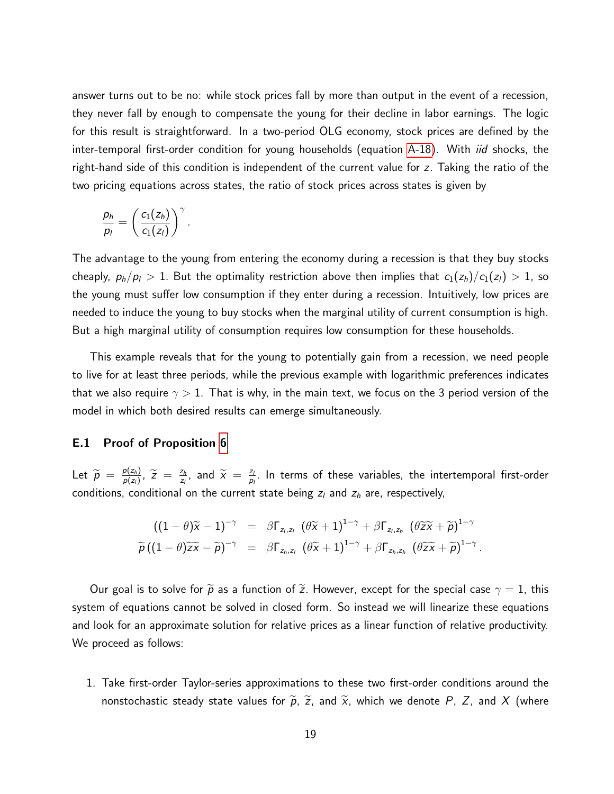answer turns out to be no: while stock prices fall by more than output in the event of a recession, they never fall by enough to compensate the young for their decline in labor earnings. The logic for this result is straightforward. In a two-period OLG economy, stock prices are defined by the inter-temporal first-order condition for young households (equation [A-18\)](#page-67-0). With *iid* shocks, the right-hand side of this condition is independent of the current value for z. Taking the ratio of the two pricing equations across states, the ratio of stock prices across states is given by

$$
\frac{p_h}{p_l} = \left(\frac{c_1(z_h)}{c_1(z_l)}\right)^{\gamma}.
$$

The advantage to the young from entering the economy during a recession is that they buy stocks cheaply,  $p_h/p_l > 1$ . But the optimality restriction above then implies that  $c_1(z_h)/c_1(z_l) > 1$ , so the young must suffer low consumption if they enter during a recession. Intuitively, low prices are needed to induce the young to buy stocks when the marginal utility of current consumption is high. But a high marginal utility of consumption requires low consumption for these households.

This example reveals that for the young to potentially gain from a recession, we need people to live for at least three periods, while the previous example with logarithmic preferences indicates that we also require  $\gamma > 1$ . That is why, in the main text, we focus on the 3 period version of the model in which both desired results can emerge simultaneously.

#### E.1 Proof of Proposition [6](#page-68-0)

Let  $\widetilde{p} = \frac{p(z_h)}{p(z_l)}$  $\frac{p(z_h)}{p(z_l)}$ ,  $\widetilde{Z} = \frac{z_h}{z_l}$  $\frac{z_h}{z_l}$ , and  $\widetilde{x} = \frac{z_l}{p_l}$  $\frac{z_l}{p_l}$ . In terms of these variables, the intertemporal first-order conditions, conditional on the current state being  $z_l$  and  $z_h$  are, respectively,

$$
((1 - \theta)\widetilde{x} - 1)^{-\gamma} = \beta \Gamma_{z_i, z_i} \left( \theta \widetilde{x} + 1 \right)^{1 - \gamma} + \beta \Gamma_{z_i, z_h} \left( \theta \widetilde{z} \widetilde{x} + \widetilde{p} \right)^{1 - \gamma}
$$
  

$$
\widetilde{p} \left( (1 - \theta)\widetilde{z} \widetilde{x} - \widetilde{p} \right)^{-\gamma} = \beta \Gamma_{z_h, z_i} \left( \theta \widetilde{x} + 1 \right)^{1 - \gamma} + \beta \Gamma_{z_h, z_h} \left( \theta \widetilde{z} \widetilde{x} + \widetilde{p} \right)^{1 - \gamma}
$$

.

Our goal is to solve for  $\widetilde{p}$  as a function of  $\widetilde{z}$ . However, except for the special case  $\gamma=1$ , this system of equations cannot be solved in closed form. So instead we will linearize these equations and look for an approximate solution for relative prices as a linear function of relative productivity. We proceed as follows:

1. Take first-order Taylor-series approximations to these two first-order conditions around the nonstochastic steady state values for  $\widetilde{p}$ ,  $\widetilde{z}$ , and  $\widetilde{x}$ , which we denote P, Z, and X (where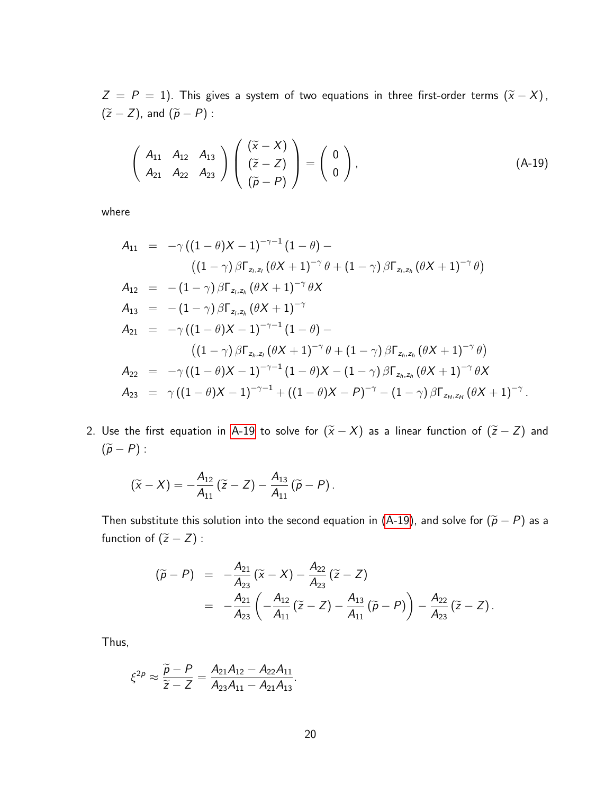$Z = P = 1$ ). This gives a system of two equations in three first-order terms  $(\tilde{x} - X)$ ,  $(\widetilde{z} - Z)$ , and  $(\widetilde{p} - P)$  :

<span id="page-70-0"></span>
$$
\left(\begin{array}{cc}A_{11} & A_{12} & A_{13} \ A_{21} & A_{22} & A_{23}\end{array}\right)\left(\begin{array}{c}(\widetilde{x}-X) \\ (\widetilde{z}-Z) \\ (\widetilde{p}-P)\end{array}\right)=\left(\begin{array}{c}0 \\ 0\end{array}\right),\tag{A-19}
$$

where

$$
A_{11} = -\gamma ((1 - \theta)X - 1)^{-\gamma - 1} (1 - \theta) -
$$
  
\n
$$
((1 - \gamma) \beta \Gamma_{z_1, z_1} (\theta X + 1)^{-\gamma} \theta + (1 - \gamma) \beta \Gamma_{z_1, z_h} (\theta X + 1)^{-\gamma} \theta)
$$
  
\n
$$
A_{12} = -(1 - \gamma) \beta \Gamma_{z_1, z_h} (\theta X + 1)^{-\gamma} \theta X
$$
  
\n
$$
A_{13} = -(1 - \gamma) \beta \Gamma_{z_1, z_h} (\theta X + 1)^{-\gamma}
$$
  
\n
$$
A_{21} = -\gamma ((1 - \theta)X - 1)^{-\gamma - 1} (1 - \theta) -
$$
  
\n
$$
((1 - \gamma) \beta \Gamma_{z_h, z_l} (\theta X + 1)^{-\gamma} \theta + (1 - \gamma) \beta \Gamma_{z_h, z_h} (\theta X + 1)^{-\gamma} \theta)
$$
  
\n
$$
A_{22} = -\gamma ((1 - \theta)X - 1)^{-\gamma - 1} (1 - \theta)X - (1 - \gamma) \beta \Gamma_{z_h, z_h} (\theta X + 1)^{-\gamma} \theta X
$$
  
\n
$$
A_{23} = \gamma ((1 - \theta)X - 1)^{-\gamma - 1} + ((1 - \theta)X - P)^{-\gamma} - (1 - \gamma) \beta \Gamma_{z_H, z_H} (\theta X + 1)^{-\gamma}.
$$

2. Use the first equation in [A-19](#page-70-0) to solve for  $(\tilde{x} - X)$  as a linear function of  $(\tilde{z} - Z)$  and  $(\widetilde{p} - P)$  :

$$
(\widetilde{x}-X)=-\frac{A_{12}}{A_{11}}(\widetilde{z}-Z)-\frac{A_{13}}{A_{11}}(\widetilde{p}-P).
$$

Then substitute this solution into the second equation in [\(A-19\)](#page-70-0), and solve for  $(\widetilde{p} - P)$  as a function of  $(\tilde{z} - Z)$  :

$$
(\widetilde{p} - P) = -\frac{A_{21}}{A_{23}} (\widetilde{x} - X) - \frac{A_{22}}{A_{23}} (\widetilde{z} - Z)
$$
  
= 
$$
-\frac{A_{21}}{A_{23}} \left( -\frac{A_{12}}{A_{11}} (\widetilde{z} - Z) - \frac{A_{13}}{A_{11}} (\widetilde{p} - P) \right) - \frac{A_{22}}{A_{23}} (\widetilde{z} - Z).
$$

Thus,

$$
\xi^{2p} \approx \frac{\widetilde{p} - P}{\widetilde{z} - Z} = \frac{A_{21}A_{12} - A_{22}A_{11}}{A_{23}A_{11} - A_{21}A_{13}}.
$$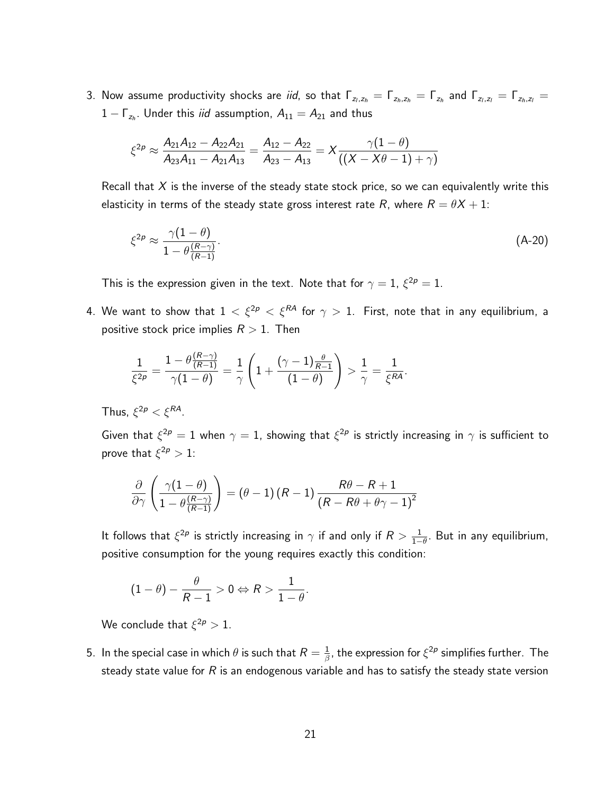3. Now assume productivity shocks are *iid*, so that  $\Gamma_{z_l,z_h}=\Gamma_{z_h,z_h}=\Gamma_{z_h}$  and  $\Gamma_{z_l,z_l}=\Gamma_{z_h,z_l}=$  $1-\mathsf{\Gamma}_{z_h}.$  Under this *iid* assumption,  $A_{11}=A_{21}$  and thus

$$
\xi^{2p} \approx \frac{A_{21}A_{12}-A_{22}A_{21}}{A_{23}A_{11}-A_{21}A_{13}} = \frac{A_{12}-A_{22}}{A_{23}-A_{13}} = X \frac{\gamma(1-\theta)}{((X-X\theta-1)+\gamma)}
$$

Recall that  $X$  is the inverse of the steady state stock price, so we can equivalently write this elasticity in terms of the steady state gross interest rate R, where  $R = \theta X + 1$ :

$$
\xi^{2p} \approx \frac{\gamma (1-\theta)}{1 - \theta \frac{(R-\gamma)}{(R-1)}}.\tag{A-20}
$$

This is the expression given in the text. Note that for  $\gamma = 1$ ,  $\xi^{2p} = 1$ .

4. We want to show that  $1 < \xi^{2p} < \xi^{RA}$  for  $\gamma > 1$ . First, note that in any equilibrium, a positive stock price implies  $R > 1$ . Then

$$
\frac{1}{\xi^{2\rho}}=\frac{1-\theta\frac{(R-\gamma)}{(R-1)}}{\gamma(1-\theta)}=\frac{1}{\gamma}\left(1+\frac{(\gamma-1)\frac{\theta}{R-1}}{(1-\theta)}\right)>\frac{1}{\gamma}=\frac{1}{\xi^{RA}}.
$$

Thus,  $\xi^{2p} < \xi^{RA}$ .

Given that  $\xi^{2p}=1$  when  $\gamma=1$ , showing that  $\xi^{2p}$  is strictly increasing in  $\gamma$  is sufficient to prove that  $\xi^{2p} > 1$ :

$$
\frac{\partial}{\partial \gamma}\left(\frac{\gamma(1-\theta)}{1-\theta\frac{(R-\gamma)}{(R-1)}}\right)=(\theta-1)\left(R-1\right)\frac{R\theta-R+1}{\left(R-R\theta+\theta\gamma-1\right)^2}
$$

It follows that  $\xi^{2p}$  is strictly increasing in  $\gamma$  if and only if  $R > \frac{1}{1-p}$  $\frac{1}{1-\theta}$ . But in any equilibrium, positive consumption for the young requires exactly this condition:

$$
(1-\theta)-\frac{\theta}{R-1}>0 \Leftrightarrow R>\frac{1}{1-\theta}
$$

We conclude that  $\xi^{2p} > 1$ .

5. In the special case in which  $\theta$  is such that  $R=\frac{1}{\beta}$  $\frac{1}{\beta}$ , the expression for  $\xi^{2p}$  simplifies further. The steady state value for  $R$  is an endogenous variable and has to satisfy the steady state version

.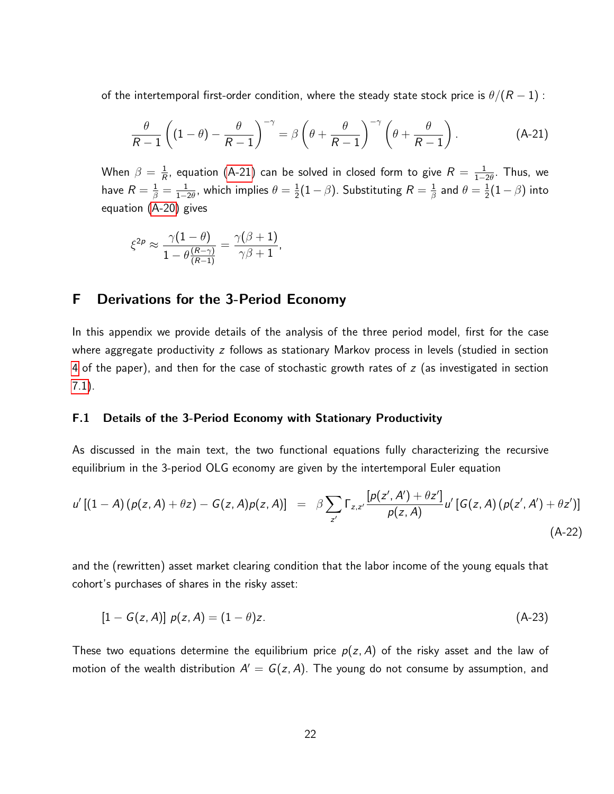of the intertemporal first-order condition, where the steady state stock price is  $\theta/(R-1)$ :

<span id="page-72-0"></span>
$$
\frac{\theta}{R-1}\left((1-\theta)-\frac{\theta}{R-1}\right)^{-\gamma}=\beta\left(\theta+\frac{\theta}{R-1}\right)^{-\gamma}\left(\theta+\frac{\theta}{R-1}\right).
$$
 (A-21)

When  $\beta = \frac{1}{R}$  $\frac{1}{R}$ , equation [\(A-21\)](#page-72-0) can be solved in closed form to give  $R=\frac{1}{1-\varepsilon}$  $\frac{1}{1-2\theta}$ . Thus, we have  $R=\frac{1}{\beta}=\frac{1}{1-z}$  $\frac{1}{1-2\theta}$ , which implies  $\theta=\frac{1}{2}$  $\frac{1}{2}(1-\beta).$  Substituting  $R=\frac{1}{\beta}$  $\frac{1}{\beta}$  and  $\theta=\frac{1}{2}$  $\frac{1}{2}(1-\beta)$  into equation [\(A-20\)](#page-71-0) gives

$$
\xi^{2p} \approx \frac{\gamma(1-\theta)}{1-\theta\frac{(R-\gamma)}{(R-1)}} = \frac{\gamma(\beta+1)}{\gamma\beta+1},
$$

# F Derivations for the 3-Period Economy

In this appendix we provide details of the analysis of the three period model, first for the case where aggregate productivity  $z$  follows as stationary Markov process in levels (studied in section [4](#page-14-0) of the paper), and then for the case of stochastic growth rates of  $z$  (as investigated in section [7.1\)](#page-42-0).

#### F.1 Details of the 3-Period Economy with Stationary Productivity

As discussed in the main text, the two functional equations fully characterizing the recursive equilibrium in the 3-period OLG economy are given by the intertemporal Euler equation

$$
u'[(1-A)(p(z,A)+\theta z)-G(z,A)p(z,A)] = \beta \sum_{z'} \Gamma_{z,z'} \frac{[p(z',A')+\theta z']}{p(z,A)} u'[G(z,A)(p(z',A')+\theta z')]
$$
\n(A-22)

and the (rewritten) asset market clearing condition that the labor income of the young equals that cohort's purchases of shares in the risky asset:

<span id="page-72-1"></span>
$$
[1 - G(z, A)] p(z, A) = (1 - \theta)z.
$$
 (A-23)

These two equations determine the equilibrium price  $p(z, A)$  of the risky asset and the law of motion of the wealth distribution  $A' = G(z, A)$ . The young do not consume by assumption, and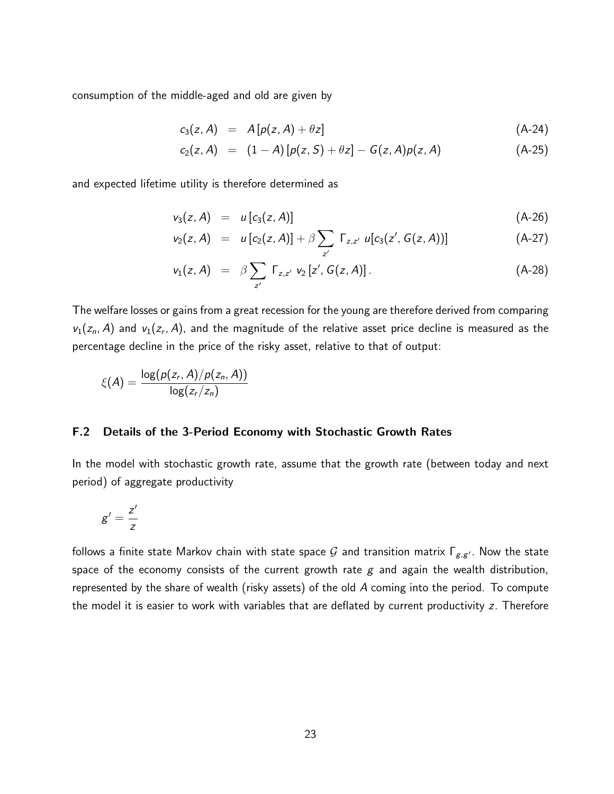consumption of the middle-aged and old are given by

$$
c_3(z, A) = A[p(z, A) + \theta z] \tag{A-24}
$$

$$
c_2(z, A) = (1 - A) [p(z, S) + \theta z] - G(z, A) p(z, A)
$$
 (A-25)

and expected lifetime utility is therefore determined as

$$
v_3(z, A) = u[c_3(z, A)] \tag{A-26}
$$

$$
v_2(z, A) = u[c_2(z, A)] + \beta \sum_{z'} \Gamma_{z, z'} u[c_3(z', G(z, A))]
$$
 (A-27)

$$
v_1(z, A) = \beta \sum_{z'} \Gamma_{z, z'} \ v_2 [z', G(z, A)]. \qquad (A-28)
$$

The welfare losses or gains from a great recession for the young are therefore derived from comparing  $v_1(z_n, A)$  and  $v_1(z_r, A)$ , and the magnitude of the relative asset price decline is measured as the percentage decline in the price of the risky asset, relative to that of output:

$$
\xi(A) = \frac{\log(p(z_r, A)/p(z_n, A))}{\log(z_r/z_n)}
$$

#### F.2 Details of the 3-Period Economy with Stochastic Growth Rates

In the model with stochastic growth rate, assume that the growth rate (between today and next period) of aggregate productivity

$$
g^{\prime}=\frac{z^{\prime}}{z}
$$

follows a finite state Markov chain with state space  ${\cal G}$  and transition matrix  $\mathsf{\Gamma}_{\mathsf{g},\mathsf{g}'}$ . Now the state space of the economy consists of the current growth rate  $g$  and again the wealth distribution, represented by the share of wealth (risky assets) of the old A coming into the period. To compute the model it is easier to work with variables that are deflated by current productivity z. Therefore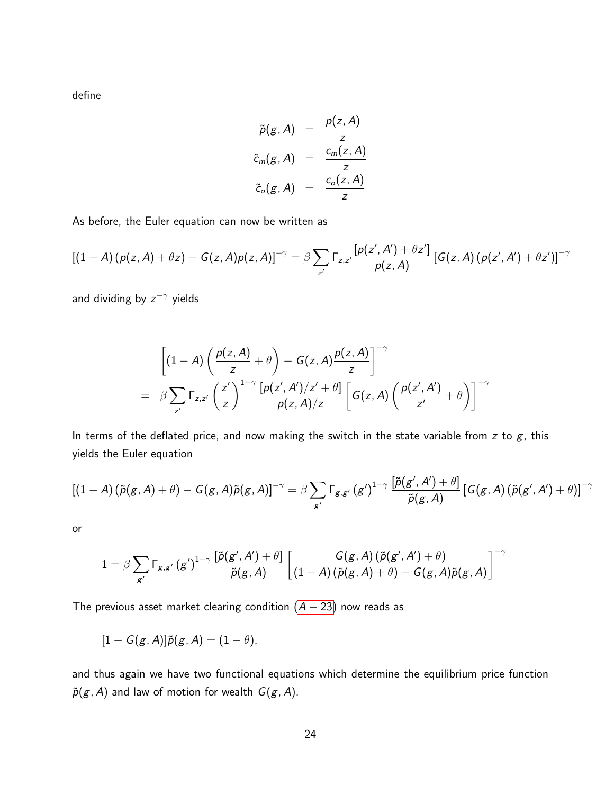define

$$
\tilde{p}(g, A) = \frac{p(z, A)}{z}
$$
\n
$$
\tilde{c}_m(g, A) = \frac{c_m(z, A)}{z}
$$
\n
$$
\tilde{c}_o(g, A) = \frac{c_o(z, A)}{z}
$$

As before, the Euler equation can now be written as

$$
\left[(1-A)\left(p(z,A)+\theta z\right)-G(z,A)p(z,A)\right]^{-\gamma}=\beta\sum_{z'}\Gamma_{z,z'}\frac{\left[p(z',A')+ \theta z'\right]}{p(z,A)}\left[G(z,A)\left(p(z',A')+ \theta z'\right)\right]^{-\gamma}
$$

and dividing by  $z^{-\gamma}$  yields

$$
\left[\left(1-A\right)\left(\frac{p(z,A)}{z}+\theta\right)-G(z,A)\frac{p(z,A)}{z}\right]^{-\gamma}
$$
\n
$$
=\beta\sum_{z'}\Gamma_{z,z'}\left(\frac{z'}{z}\right)^{1-\gamma}\frac{[p(z',A')/z'+\theta]}{p(z,A)/z}\left[G(z,A)\left(\frac{p(z',A')}{z'}+\theta\right)\right]^{-\gamma}
$$

In terms of the deflated price, and now making the switch in the state variable from  $z$  to  $g$ , this yields the Euler equation

$$
[(1-A)(\widetilde{p}(g,A)+\theta)-G(g,A)\widetilde{p}(g,A)]^{-\gamma}=\beta\sum_{g'}\Gamma_{g,g'}(g')^{1-\gamma}\frac{[\widetilde{p}(g',A')+\theta]}{\widetilde{p}(g,A)}\left[G(g,A)(\widetilde{p}(g',A')+\theta)\right]^{-\gamma}
$$

or

$$
1=\beta\sum_{\mathcal{g}'}\mathsf{\Gamma}_{\mathcal{g},\mathcal{g}'}\left(\mathcal{g}'\right)^{1-\gamma}\frac{\left[\widetilde{\rho}(\mathcal{g}',A')+\theta\right]}{\widetilde{\rho}(\mathcal{g},A)}\left[\frac{G(\mathcal{g},A)\left(\widetilde{\rho}(\mathcal{g}',A')+\theta\right)}{(1-A)\left(\widetilde{\rho}(\mathcal{g},A)+\theta\right)-G(\mathcal{g},A)\widetilde{\rho}(\mathcal{g},A)}\right]^{-\gamma}
$$

The previous asset market clearing condition  $(A - 23)$  $(A - 23)$  now reads as

$$
[1-G(g,A)]\tilde{p}(g,A)=(1-\theta),
$$

and thus again we have two functional equations which determine the equilibrium price function  $\tilde{p}(g, A)$  and law of motion for wealth  $G(g, A)$ .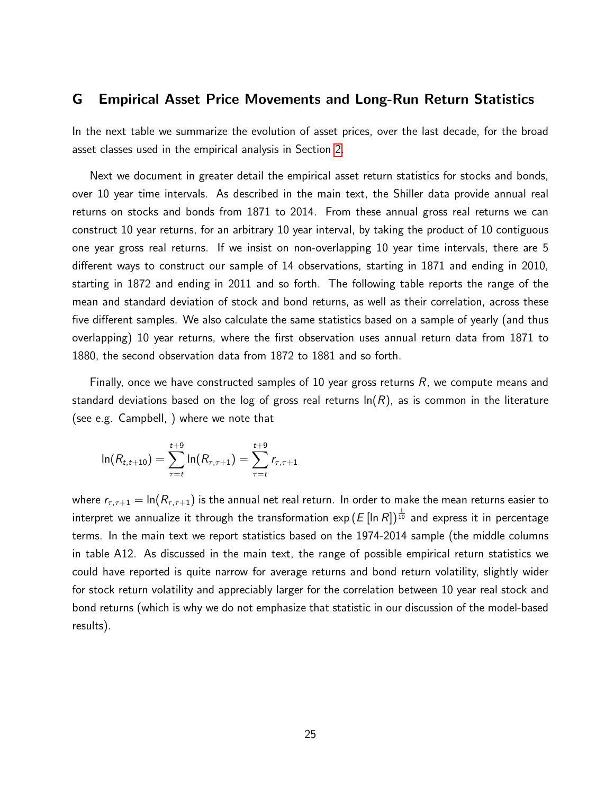## G Empirical Asset Price Movements and Long-Run Return Statistics

In the next table we summarize the evolution of asset prices, over the last decade, for the broad asset classes used in the empirical analysis in Section [2.](#page-4-0)

Next we document in greater detail the empirical asset return statistics for stocks and bonds, over 10 year time intervals. As described in the main text, the Shiller data provide annual real returns on stocks and bonds from 1871 to 2014. From these annual gross real returns we can construct 10 year returns, for an arbitrary 10 year interval, by taking the product of 10 contiguous one year gross real returns. If we insist on non-overlapping 10 year time intervals, there are 5 different ways to construct our sample of 14 observations, starting in 1871 and ending in 2010, starting in 1872 and ending in 2011 and so forth. The following table reports the range of the mean and standard deviation of stock and bond returns, as well as their correlation, across these five different samples. We also calculate the same statistics based on a sample of yearly (and thus overlapping) 10 year returns, where the first observation uses annual return data from 1871 to 1880, the second observation data from 1872 to 1881 and so forth.

Finally, once we have constructed samples of 10 year gross returns  $R$ , we compute means and standard deviations based on the log of gross real returns  $\ln(R)$ , as is common in the literature (see e.g. Campbell, ) where we note that

$$
\ln(R_{t,t+10}) = \sum_{\tau=t}^{t+9} \ln(R_{\tau,\tau+1}) = \sum_{\tau=t}^{t+9} r_{\tau,\tau+1}
$$

where  $r_{\tau,\tau+1} = \ln(R_{\tau,\tau+1})$  is the annual net real return. In order to make the mean returns easier to interpret we annualize it through the transformation exp (  $E$  [In R])  $^{\frac{1}{10}}$  and express it in percentage terms. In the main text we report statistics based on the 1974-2014 sample (the middle columns in table A12. As discussed in the main text, the range of possible empirical return statistics we could have reported is quite narrow for average returns and bond return volatility, slightly wider for stock return volatility and appreciably larger for the correlation between 10 year real stock and bond returns (which is why we do not emphasize that statistic in our discussion of the model-based results).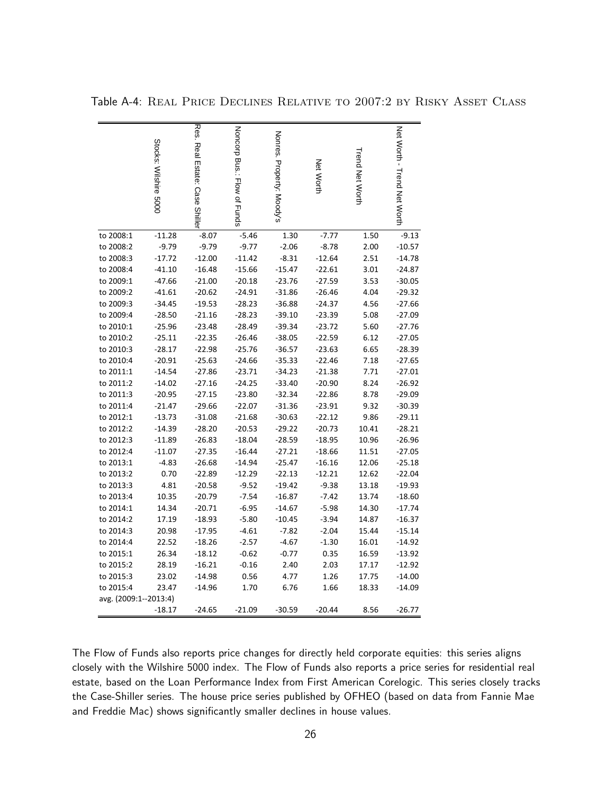|                       | Stocks: Wilshire 5000 | Res. Real Estate: Case Shiller | Moncorp Bus: Flow of Funds | Nonres. Property: Moody's | Net Worth | <b>Trend Net Worth</b> | Net Worth - Trend Net Worth |
|-----------------------|-----------------------|--------------------------------|----------------------------|---------------------------|-----------|------------------------|-----------------------------|
| to 2008:1             | $-11.28$              | $-8.07$                        | $-5.46$                    | 1.30                      | $-7.77$   | 1.50                   | $-9.13$                     |
| to 2008:2             | $-9.79$               | $-9.79$                        | $-9.77$                    | $-2.06$                   | $-8.78$   | 2.00                   | $-10.57$                    |
| to 2008:3             | $-17.72$              | $-12.00$                       | $-11.42$                   | $-8.31$                   | $-12.64$  | 2.51                   | $-14.78$                    |
| to 2008:4             | $-41.10$              | $-16.48$                       | $-15.66$                   | $-15.47$                  | $-22.61$  | 3.01                   | $-24.87$                    |
| to 2009:1             | $-47.66$              | $-21.00$                       | $-20.18$                   | $-23.76$                  | $-27.59$  | 3.53                   | $-30.05$                    |
| to 2009:2             | $-41.61$              | $-20.62$                       | $-24.91$                   | $-31.86$                  | $-26.46$  | 4.04                   | $-29.32$                    |
| to 2009:3             | $-34.45$              | $-19.53$                       | $-28.23$                   | $-36.88$                  | $-24.37$  | 4.56                   | $-27.66$                    |
| to 2009:4             | $-28.50$              | $-21.16$                       | $-28.23$                   | $-39.10$                  | $-23.39$  | 5.08                   | $-27.09$                    |
| to 2010:1             | $-25.96$              | $-23.48$                       | $-28.49$                   | $-39.34$                  | $-23.72$  | 5.60                   | $-27.76$                    |
| to 2010:2             | $-25.11$              | $-22.35$                       | $-26.46$                   | $-38.05$                  | $-22.59$  | 6.12                   | $-27.05$                    |
| to 2010:3             | $-28.17$              | $-22.98$                       | $-25.76$                   | $-36.57$                  | $-23.63$  | 6.65                   | $-28.39$                    |
| to 2010:4             | $-20.91$              | $-25.63$                       | $-24.66$                   | $-35.33$                  | $-22.46$  | 7.18                   | $-27.65$                    |
| to 2011:1             | $-14.54$              | $-27.86$                       | $-23.71$                   | $-34.23$                  | $-21.38$  | 7.71                   | $-27.01$                    |
| to 2011:2             | $-14.02$              | $-27.16$                       | $-24.25$                   | $-33.40$                  | $-20.90$  | 8.24                   | $-26.92$                    |
| to 2011:3             | $-20.95$              | $-27.15$                       | $-23.80$                   | $-32.34$                  | $-22.86$  | 8.78                   | $-29.09$                    |
| to 2011:4             | $-21.47$              | $-29.66$                       | $-22.07$                   | $-31.36$                  | $-23.91$  | 9.32                   | $-30.39$                    |
| to 2012:1             | $-13.73$              | $-31.08$                       | $-21.68$                   | $-30.63$                  | $-22.12$  | 9.86                   | $-29.11$                    |
| to 2012:2             | $-14.39$              | $-28.20$                       | $-20.53$                   | $-29.22$                  | $-20.73$  | 10.41                  | $-28.21$                    |
| to 2012:3             | $-11.89$              | $-26.83$                       | $-18.04$                   | $-28.59$                  | $-18.95$  | 10.96                  | $-26.96$                    |
| to 2012:4             | $-11.07$              | $-27.35$                       | $-16.44$                   | $-27.21$                  | $-18.66$  | 11.51                  | $-27.05$                    |
| to 2013:1             | $-4.83$               | $-26.68$                       | $-14.94$                   | $-25.47$                  | $-16.16$  | 12.06                  | $-25.18$                    |
| to 2013:2             | 0.70                  | $-22.89$                       | $-12.29$                   | $-22.13$                  | $-12.21$  | 12.62                  | $-22.04$                    |
| to 2013:3             | 4.81                  | $-20.58$                       | $-9.52$                    | $-19.42$                  | $-9.38$   | 13.18                  | $-19.93$                    |
| to 2013:4             | 10.35                 | $-20.79$                       | $-7.54$                    | $-16.87$                  | $-7.42$   | 13.74                  | $-18.60$                    |
| to 2014:1             | 14.34                 | $-20.71$                       | $-6.95$                    | $-14.67$                  | $-5.98$   | 14.30                  | $-17.74$                    |
| to 2014:2             | 17.19                 | $-18.93$                       | $-5.80$                    | $-10.45$                  | $-3.94$   | 14.87                  | $-16.37$                    |
| to 2014:3             | 20.98                 | $-17.95$                       | $-4.61$                    | $-7.82$                   | $-2.04$   | 15.44                  | $-15.14$                    |
| to 2014:4             | 22.52                 | $-18.26$                       | $-2.57$                    | $-4.67$                   | $-1.30$   | 16.01                  | $-14.92$                    |
| to 2015:1             | 26.34                 | $-18.12$                       | $-0.62$                    | $-0.77$                   | 0.35      | 16.59                  | $-13.92$                    |
| to 2015:2             | 28.19                 | $-16.21$                       | $-0.16$                    | 2.40                      | 2.03      | 17.17                  | $-12.92$                    |
| to 2015:3             | 23.02                 | $-14.98$                       | 0.56                       | 4.77                      | 1.26      | 17.75                  | $-14.00$                    |
| to 2015:4             | 23.47                 | $-14.96$                       | 1.70                       | 6.76                      | 1.66      | 18.33                  | $-14.09$                    |
| avg. (2009:1--2013:4) |                       |                                |                            |                           |           |                        |                             |
|                       | $-18.17$              | $-24.65$                       | $-21.09$                   | $-30.59$                  | $-20.44$  | 8.56                   | $-26.77$                    |

Table A-4: Real Price Declines Relative to 2007:2 by Risky Asset Class

The Flow of Funds also reports price changes for directly held corporate equities: this series aligns closely with the Wilshire 5000 index. The Flow of Funds also reports a price series for residential real estate, based on the Loan Performance Index from First American Corelogic. This series closely tracks the Case-Shiller series. The house price series published by OFHEO (based on data from Fannie Mae and Freddie Mac) shows significantly smaller declines in house values.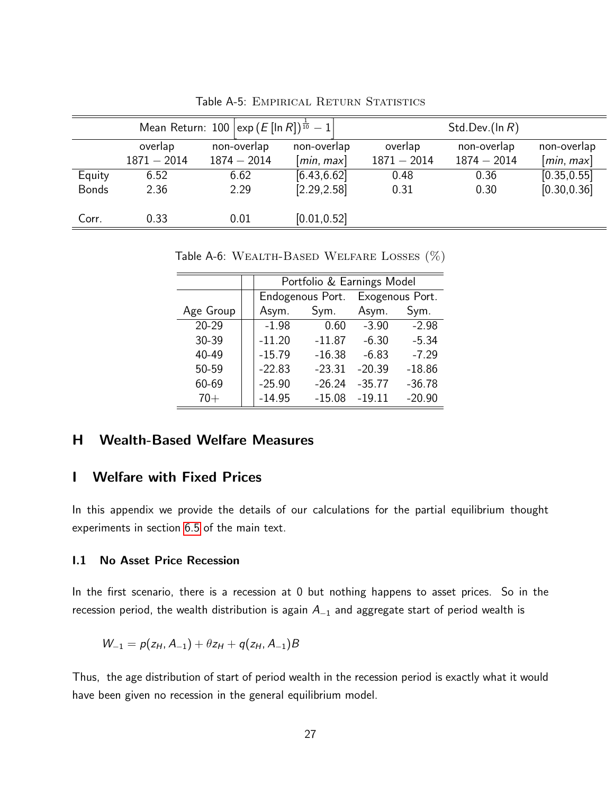|              |               | Mean Return: 100 $ \exp(E[\ln R])^{\frac{1}{10}} - 1 $ |                           |               | Std.Dev.(In $R$ ) |                           |
|--------------|---------------|--------------------------------------------------------|---------------------------|---------------|-------------------|---------------------------|
|              | overlap       | non-overlap                                            | non-overlap               | overlap       | non-overlap       | non-overlap               |
|              | $1871 - 2014$ | $1874 - 2014$                                          | $\left[ min, max \right]$ | $1871 - 2014$ | $1874 - 2014$     | $\left[ min, max \right]$ |
| Equity       | 6.52          | 6.62                                                   | [6.43, 6.62]              | 0.48          | 0.36              | [0.35, 0.55]              |
| <b>Bonds</b> | 2.36          | 2.29                                                   | [2.29, 2.58]              | 0.31          | 0.30              | [0.30, 0.36]              |
| Corr.        | 0.33          | 0.01                                                   | [0.01, 0.52]              |               |                   |                           |

Table A-5: EMPIRICAL RETURN STATISTICS

Table A-6: Wealth-Based Welfare Losses (%)

|           |  |          | Portfolio & Earnings Model |                 |          |  |  |
|-----------|--|----------|----------------------------|-----------------|----------|--|--|
|           |  |          | Endogenous Port.           | Exogenous Port. |          |  |  |
| Age Group |  | Asym.    | Sym.                       | Asym.           | Sym.     |  |  |
| $20 - 29$ |  | $-1.98$  | 0.60                       | $-3.90$         | $-2.98$  |  |  |
| 30-39     |  | $-11.20$ | $-11.87$                   | $-6.30$         | $-5.34$  |  |  |
| 40-49     |  | $-15.79$ | $-16.38$                   | $-6.83$         | $-7.29$  |  |  |
| 50-59     |  | $-22.83$ | $-23.31$                   | $-20.39$        | $-18.86$ |  |  |
| 60-69     |  | $-25.90$ | $-26.24$                   | $-35.77$        | $-36.78$ |  |  |
| $70+$     |  | $-14.95$ | $-15.08$                   | $-19.11$        | $-20.90$ |  |  |

# H Wealth-Based Welfare Measures

## I Welfare with Fixed Prices

In this appendix we provide the details of our calculations for the partial equilibrium thought experiments in section [6.5](#page-34-0) of the main text.

### I.1 No Asset Price Recession

In the first scenario, there is a recession at 0 but nothing happens to asset prices. So in the recession period, the wealth distribution is again  $A_{-1}$  and aggregate start of period wealth is

$$
W_{-1} = p(z_H, A_{-1}) + \theta z_H + q(z_H, A_{-1})B
$$

Thus, the age distribution of start of period wealth in the recession period is exactly what it would have been given no recession in the general equilibrium model.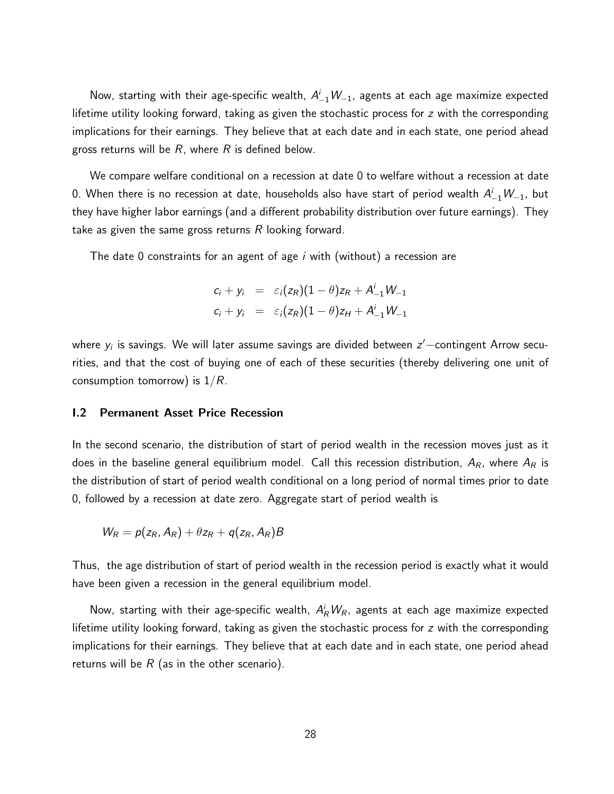Now, starting with their age-specific wealth,  $A_{-1}^i W_{-1}$ , agents at each age maximize expected lifetime utility looking forward, taking as given the stochastic process for z with the corresponding implications for their earnings. They believe that at each date and in each state, one period ahead gross returns will be  $R$ , where  $R$  is defined below.

We compare welfare conditional on a recession at date 0 to welfare without a recession at date 0. When there is no recession at date, households also have start of period wealth  $A_{-1}^i W_{-1}$ , but they have higher labor earnings (and a different probability distribution over future earnings). They take as given the same gross returns  $R$  looking forward.

The date 0 constraints for an agent of age i with (without) a recession are

$$
c_i + y_i = \varepsilon_i (z_R)(1 - \theta) z_R + A_{-1}^i W_{-1}
$$
  

$$
c_i + y_i = \varepsilon_i (z_R)(1 - \theta) z_H + A_{-1}^i W_{-1}
$$

where  $y_i$  is savings. We will later assume savings are divided between  $z'$ —contingent Arrow securities, and that the cost of buying one of each of these securities (thereby delivering one unit of consumption tomorrow) is  $1/R$ .

#### I.2 Permanent Asset Price Recession

In the second scenario, the distribution of start of period wealth in the recession moves just as it does in the baseline general equilibrium model. Call this recession distribution,  $A_R$ , where  $A_R$  is the distribution of start of period wealth conditional on a long period of normal times prior to date 0, followed by a recession at date zero. Aggregate start of period wealth is

$$
W_R = p(z_R, A_R) + \theta z_R + q(z_R, A_R)B
$$

Thus, the age distribution of start of period wealth in the recession period is exactly what it would have been given a recession in the general equilibrium model.

Now, starting with their age-specific wealth,  $A_R^i W_R$ , agents at each age maximize expected lifetime utility looking forward, taking as given the stochastic process for z with the corresponding implications for their earnings. They believe that at each date and in each state, one period ahead returns will be  $R$  (as in the other scenario).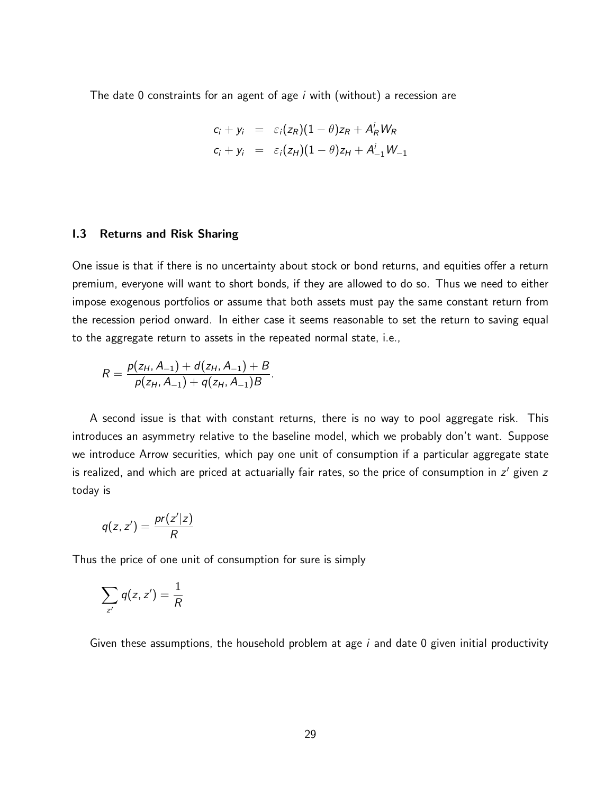The date  $0$  constraints for an agent of age  $i$  with (without) a recession are

$$
c_i + y_i = \varepsilon_i (z_R)(1 - \theta)z_R + A_R^i W_R
$$
  

$$
c_i + y_i = \varepsilon_i (z_H)(1 - \theta)z_H + A_{-1}^i W_{-1}
$$

### I.3 Returns and Risk Sharing

One issue is that if there is no uncertainty about stock or bond returns, and equities offer a return premium, everyone will want to short bonds, if they are allowed to do so. Thus we need to either impose exogenous portfolios or assume that both assets must pay the same constant return from the recession period onward. In either case it seems reasonable to set the return to saving equal to the aggregate return to assets in the repeated normal state, i.e.,

$$
R = \frac{p(z_H, A_{-1}) + d(z_H, A_{-1}) + B}{p(z_H, A_{-1}) + q(z_H, A_{-1})B}.
$$

A second issue is that with constant returns, there is no way to pool aggregate risk. This introduces an asymmetry relative to the baseline model, which we probably don't want. Suppose we introduce Arrow securities, which pay one unit of consumption if a particular aggregate state is realized, and which are priced at actuarially fair rates, so the price of consumption in  $z'$  given  $z$ today is

$$
q(z, z') = \frac{pr(z'|z)}{R}
$$

Thus the price of one unit of consumption for sure is simply

$$
\sum_{z'} q(z,z') = \frac{1}{R}
$$

Given these assumptions, the household problem at age  $i$  and date 0 given initial productivity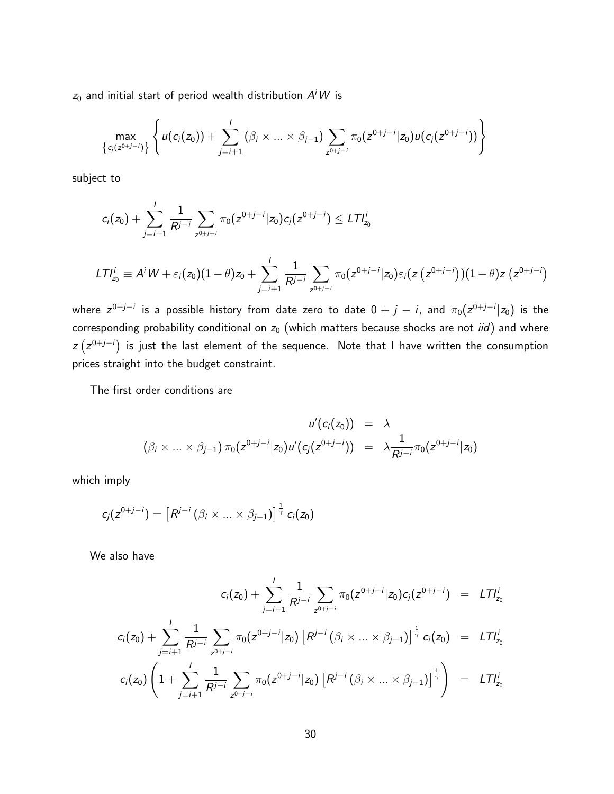$z_0$  and initial start of period wealth distribution  $A^iW$  is

$$
\max_{\left\{c_{j}(z^{0+j-i})\right\}}\left\{u(c_{i}(z_{0}))+\sum_{j=i+1}^{l}(\beta_{i}\times...\times\beta_{j-1})\sum_{z^{0+j-i}}\pi_{0}(z^{0+j-i}|z_{0})u(c_{j}(z^{0+j-i}))\right\}
$$

subject to

$$
c_i(z_0) + \sum_{j=i+1}^I \frac{1}{R^{j-i}} \sum_{z^{0+j-i}} \pi_0(z^{0+j-i}|z_0) c_j(z^{0+j-i}) \le L T I'_{z_0}
$$
  

$$
LT I'_{z_0} \equiv A^i W + \varepsilon_i(z_0)(1-\theta) z_0 + \sum_{j=i+1}^I \frac{1}{R^{j-i}} \sum_{z^{0+j-i}} \pi_0(z^{0+j-i}|z_0) \varepsilon_i(z(z^{0+j-i}))(1-\theta) z(z^{0+j-i})
$$

where  $z^{0+j-i}$  is a possible history from date zero to date  $0+j-i$ , and  $\pi_{0}(z^{0+j-i}|z_{0})$  is the corresponding probability conditional on  $z_0$  (which matters because shocks are not *iid*) and where  $z(z^{0+j-i})$  is just the last element of the sequence. Note that I have written the consumption prices straight into the budget constraint.

The first order conditions are

$$
u'(c_i(z_0)) = \lambda
$$
  

$$
(\beta_i \times ... \times \beta_{j-1}) \pi_0(z^{0+j-i}|z_0)u'(c_j(z^{0+j-i})) = \lambda \frac{1}{R^{j-i}} \pi_0(z^{0+j-i}|z_0)
$$

which imply

$$
c_j(z^{0+j-i}) = \left[R^{j-i}(\beta_i \times \ldots \times \beta_{j-1})\right]^{\frac{1}{\gamma}} c_i(z_0)
$$

We also have

$$
c_i(z_0) + \sum_{j=i+1}^{l} \frac{1}{R^{j-i}} \sum_{z^{0+j-i}} \pi_0(z^{0+j-i}|z_0) c_j(z^{0+j-i}) = LTI_{z_0}^i
$$
  

$$
c_i(z_0) + \sum_{j=i+1}^{l} \frac{1}{R^{j-i}} \sum_{z^{0+j-i}} \pi_0(z^{0+j-i}|z_0) \left[R^{j-i}(\beta_i \times \ldots \times \beta_{j-1})\right]^{\frac{1}{\gamma}} c_i(z_0) = LTI_{z_0}^i
$$
  

$$
c_i(z_0) \left(1 + \sum_{j=i+1}^{l} \frac{1}{R^{j-i}} \sum_{z^{0+j-i}} \pi_0(z^{0+j-i}|z_0) \left[R^{j-i}(\beta_i \times \ldots \times \beta_{j-1})\right]^{\frac{1}{\gamma}}\right) = LTI_{z_0}^i
$$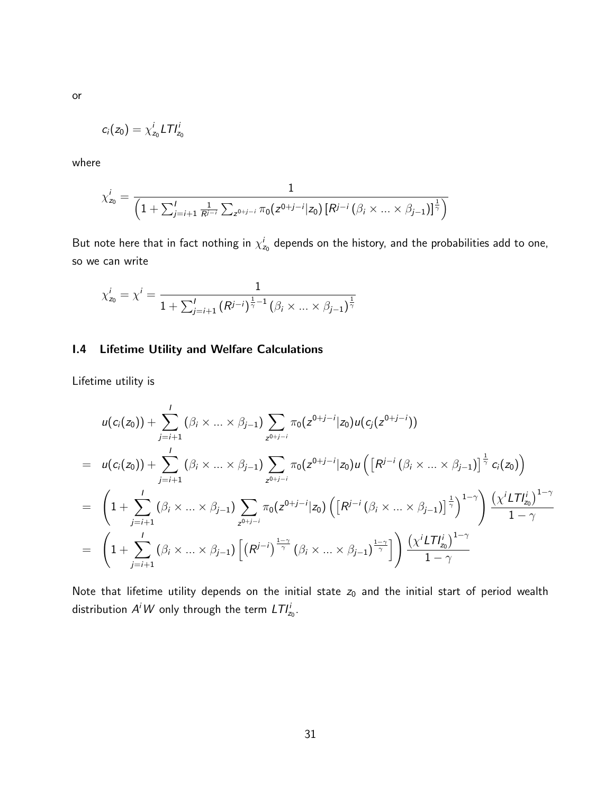$$
\alpha
$$

$$
c_i(z_0)=\chi_{z_0}^iLTI_{z_0}^i
$$

where

$$
\chi_{z_0}^i = \frac{1}{\left(1 + \sum_{j=i+1}^l \frac{1}{R^{j-i}} \sum_{z^{0+j-i}} \pi_0(z^{0+j-i} | z_0) \left[R^{j-i} \left(\beta_i \times \ldots \times \beta_{j-1}\right)\right]^{\frac{1}{\gamma}}\right)}
$$

But note here that in fact nothing in  $\chi^i_{\mathsf z_0}$  depends on the history, and the probabilities add to one, so we can write

$$
\chi_{z_0}^i = \chi^i = \frac{1}{1 + \sum_{j=i+1}^l (R^{j-i})^{\frac{1}{\gamma}-1} (\beta_i \times ... \times \beta_{j-1})^{\frac{1}{\gamma}}}
$$

## I.4 Lifetime Utility and Welfare Calculations

Lifetime utility is

$$
u(c_i(z_0)) + \sum_{j=i+1}^{I} (\beta_i \times ... \times \beta_{j-1}) \sum_{z^{0+j-i}} \pi_0(z^{0+j-i} | z_0) u(c_j(z^{0+j-i}))
$$
  
\n
$$
= u(c_i(z_0)) + \sum_{j=i+1}^{I} (\beta_i \times ... \times \beta_{j-1}) \sum_{z^{0+j-i}} \pi_0(z^{0+j-i} | z_0) u\left( \left[ R^{j-i} (\beta_i \times ... \times \beta_{j-1}) \right]^{\frac{1}{\gamma}} c_i(z_0) \right)
$$
  
\n
$$
= \left( 1 + \sum_{j=i+1}^{I} (\beta_i \times ... \times \beta_{j-1}) \sum_{z^{0+j-i}} \pi_0(z^{0+j-i} | z_0) \left( \left[ R^{j-i} (\beta_i \times ... \times \beta_{j-1}) \right]^{\frac{1}{\gamma}} \right)^{1-\gamma} \right) \frac{\left( \chi^{i} L T I_{z_0}^{i} \right)^{1-\gamma}}{1-\gamma}
$$
  
\n
$$
= \left( 1 + \sum_{j=i+1}^{I} (\beta_i \times ... \times \beta_{j-1}) \left[ \left( R^{j-i} \right)^{\frac{1-\gamma}{\gamma}} (\beta_i \times ... \times \beta_{j-1})^{\frac{1-\gamma}{\gamma}} \right] \right) \frac{\left( \chi^{i} L T I_{z_0}^{i} \right)^{1-\gamma}}{1-\gamma}
$$

Note that lifetime utility depends on the initial state  $z_0$  and the initial start of period wealth distribution  $A^i W$  only through the term  $L T l_{z_0}^i.$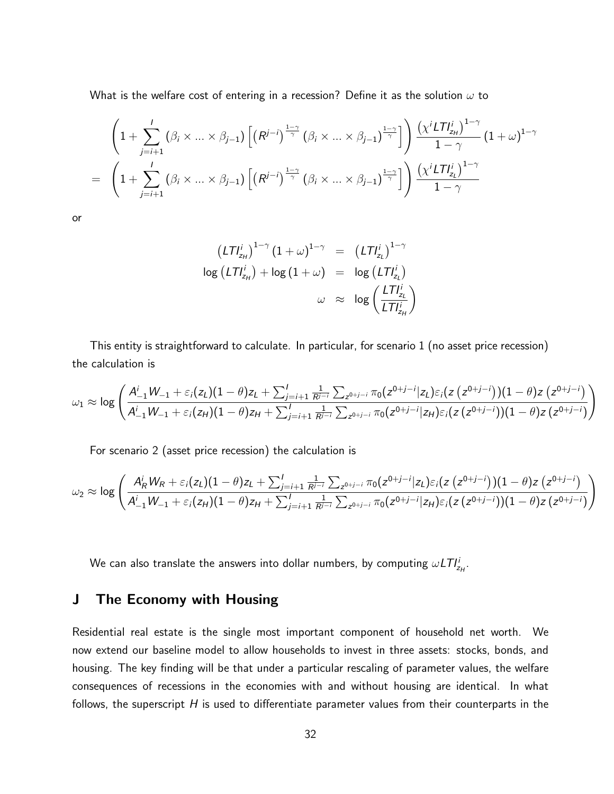What is the welfare cost of entering in a recession? Define it as the solution  $\omega$  to

$$
\left(1+\sum_{j=i+1}^{l}(\beta_i\times...\times\beta_{j-1})\left[(R^{j-i})^{\frac{1-\gamma}{\gamma}}(\beta_i\times...\times\beta_{j-1})^{\frac{1-\gamma}{\gamma}}\right]\right)\frac{\left(\chi^{i}LTI_{z_{H}}^{i}\right)^{1-\gamma}}{1-\gamma}\left(1+\omega\right)^{1-\gamma}
$$
\n
$$
=\left(1+\sum_{j=i+1}^{l}(\beta_i\times...\times\beta_{j-1})\left[(R^{j-i})^{\frac{1-\gamma}{\gamma}}(\beta_i\times...\times\beta_{j-1})^{\frac{1-\gamma}{\gamma}}\right]\right)\frac{\left(\chi^{i}LTI_{z_{L}}^{i}\right)^{1-\gamma}}{1-\gamma}
$$

or

$$
(LTI_{z_H}^i)^{1-\gamma} (1+\omega)^{1-\gamma} = (LTI_{z_L}^i)^{1-\gamma}
$$
  

$$
\log (LTI_{z_H}^i) + \log (1+\omega) = \log (LTI_{z_L}^i)
$$
  

$$
\omega \approx \log \left(\frac{LTI_{z_L}^i}{LTI_{z_H}^i}\right)
$$

This entity is straightforward to calculate. In particular, for scenario 1 (no asset price recession) the calculation is

$$
\omega_1 \approx \log \left( \frac{A_{-1}^i W_{-1} + \varepsilon_i(z_L)(1-\theta)z_L + \sum_{j=i+1}^l \frac{1}{R^{j-i}} \sum_{z^{0+j-i}} \pi_0(z^{0+j-i}|z_L) \varepsilon_i(z(z^{0+j-i}))(1-\theta)z(z^{0+j-i})}{A_{-1}^i W_{-1} + \varepsilon_i(z_H)(1-\theta)z_H + \sum_{j=i+1}^l \frac{1}{R^{j-i}} \sum_{z^{0+j-i}} \pi_0(z^{0+j-i}|z_H) \varepsilon_i(z(z^{0+j-i}))(1-\theta)z(z^{0+j-i})} \right)
$$

For scenario 2 (asset price recession) the calculation is

$$
\omega_2 \approx \log \left( \frac{A_R^i W_R + \varepsilon_i(z_L)(1-\theta)z_L + \sum_{j=i+1}^I \frac{1}{R^{j-i}} \sum_{z^{0+j-i}} \pi_0(z^{0+j-i}|z_L) \varepsilon_i(z(z^{0+j-i}))(1-\theta)z(z^{0+j-i})}{A_{-1}^i W_{-1} + \varepsilon_i(z_H)(1-\theta)z_H + \sum_{j=i+1}^I \frac{1}{R^{j-i}} \sum_{z^{0+j-i}} \pi_0(z^{0+j-i}|z_H) \varepsilon_i(z(z^{0+j-i}))(1-\theta)z(z^{0+j-i})} \right)
$$

We can also translate the answers into dollar numbers, by computing  $\omega L T l_{z_H}^i.$ 

## J The Economy with Housing

Residential real estate is the single most important component of household net worth. We now extend our baseline model to allow households to invest in three assets: stocks, bonds, and housing. The key finding will be that under a particular rescaling of parameter values, the welfare consequences of recessions in the economies with and without housing are identical. In what follows, the superscript  $H$  is used to differentiate parameter values from their counterparts in the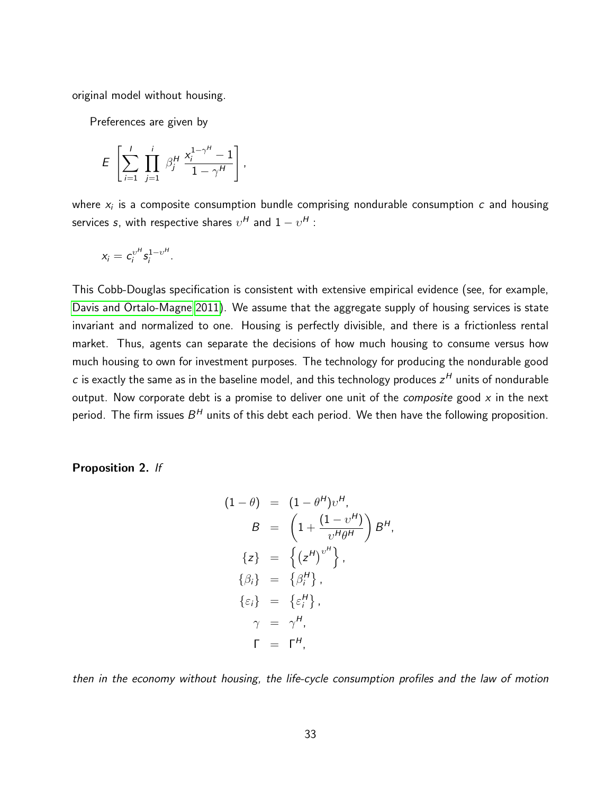original model without housing.

Preferences are given by

$$
E\left[\sum_{i=1}^I\prod_{j=1}^i\beta_j^H\frac{x_i^{1-\gamma^H}-1}{1-\gamma^H}\right],
$$

where  $x_i$  is a composite consumption bundle comprising nondurable consumption  $\,c\,$  and housing services  $s$ , with respective shares  $v^{\pmb{H}}$  and  $1-v^{\pmb{H}}$  :

$$
x_i=c_i^{v^H} s_i^{1-v^H}.
$$

This Cobb-Douglas specification is consistent with extensive empirical evidence (see, for example, [Davis and Ortalo-Magne 2011\)](#page-48-0). We assume that the aggregate supply of housing services is state invariant and normalized to one. Housing is perfectly divisible, and there is a frictionless rental market. Thus, agents can separate the decisions of how much housing to consume versus how much housing to own for investment purposes. The technology for producing the nondurable good c is exactly the same as in the baseline model, and this technology produces  $z^H$  units of nondurable output. Now corporate debt is a promise to deliver one unit of the *composite* good  $x$  in the next period. The firm issues  $B<sup>H</sup>$  units of this debt each period. We then have the following proposition.

#### Proposition 2. If

$$
(1 - \theta) = (1 - \theta^H)v^H,
$$
  
\n
$$
B = \left(1 + \frac{(1 - v^H)}{v^H \theta^H}\right)B^H,
$$
  
\n
$$
\{z\} = \left\{(z^H)^{v^H}\right\},
$$
  
\n
$$
\{\beta_i\} = \{\beta_i^H\},
$$
  
\n
$$
\{\varepsilon_i\} = \{\varepsilon_i^H\},
$$
  
\n
$$
\gamma = \gamma^H,
$$
  
\n
$$
\Gamma = \Gamma^H,
$$

then in the economy without housing, the life-cycle consumption profiles and the law of motion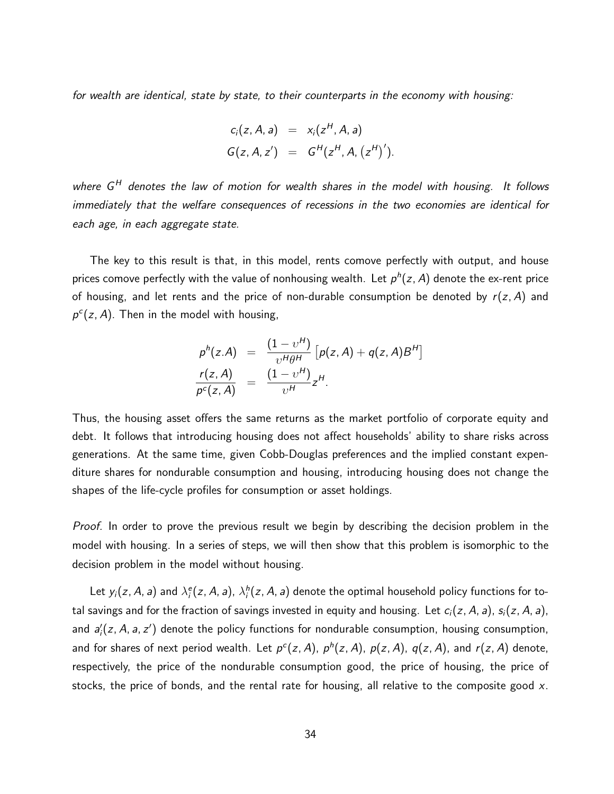for wealth are identical, state by state, to their counterparts in the economy with housing:

$$
c_i(z, A, a) = x_i(z^H, A, a)
$$
  

$$
G(z, A, z') = G^H(z^H, A, (z^H)').
$$

where  $G<sup>H</sup>$  denotes the law of motion for wealth shares in the model with housing. It follows immediately that the welfare consequences of recessions in the two economies are identical for each age, in each aggregate state.

The key to this result is that, in this model, rents comove perfectly with output, and house prices comove perfectly with the value of nonhousing wealth. Let  $p^h(z, A)$  denote the ex-rent price of housing, and let rents and the price of non-durable consumption be denoted by  $r(z, A)$  and  $p^{c}(z, A)$ . Then in the model with housing,

$$
p^{h}(z.A) = \frac{(1 - \nu^{H})}{\nu^{H}\theta^{H}} [p(z, A) + q(z, A)B^{H}]
$$
  

$$
\frac{r(z, A)}{p^{c}(z, A)} = \frac{(1 - \nu^{H})}{\nu^{H}}z^{H}.
$$

Thus, the housing asset offers the same returns as the market portfolio of corporate equity and debt. It follows that introducing housing does not affect households' ability to share risks across generations. At the same time, given Cobb-Douglas preferences and the implied constant expenditure shares for nondurable consumption and housing, introducing housing does not change the shapes of the life-cycle profiles for consumption or asset holdings.

*Proof.* In order to prove the previous result we begin by describing the decision problem in the model with housing. In a series of steps, we will then show that this problem is isomorphic to the decision problem in the model without housing.

Let  $y_i(z, A, a)$  and  $\lambda_i^e(z, A, a)$ ,  $\lambda_i^h(z, A, a)$  denote the optimal household policy functions for total savings and for the fraction of savings invested in equity and housing. Let  $c_i(z, A, a)$ ,  $s_i(z, A, a)$ , and  $a'_{i}(z, A, a, z')$  denote the policy functions for nondurable consumption, housing consumption, and for shares of next period wealth. Let  $p^{c}(z, A)$ ,  $p^{h}(z, A)$ ,  $p(z, A)$ ,  $q(z, A)$ , and  $r(z, A)$  denote, respectively, the price of the nondurable consumption good, the price of housing, the price of stocks, the price of bonds, and the rental rate for housing, all relative to the composite good  $x$ .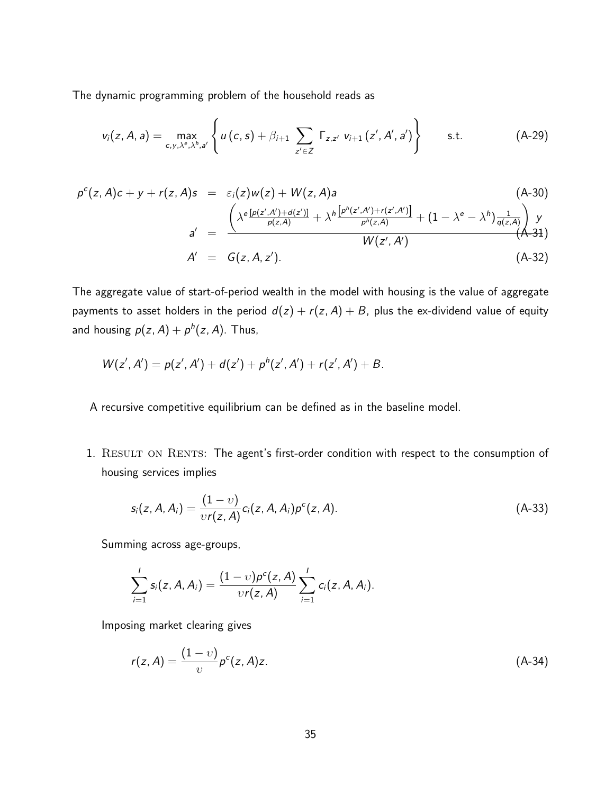The dynamic programming problem of the household reads as

$$
v_i(z, A, a) = \max_{c, y, \lambda^e, \lambda^h, a'} \left\{ u(c, s) + \beta_{i+1} \sum_{z' \in Z} \Gamma_{z, z'} v_{i+1}(z', A', a') \right\} \qquad s.t. \qquad (A-29)
$$

$$
p^{c}(z, A)c + y + r(z, A)s = \varepsilon_{i}(z)w(z) + W(z, A)a
$$
\n
$$
a' = \frac{\left(\lambda^{e} \frac{[p(z', A') + d(z')]}{p(z, A)} + \lambda^{h} \frac{[p^{h}(z', A') + r(z', A')]}{p^{h}(z, A)} + (1 - \lambda^{e} - \lambda^{h}) \frac{1}{q(z, A)}\right) y}{W(z', A')}
$$
\n
$$
A' = G(z, A, z').
$$
\n
$$
(A-32)
$$

The aggregate value of start-of-period wealth in the model with housing is the value of aggregate payments to asset holders in the period  $d(z) + r(z, A) + B$ , plus the ex-dividend value of equity and housing  $p(z, A) + p^{h}(z, A)$ . Thus,

$$
W(z', A') = p(z', A') + d(z') + p^{h}(z', A') + r(z', A') + B.
$$

A recursive competitive equilibrium can be defined as in the baseline model.

1. RESULT ON RENTS: The agent's first-order condition with respect to the consumption of housing services implies

<span id="page-85-0"></span>
$$
s_i(z, A, A_i) = \frac{(1 - v)}{v r(z, A)} c_i(z, A, A_i) \rho^{c}(z, A).
$$
 (A-33)

Summing across age-groups,

$$
\sum_{i=1}^l s_i(z, A, A_i) = \frac{(1-v)p^c(z, A)}{vr(z, A)} \sum_{i=1}^l c_i(z, A, A_i).
$$

Imposing market clearing gives

$$
r(z, A) = \frac{(1 - v)}{v} p^{c}(z, A) z.
$$
 (A-34)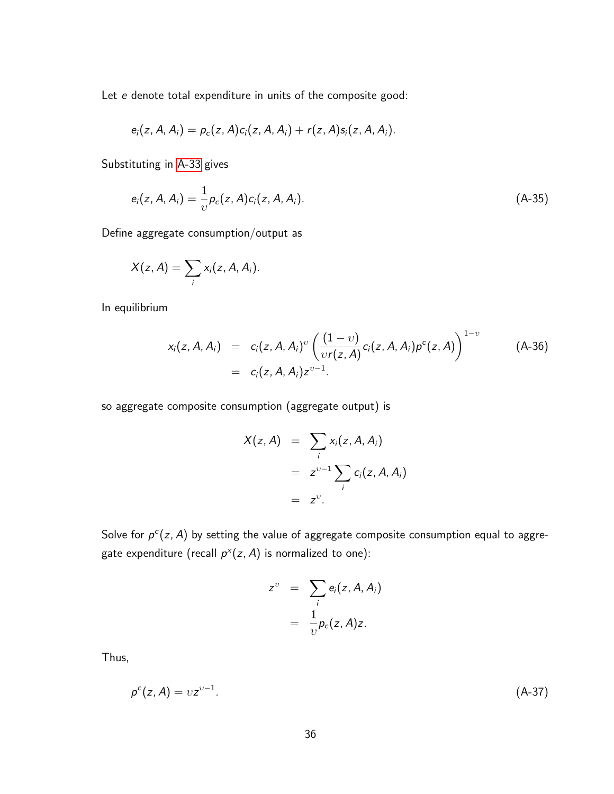Let e denote total expenditure in units of the composite good:

$$
e_i(z, A, A_i) = p_c(z, A)c_i(z, A, A_i) + r(z, A)s_i(z, A, A_i).
$$

Substituting in [A-33](#page-85-0) gives

$$
e_i(z, A, A_i) = \frac{1}{v} p_c(z, A) c_i(z, A, A_i).
$$
 (A-35)

Define aggregate consumption/output as

$$
X(z, A) = \sum_i x_i(z, A, A_i).
$$

In equilibrium

$$
x_i(z, A, A_i) = c_i(z, A, A_i)^v \left( \frac{(1 - v)}{v r(z, A)} c_i(z, A, A_i) p^c(z, A) \right)^{1 - v}
$$
\n
$$
= c_i(z, A, A_i) z^{v - 1}.
$$
\n(A-36)

so aggregate composite consumption (aggregate output) is

$$
X(z, A) = \sum_{i} x_i(z, A, A_i)
$$
  
=  $z^{v-1} \sum_{i} c_i(z, A, A_i)$   
=  $z^v$ .

Solve for  $p^{c}(z, A)$  by setting the value of aggregate composite consumption equal to aggregate expenditure (recall  $p^x(z, A)$  is normalized to one):

$$
z^{v} = \sum_{i} e_{i}(z, A, A_{i})
$$

$$
= \frac{1}{v} p_{c}(z, A) z.
$$

<span id="page-86-0"></span>Thus,

$$
\rho^{c}(z,A) = vz^{v-1}.\tag{A-37}
$$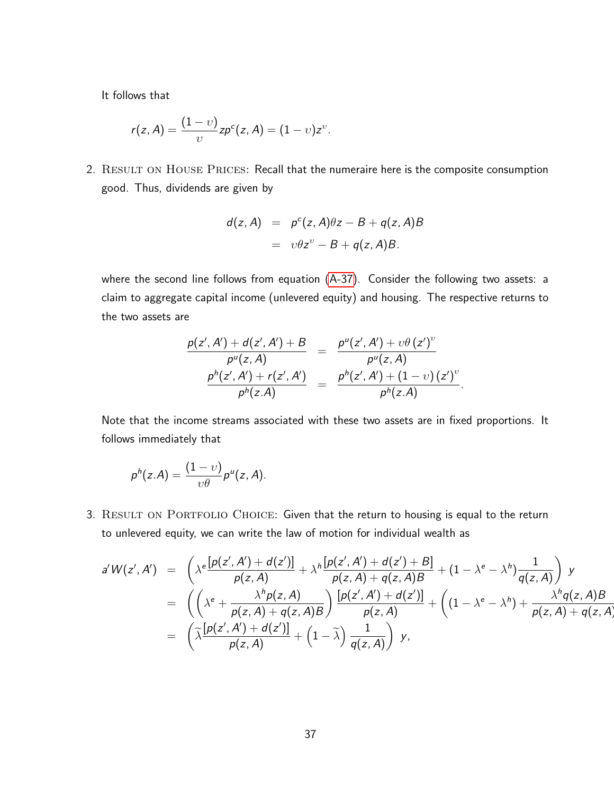It follows that

$$
r(z, A) = \frac{(1 - v)}{v} z p^{c}(z, A) = (1 - v) z^{v}.
$$

2. RESULT ON HOUSE PRICES: Recall that the numeraire here is the composite consumption good. Thus, dividends are given by

$$
d(z, A) = p^{c}(z, A)\theta z - B + q(z, A)B
$$

$$
= v\theta z^{\nu} - B + q(z, A)B.
$$

where the second line follows from equation [\(A-37\)](#page-86-0). Consider the following two assets: a claim to aggregate capital income (unlevered equity) and housing. The respective returns to the two assets are

$$
\frac{p(z', A') + d(z', A') + B}{p^u(z, A)} = \frac{p^u(z', A') + v\theta(z')^v}{p^u(z, A)}
$$

$$
\frac{p^h(z', A') + r(z', A')}{p^h(z, A)} = \frac{p^h(z', A') + (1 - v)(z')^v}{p^h(z, A)}.
$$

Note that the income streams associated with these two assets are in fixed proportions. It follows immediately that

$$
p^h(z.A) = \frac{(1-v)}{v\theta}p^u(z,A).
$$

3. RESULT ON PORTFOLIO CHOICE: Given that the return to housing is equal to the return to unlevered equity, we can write the law of motion for individual wealth as

$$
a'W(z', A') = \left(\lambda^{e}\frac{[p(z', A') + d(z')]}{p(z, A)} + \lambda^{h}\frac{[p(z', A') + d(z') + B]}{p(z, A) + q(z, A)B} + (1 - \lambda^{e} - \lambda^{h})\frac{1}{q(z, A)}\right) y
$$
  
= 
$$
\left(\left(\lambda^{e} + \frac{\lambda^{h} p(z, A)}{p(z, A) + q(z, A)B}\right) \frac{[p(z', A') + d(z')]}{p(z, A)} + \left((1 - \lambda^{e} - \lambda^{h}) + \frac{\lambda^{h} q(z, A)B}{p(z, A) + q(z, A)}\right)\right) y
$$
  
= 
$$
\left(\lambda^{e}\frac{[p(z', A') + d(z')]}{p(z, A)} + (1 - \lambda)\frac{1}{q(z, A)}\right) y,
$$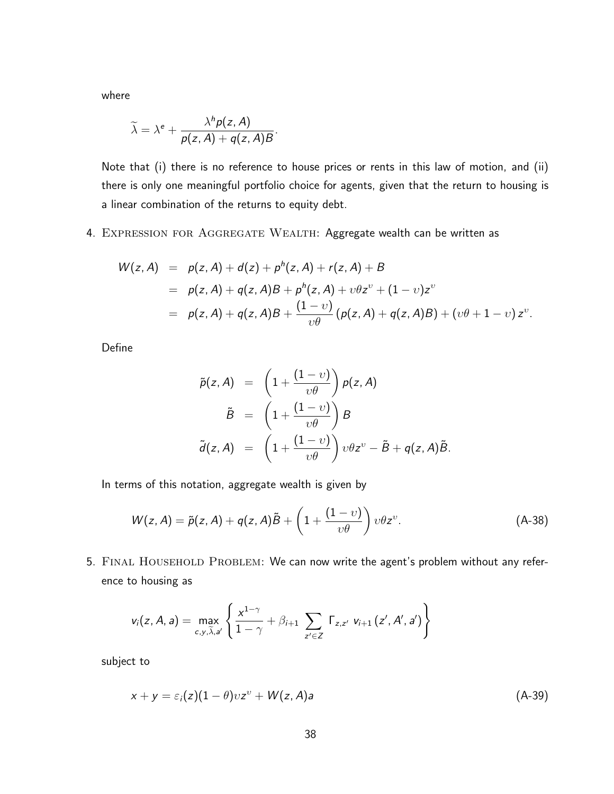where

$$
\widetilde{\lambda} = \lambda^e + \frac{\lambda^h p(z, A)}{p(z, A) + q(z, A)B}.
$$

Note that (i) there is no reference to house prices or rents in this law of motion, and (ii) there is only one meaningful portfolio choice for agents, given that the return to housing is a linear combination of the returns to equity debt.

## 4. EXPRESSION FOR AGGREGATE WEALTH: Aggregate wealth can be written as

$$
W(z, A) = p(z, A) + d(z) + p^{h}(z, A) + r(z, A) + B
$$
  
=  $p(z, A) + q(z, A)B + p^{h}(z, A) + v\theta z^{v} + (1 - v)z^{v}$   
=  $p(z, A) + q(z, A)B + \frac{(1 - v)}{v\theta} (p(z, A) + q(z, A)B) + (v\theta + 1 - v) z^{v}$ .

Define

<span id="page-88-0"></span>
$$
\tilde{p}(z, A) = \left(1 + \frac{(1 - v)}{v\theta}\right) p(z, A)
$$

$$
\tilde{B} = \left(1 + \frac{(1 - v)}{v\theta}\right) B
$$

$$
\tilde{d}(z, A) = \left(1 + \frac{(1 - v)}{v\theta}\right) v\theta z^v - \tilde{B} + q(z, A)\tilde{B}.
$$

In terms of this notation, aggregate wealth is given by

$$
W(z, A) = \tilde{p}(z, A) + q(z, A)\tilde{B} + \left(1 + \frac{(1 - v)}{v\theta}\right)v\theta z^{v}.
$$
 (A-38)

5. FINAL HOUSEHOLD PROBLEM: We can now write the agent's problem without any reference to housing as

$$
v_{i}(z, A, a) = \max_{c, y, \tilde{\lambda}, a'} \left\{ \frac{x^{1-\gamma}}{1-\gamma} + \beta_{i+1} \sum_{z' \in Z} \Gamma_{z, z'} \ v_{i+1}(z', A', a') \right\}
$$

subject to

$$
x + y = \varepsilon_i(z)(1 - \theta)vz^v + W(z, A)a \tag{A-39}
$$